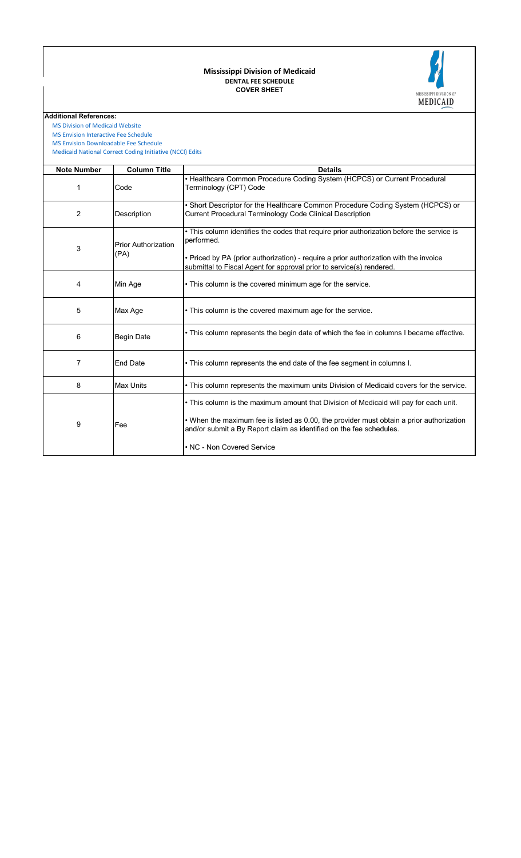#### **COVER SHEET DENTAL FEE SCHEDULE Mississippi Division of Medicaid**



**Additional References:**

 [MS Division of Medicai](https://medicaid.ms.gov/)d Website

 [MS Envision Interactive](https://www.ms-medicaid.com/msenvision/feeScheduleInquiry.do) Fee Schedule

 [Medicaid National Corr](https://www.medicaid.gov/medicaid/program-integrity/national-correct-coding-initiative/medicaid-ncci-edit-files/index.html)ect Coding Initiative (NCCI) Edits  [MS Envision Download](https://www.ms-medicaid.com/msenvision/AMA_ADA_licenseAgreement.do?strUrl=feeScheduleInquiry)able Fee Schedule

| <b>Note Number</b> | <b>Column Title</b>                | <b>Details</b>                                                                                                                                                                                                                                                                         |
|--------------------|------------------------------------|----------------------------------------------------------------------------------------------------------------------------------------------------------------------------------------------------------------------------------------------------------------------------------------|
| 1                  | Code                               | • Healthcare Common Procedure Coding System (HCPCS) or Current Procedural<br>Terminology (CPT) Code                                                                                                                                                                                    |
| 2                  | Description                        | • Short Descriptor for the Healthcare Common Procedure Coding System (HCPCS) or<br>Current Procedural Terminology Code Clinical Description                                                                                                                                            |
| 3                  | <b>Prior Authorization</b><br>(PA) | . This column identifies the codes that require prior authorization before the service is<br>performed.<br>• Priced by PA (prior authorization) - require a prior authorization with the invoice<br>submittal to Fiscal Agent for approval prior to service(s) rendered.               |
| 4                  | Min Age                            | • This column is the covered minimum age for the service.                                                                                                                                                                                                                              |
| 5                  | Max Age                            | • This column is the covered maximum age for the service.                                                                                                                                                                                                                              |
| 6                  | <b>Begin Date</b>                  | • This column represents the begin date of which the fee in columns I became effective.                                                                                                                                                                                                |
| 7                  | <b>End Date</b>                    | • This column represents the end date of the fee segment in columns I.                                                                                                                                                                                                                 |
| 8                  | Max Units                          | • This column represents the maximum units Division of Medicaid covers for the service.                                                                                                                                                                                                |
| 9                  | Fee                                | • This column is the maximum amount that Division of Medicaid will pay for each unit.<br>• When the maximum fee is listed as 0.00, the provider must obtain a prior authorization<br>and/or submit a By Report claim as identified on the fee schedules.<br>• NC - Non Covered Service |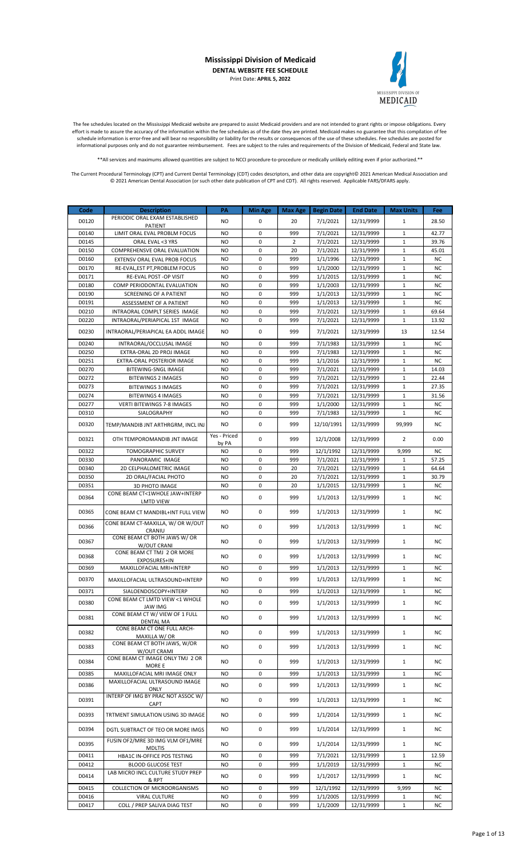

The fee schedules located on the Mississippi Medicaid website are prepared to assist Medicaid providers and are not intended to grant rights or impose obligations. Every effort is made to assure the accuracy of the information within the fee schedules as of the date they are printed. Medicaid makes no guarantee that this compilation of fee schedule information is error-free and will bear no responsibility or liability for the results or consequences of the use of these schedules. Fee schedules are posted for informational purposes only and do not guarantee reimbursement. Fees are subject to the rules and requirements of the Division of Medicaid, Federal and State law.

\*\*All services and maximums allowed quantities are subject to NCCI procedure-to-procedure or medically unlikely editing even if prior authorized.\*\*

| Code           | <b>Description</b>                                                    | PA              | <b>Min Age</b>             | <b>Max Age</b> | <b>Begin Date</b>    | <b>End Date</b>          | <b>Max Units</b>             | Fee                |
|----------------|-----------------------------------------------------------------------|-----------------|----------------------------|----------------|----------------------|--------------------------|------------------------------|--------------------|
| D0120          | PERIODIC ORAL EXAM ESTABLISHED<br>PATIENT                             | NO.             | $\mathbf 0$                | 20             | 7/1/2021             | 12/31/9999               | $\mathbf{1}$                 | 28.50              |
| D0140          | LIMIT ORAL EVAL PROBLM FOCUS                                          | <b>NO</b>       | 0                          | 999            | 7/1/2021             | 12/31/9999               | $\mathbf{1}$                 | 42.77              |
| D0145          | ORAL EVAL <3 YRS                                                      | <b>NO</b>       | 0                          | 2              | 7/1/2021             | 12/31/9999               | $\mathbf{1}$                 | 39.76              |
| D0150          | COMPREHENSVE ORAL EVALUATION                                          | <b>NO</b>       | $\mathbf 0$                | 20             | 7/1/2021             | 12/31/9999               | $\mathbf{1}$                 | 45.01              |
| D0160          | EXTENSV ORAL EVAL PROB FOCUS                                          | NO.             | $\mathbf 0$                | 999            | 1/1/1996             | 12/31/9999               | $\mathbf{1}$                 | <b>NC</b>          |
| D0170          | RE-EVAL, EST PT, PROBLEM FOCUS                                        | <b>NO</b>       | $\mathbf 0$                | 999            | 1/1/2000             | 12/31/9999               | $\mathbf{1}$                 | <b>NC</b>          |
| D0171          | RE-EVAL POST -OP VISIT                                                | NO.             | 0                          | 999            | 1/1/2015             | 12/31/9999               | $\mathbf{1}$                 | <b>NC</b>          |
| D0180          | COMP PERIODONTAL EVALUATION                                           | <b>NO</b>       | 0                          | 999            | 1/1/2003             | 12/31/9999               | $\mathbf{1}$                 | <b>NC</b>          |
| D0190          | <b>SCREENING OF A PATIENT</b>                                         | NO.             | $\mathbf 0$                | 999            | 1/1/2013             | 12/31/9999               | $\mathbf{1}$                 | <b>NC</b>          |
| D0191          | ASSESSMENT OF A PATIENT                                               | NO.             | $\mathbf 0$<br>$\mathbf 0$ | 999            | 1/1/2013<br>7/1/2021 | 12/31/9999               | $\mathbf{1}$                 | <b>NC</b>          |
| D0210<br>D0220 | INTRAORAL COMPLT SERIES IMAGE                                         | NO.<br>NO.      | $\mathbf 0$                | 999<br>999     | 7/1/2021             | 12/31/9999<br>12/31/9999 | $\mathbf{1}$<br>$\mathbf{1}$ | 69.64<br>13.92     |
|                | INTRAORAL/PERIAPICAL 1ST IMAGE                                        |                 |                            |                |                      |                          |                              |                    |
| D0230          | INTRAORAL/PERIAPICAL EA ADDL IMAGE                                    | <b>NO</b>       | 0                          | 999            | 7/1/2021             | 12/31/9999               | 13                           | 12.54              |
| D0240          | INTRAORAL/OCCLUSAL IMAGE                                              | NO.             | $\mathbf 0$                | 999            | 7/1/1983             | 12/31/9999               | $\mathbf{1}$                 | <b>NC</b>          |
| D0250          | EXTRA-ORAL 2D PROJ IMAGE                                              | NO.             | $\mathbf 0$                | 999            | 7/1/1983             | 12/31/9999               | $\mathbf{1}$                 | <b>NC</b>          |
| D0251          | EXTRA-ORAL POSTERIOR IMAGE                                            | NO.             | 0<br>$\mathbf 0$           | 999            | 1/1/2016             | 12/31/9999               | $\mathbf{1}$                 | <b>NC</b>          |
| D0270<br>D0272 | BITEWING-SNGL IMAGE<br><b>BITEWINGS 2 IMAGES</b>                      | <b>NO</b><br>NO | $\mathbf 0$                | 999<br>999     | 7/1/2021<br>7/1/2021 | 12/31/9999<br>12/31/9999 | $\mathbf{1}$<br>$\mathbf{1}$ | 14.03<br>22.44     |
| D0273          | <b>BITEWINGS 3 IMAGES</b>                                             | NO.             | $\mathbf 0$                | 999            | 7/1/2021             | 12/31/9999               | $\mathbf{1}$                 | 27.35              |
| D0274          | <b>BITEWINGS 4 IMAGES</b>                                             | <b>NO</b>       | $\mathbf 0$                | 999            | 7/1/2021             | 12/31/9999               | $\mathbf{1}$                 | 31.56              |
| D0277          | VERTI BITEWINGS 7-8 IMAGES                                            | NO.             | 0                          | 999            | 1/1/2000             | 12/31/9999               | $\mathbf{1}$                 | <b>NC</b>          |
| D0310          | SIALOGRAPHY                                                           | <b>NO</b>       | $\mathbf 0$                | 999            | 7/1/1983             | 12/31/9999               | $\mathbf{1}$                 | <b>NC</b>          |
| D0320          | TEMP/MANDIB JNT ARTHRGRM, INCL INJ                                    | <b>NO</b>       | 0                          | 999            | 12/10/1991           | 12/31/9999               | 99,999                       | <b>NC</b>          |
| D0321          | OTH TEMPOROMANDIB JNT IMAGE                                           | Yes - Priced    | $\mathbf 0$                | 999            | 12/1/2008            | 12/31/9999               | $\overline{2}$               | 0.00               |
| D0322          | <b>TOMOGRAPHIC SURVEY</b>                                             | by PA<br>NO     | $\mathbf 0$                | 999            | 12/1/1992            | 12/31/9999               | 9,999                        | <b>NC</b>          |
| D0330          | PANORAMIC IMAGE                                                       | NO.             | $\mathbf 0$                | 999            | 7/1/2021             | 12/31/9999               | $\mathbf{1}$                 | 57.25              |
| D0340          | 2D CELPHALOMETRIC IMAGE                                               | NO.             | $\mathbf 0$                | 20             | 7/1/2021             | 12/31/9999               | $\mathbf{1}$                 | 64.64              |
| D0350          | 2D ORAL/FACIAL PHOTO                                                  | <b>NO</b>       | 0                          | 20             | 7/1/2021             | 12/31/9999               | $\mathbf{1}$                 | 30.79              |
| D0351          | 3D PHOTO IMAGE                                                        | NO.             | $\mathbf 0$                | 20             | 1/1/2015             | 12/31/9999               | $\mathbf{1}$                 | <b>NC</b>          |
| D0364          | CONE BEAM CT<1WHOLE JAW+INTERP                                        | NO.             | 0                          | 999            | 1/1/2013             | 12/31/9999               | $\mathbf{1}$                 | <b>NC</b>          |
| D0365          | <b>LMTD VIEW</b><br>CONE BEAM CT MANDIBL+INT FULL VIEW                | NO.             | 0                          | 999            | 1/1/2013             | 12/31/9999               | $\mathbf{1}$                 | <b>NC</b>          |
| D0366          | CONE BEAM CT-MAXILLA, W/ OR W/OUT<br>CRANIU                           | NO.             | 0                          | 999            | 1/1/2013             | 12/31/9999               | $\mathbf{1}$                 | <b>NC</b>          |
| D0367          | CONE BEAM CT BOTH JAWS W/ OR<br>W/OUT CRANI                           | NO.             | 0                          | 999            | 1/1/2013             | 12/31/9999               | $\mathbf{1}$                 | <b>NC</b>          |
| D0368          | CONE BEAM CT TMJ 2 OR MORE                                            | NO.             | 0                          | 999            | 1/1/2013             | 12/31/9999               | $\mathbf{1}$                 | <b>NC</b>          |
| D0369          | EXPOSURES+IN<br>MAXILLOFACIAL MRI+INTERP                              | NO.             | 0                          | 999            | 1/1/2013             | 12/31/9999               | $\mathbf{1}$                 | <b>NC</b>          |
| D0370          | MAXILLOFACIAL ULTRASOUND+INTERP                                       | <b>NO</b>       | 0                          | 999            | 1/1/2013             | 12/31/9999               | $\mathbf{1}$                 | <b>NC</b>          |
|                |                                                                       |                 |                            |                |                      |                          |                              |                    |
| D0371          | SIALOENDOSCOPY+INTERP<br>CONE BEAM CT LMTD VIEW <1 WHOLE              | NO.             | 0                          | 999            | 1/1/2013             | 12/31/9999               | $\mathbf{1}$                 | <b>NC</b>          |
| D0380          | JAW IMG                                                               | NO              | 0                          | 999            | 1/1/2013             | 12/31/9999               | $\mathbf{1}$                 | NC                 |
| D0381          | CONE BEAM CT W/ VIEW OF 1 FULL<br>DENTAL MA                           | NO.             | 0                          | 999            | 1/1/2013             | 12/31/9999               | $\mathbf{1}$                 | NC                 |
| D0382          | CONE BEAM CT ONE FULL ARCH-<br>MAXILLA W/ OR                          | NO.             | 0                          | 999            | 1/1/2013             | 12/31/9999               | $\mathbf{1}$                 | NC.                |
| D0383          | CONE BEAM CT BOTH JAWS, W/OR<br>W/OUT CRAMI                           | NO.             | 0                          | 999            | 1/1/2013             | 12/31/9999               | $\mathbf{1}$                 | <b>NC</b>          |
| D0384          | CONE BEAM CT IMAGE ONLY TMJ 2 OR<br>MORE E                            | NO.             | 0                          | 999            | 1/1/2013             | 12/31/9999               | $\mathbf{1}$                 | NC.                |
| D0385          | MAXILLOFACIAL MRI IMAGE ONLY                                          | NO.             | 0                          | 999            | 1/1/2013             | 12/31/9999               | $\mathbf{1}$                 | <b>NC</b>          |
| D0386          | MAXILLOFACIAL ULTRASOUND IMAGE                                        | <b>NO</b>       | 0                          | 999            | 1/1/2013             | 12/31/9999               | $\mathbf{1}$                 | NC                 |
| D0391          | ONLY<br>INTERP OF IMG BY PRAC NOT ASSOC W/                            | NO.             | 0                          | 999            | 1/1/2013             | 12/31/9999               | $\mathbf{1}$                 | NC                 |
| D0393          | CAPT<br>TRTMENT SIMULATION USING 3D IMAGE                             | NO.             | 0                          | 999            | 1/1/2014             | 12/31/9999               | $\mathbf{1}$                 | NC.                |
|                |                                                                       |                 | 0                          |                |                      |                          |                              |                    |
| D0394          | DGTL SUBTRACT OF TEO OR MORE IMGS<br>FUSIN OF2/MRE 3D IMG VLM OF1/MRE | NO.             |                            | 999            | 1/1/2014             | 12/31/9999               | $\mathbf{1}$                 | NC                 |
| D0395<br>D0411 | <b>MDLTIS</b>                                                         | NO.<br>NO.      | 0<br>0                     | 999<br>999     | 1/1/2014<br>7/1/2021 | 12/31/9999<br>12/31/9999 | $\mathbf{1}$                 | <b>NC</b><br>12.59 |
| D0412          | HBA1C IN-OFFICE POS TESTING<br><b>BLOOD GLUCOSE TEST</b>              | <b>NO</b>       | 0                          | 999            | 1/1/2019             | 12/31/9999               | $\mathbf{1}$<br>$\mathbf{1}$ | NC                 |
|                | LAB MICRO INCL CULTURE STUDY PREP                                     |                 |                            |                |                      |                          |                              |                    |
| D0414          | & RPT                                                                 | <b>NO</b>       | 0                          | 999            | 1/1/2017             | 12/31/9999               | $\mathbf{1}$                 | NC                 |
| D0415          | COLLECTION OF MICROORGANISMS                                          | NO.             | 0                          | 999            | 12/1/1992            | 12/31/9999               | 9,999                        | <b>NC</b>          |
| D0416<br>D0417 | <b>VIRAL CULTURE</b>                                                  | NO.<br>NO.      | 0<br>0                     | 999<br>999     | 1/1/2005<br>1/1/2009 | 12/31/9999<br>12/31/9999 | $\mathbf{1}$<br>$\mathbf{1}$ | <b>NC</b><br>NC    |
|                | COLL / PREP SALIVA DIAG TEST                                          |                 |                            |                |                      |                          |                              |                    |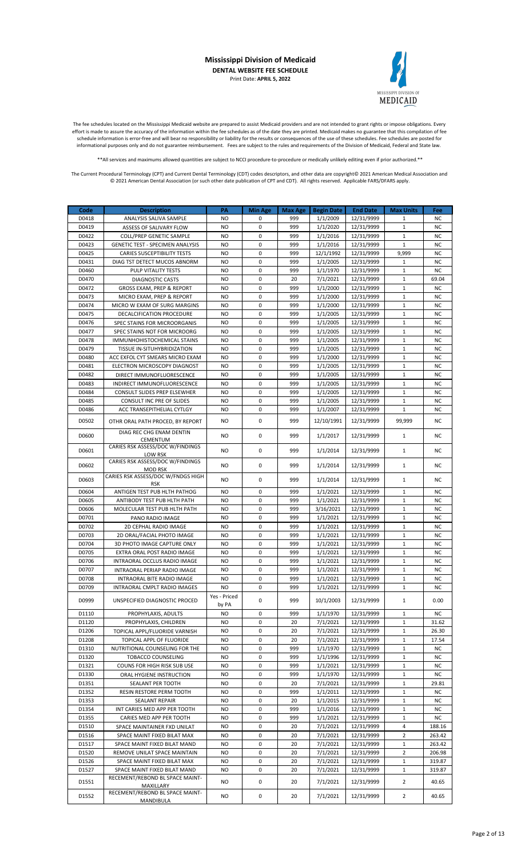

The fee schedules located on the Mississippi Medicaid website are prepared to assist Medicaid providers and are not intended to grant rights or impose obligations. Every effort is made to assure the accuracy of the information within the fee schedules as of the date they are printed. Medicaid makes no guarantee that this compilation of fee schedule information is error-free and will bear no responsibility or liability for the results or consequences of the use of these schedules. Fee schedules are posted for informational purposes only and do not guarantee reimbursement. Fees are subject to the rules and requirements of the Division of Medicaid, Federal and State law.

\*\*All services and maximums allowed quantities are subject to NCCI procedure-to-procedure or medically unlikely editing even if prior authorized.\*\*

| Code           | <b>Description</b>                                              | PA                     | <b>Min Age</b>             | Max Age    | <b>Begin Date</b>    | <b>End Date</b>          | <b>Max Units</b>             | Fee                    |
|----------------|-----------------------------------------------------------------|------------------------|----------------------------|------------|----------------------|--------------------------|------------------------------|------------------------|
| D0418          | ANALYSIS SALIVA SAMPLE                                          | NO                     | 0                          | 999        | 1/1/2009             | 12/31/9999               | 1                            | <b>NC</b>              |
| D0419          | ASSESS OF SALIVARY FLOW                                         | <b>NO</b>              | $\mathbf 0$                | 999        | 1/1/2020             | 12/31/9999               | $\mathbf{1}$                 | <b>NC</b>              |
| D0422          | <b>COLL/PREP GENETIC SAMPLE</b>                                 | <b>NO</b>              | 0                          | 999        | 1/1/2016             | 12/31/9999               | 1                            | <b>NC</b>              |
| D0423          | <b>GENETIC TEST - SPECIMEN ANALYSIS</b>                         | <b>NO</b>              | $\mathbf 0$                | 999        | 1/1/2016             | 12/31/9999               | $\mathbf{1}$                 | <b>NC</b>              |
| D0425          | <b>CARIES SUSCEPTIBILITY TESTS</b>                              | <b>NO</b>              | $\mathbf 0$                | 999        | 12/1/1992            | 12/31/9999               | 9,999                        | <b>NC</b>              |
| D0431          | DIAG TST DETECT MUCOS ABNORM                                    | NO                     | 0                          | 999        | 1/1/2005             | 12/31/9999               | 1                            | <b>NC</b>              |
| D0460          | PULP VITALITY TESTS                                             | <b>NO</b>              | $\mathbf 0$                | 999        | 1/1/1970             | 12/31/9999               | $\mathbf{1}$                 | <b>NC</b>              |
| D0470          | <b>DIAGNOSTIC CASTS</b>                                         | <b>NO</b>              | 0                          | 20         | 7/1/2021             | 12/31/9999               | $\mathbf{1}$                 | 69.04                  |
| D0472<br>D0473 | GROSS EXAM, PREP & REPORT<br>MICRO EXAM, PREP & REPORT          | <b>NO</b><br><b>NO</b> | $\mathbf 0$<br>$\mathbf 0$ | 999<br>999 | 1/1/2000             | 12/31/9999<br>12/31/9999 | $\mathbf{1}$<br>$\mathbf{1}$ | <b>NC</b>              |
| D0474          | MICRO W EXAM OF SURG MARGINS                                    | <b>NO</b>              | $\mathbf 0$                | 999        | 1/1/2000<br>1/1/2000 | 12/31/9999               | $\mathbf{1}$                 | <b>NC</b><br><b>NC</b> |
| D0475          | DECALCIFICATION PROCEDURE                                       | <b>NO</b>              | $\mathbf 0$                | 999        | 1/1/2005             | 12/31/9999               | $\mathbf{1}$                 | <b>NC</b>              |
| D0476          | SPEC STAINS FOR MICROORGANIS                                    | <b>NO</b>              | 0                          | 999        | 1/1/2005             | 12/31/9999               | $\mathbf{1}$                 | <b>NC</b>              |
| D0477          | SPEC STAINS NOT FOR MICROORG                                    | <b>NO</b>              | $\mathbf 0$                | 999        | 1/1/2005             | 12/31/9999               | $\mathbf{1}$                 | <b>NC</b>              |
| D0478          | IMMUNHOHISTOCHEMICAL STAINS                                     | <b>NO</b>              | $\mathbf 0$                | 999        | 1/1/2005             | 12/31/9999               | $\mathbf{1}$                 | <b>NC</b>              |
| D0479          | TISSUE IN-SITUHYBRIDIZATION                                     | <b>NO</b>              | $\mathbf 0$                | 999        | 1/1/2005             | 12/31/9999               | $\mathbf{1}$                 | <b>NC</b>              |
| D0480          | ACC EXFOL CYT SMEARS MICRO EXAM                                 | <b>NO</b>              | $\mathbf 0$                | 999        | 1/1/2000             | 12/31/9999               | $\mathbf{1}$                 | <b>NC</b>              |
| D0481          | ELECTRON MICROSCOPY DIAGNOST                                    | <b>NO</b>              | 0                          | 999        | 1/1/2005             | 12/31/9999               | $\mathbf{1}$                 | <b>NC</b>              |
| D0482          | DIRECT IMMUNOFLUORESCENCE                                       | <b>NO</b>              | $\mathbf 0$                | 999        | 1/1/2005             | 12/31/9999               | $\mathbf{1}$                 | <b>NC</b>              |
| D0483          | INDIRECT IMMUNOFLUORESCENCE                                     | NO                     | $\mathbf 0$                | 999        | 1/1/2005             | 12/31/9999               | $\mathbf{1}$                 | <b>NC</b>              |
| D0484          | CONSULT SLIDES PREP ELSEWHER                                    | <b>NO</b>              | $\mathbf 0$                | 999        | 1/1/2005             | 12/31/9999               | $\mathbf{1}$                 | <b>NC</b>              |
| D0485          | CONSULT INC PRE OF SLIDES                                       | <b>NO</b>              | $\mathbf 0$                | 999        | 1/1/2005             | 12/31/9999               | $\mathbf{1}$                 | <b>NC</b>              |
| D0486          | ACC TRANSEPITHELIAL CYTLGY                                      | <b>NO</b>              | 0                          | 999        | 1/1/2007             | 12/31/9999               | $\mathbf{1}$                 | <b>NC</b>              |
| D0502          | OTHR ORAL PATH PROCED. BY REPORT                                | NO.                    | 0                          | 999        | 12/10/1991           | 12/31/9999               | 99,999                       | <b>NC</b>              |
| D0600          | DIAG REC CHG ENAM DENTIN<br>CEMENTUM                            | NO                     | 0                          | 999        | 1/1/2017             | 12/31/9999               | $\mathbf{1}$                 | NC.                    |
| D0601          | CARIES RSK ASSESS/DOC W/FINDINGS<br><b>LOW RSK</b>              | <b>NO</b>              | $\mathbf 0$                | 999        | 1/1/2014             | 12/31/9999               | $\mathbf{1}$                 | <b>NC</b>              |
| D0602          | CARIES RSK ASSESS/DOC W/FINDINGS<br><b>MOD RSK</b>              | NO                     | 0                          | 999        | 1/1/2014             | 12/31/9999               | $\mathbf{1}$                 | <b>NC</b>              |
| D0603          | CARIES RSK ASSESS/DOC W/FNDGS HIGH<br>RSK                       | <b>NO</b>              | $\mathbf 0$                | 999        | 1/1/2014             | 12/31/9999               | $\mathbf{1}$                 | <b>NC</b>              |
| D0604          | ANTIGEN TEST PUB HLTH PATHOG                                    | NO                     | 0                          | 999        | 1/1/2021             | 12/31/9999               | 1                            | <b>NC</b>              |
| D0605          | ANTIBODY TEST PUB HLTH PATH                                     | <b>NO</b>              | $\mathbf 0$                | 999        | 1/1/2021             | 12/31/9999               | $\mathbf{1}$                 | <b>NC</b>              |
| D0606          | MOLECULAR TEST PUB HLTH PATH                                    | <b>NO</b>              | 0                          | 999        | 3/16/2021            | 12/31/9999               | $\mathbf{1}$                 | <b>NC</b>              |
| D0701          | PANO RADIO IMAGE                                                | <b>NO</b>              | $\mathbf 0$                | 999        | 1/1/2021             | 12/31/9999               | $\mathbf{1}$                 | <b>NC</b>              |
| D0702          | 2D CEPHAL RADIO IMAGE                                           | NO                     | $\mathbf 0$                | 999        | 1/1/2021             | 12/31/9999               | $\mathbf{1}$                 | <b>NC</b>              |
| D0703          | 2D ORAL/FACIAL PHOTO IMAGE                                      | <b>NO</b>              | $\mathbf 0$                | 999        | 1/1/2021             | 12/31/9999               | $\mathbf{1}$                 | <b>NC</b>              |
| D0704<br>D0705 | 3D PHOTO IMAGE CAPTURE ONLY<br>EXTRA ORAL POST RADIO IMAGE      | <b>NO</b>              | $\mathbf 0$                | 999        | 1/1/2021             | 12/31/9999               | $\mathbf{1}$                 | <b>NC</b>              |
| D0706          | INTRAORAL OCCLUS RADIO IMAGE                                    | <b>NO</b><br><b>NO</b> | 0<br>$\mathbf 0$           | 999<br>999 | 1/1/2021             | 12/31/9999               | $\mathbf{1}$<br>$\mathbf 1$  | <b>NC</b><br><b>NC</b> |
| D0707          | <b>INTRAORAL PERIAP RADIO IMAGE</b>                             | <b>NO</b>              | $\mathbf 0$                | 999        | 1/1/2021<br>1/1/2021 | 12/31/9999<br>12/31/9999 | $\mathbf{1}$                 | <b>NC</b>              |
| D0708          | INTRAORAL BITE RADIO IMAGE                                      | <b>NO</b>              | 0                          | 999        | 1/1/2021             | 12/31/9999               | $\mathbf{1}$                 | <b>NC</b>              |
| D0709          | INTRAORAL CMPLT RADIO IMAGES                                    | NO.                    | 0                          | 999        | 1/1/2021             | 12/31/9999               | 1                            | NC                     |
| D0999          | UNSPECIFIED DIAGNOSTIC PROCED                                   | Yes - Priced<br>by PA  | 0                          | 999        | 10/1/2003            | 12/31/9999               | 1                            | 0.00                   |
| D1110          | PROPHYLAXIS, ADULTS                                             | NO                     | 0                          | 999        | 1/1/1970             | 12/31/9999               | $\mathbf{1}$                 | <b>NC</b>              |
| D1120          | PROPHYLAXIS, CHILDREN                                           | NO.                    | 0                          | 20         | 7/1/2021             | 12/31/9999               | $\mathbf{1}$                 | 31.62                  |
| D1206          | TOPICAL APPL/FLUORIDE VARNISH                                   | NO.                    | 0                          | 20         | 7/1/2021             | 12/31/9999               | $\mathbf 1$                  | 26.30                  |
| D1208          | TOPICAL APPL OF FLUORIDE                                        | NO                     | 0                          | 20         | 7/1/2021             | 12/31/9999               | 1                            | 17.54                  |
| D1310          | NUTRITIONAL COUNSELING FOR THE                                  | NO.                    | 0                          | 999        | 1/1/1970             | 12/31/9999               | $\mathbf{1}$                 | ΝC                     |
| D1320          | <b>TOBACCO COUNSELING</b>                                       | NO.                    | 0                          | 999        | 1/1/1996             | 12/31/9999               | $\mathbf{1}$                 | <b>NC</b>              |
| D1321          | COUNS FOR HIGH RISK SUB USE                                     | NO.                    | 0                          | 999        | 1/1/2021             | 12/31/9999               | $\mathbf{1}$                 | NC.                    |
| D1330          | ORAL HYGIENE INSTRUCTION                                        | NO                     | 0                          | 999        | 1/1/1970             | 12/31/9999               | $\mathbf{1}$                 | ΝC                     |
| D1351          | SEALANT PER TOOTH                                               | <b>NO</b>              | 0                          | 20         | 7/1/2021             | 12/31/9999               | $\mathbf{1}$                 | 29.81                  |
| D1352          | RESIN RESTORE PERM TOOTH                                        | <b>NO</b>              | 0                          | 999        | 1/1/2011             | 12/31/9999               | $\mathbf{1}$                 | <b>NC</b>              |
| D1353          | <b>SEALANT REPAIR</b>                                           | NO.                    | 0                          | 20         | 1/1/2015             | 12/31/9999               | $\mathbf{1}$                 | ΝC                     |
| D1354          | INT CARIES MED APP PER TOOTH                                    | NO.                    | 0                          | 999        | 1/1/2016             | 12/31/9999               | $\mathbf{1}$                 | NC.                    |
| D1355          | CARIES MED APP PER TOOTH                                        | NO                     | 0                          | 999        | 1/1/2021             | 12/31/9999               | $\mathbf{1}$                 | <b>NC</b>              |
| D1510          | SPACE MAINTAINER FXD UNILAT                                     | NO                     | 0                          | 20         | 7/1/2021             | 12/31/9999               | 4                            | 188.16                 |
| D1516          | SPACE MAINT FIXED BILAT MAX                                     | NO.                    | 0                          | 20         | 7/1/2021             | 12/31/9999               | 2                            | 263.42                 |
| D1517          | SPACE MAINT FIXED BILAT MAND                                    | NO.                    | 0                          | 20         | 7/1/2021             | 12/31/9999               | $\mathbf{1}$                 | 263.42                 |
| D1520          | REMOVE UNILAT SPACE MAINTAIN                                    | <b>NO</b>              | 0                          | 20         | 7/1/2021             | 12/31/9999               | $\overline{2}$               | 206.98                 |
| D1526          | SPACE MAINT FIXED BILAT MAX                                     | NO.                    | 0<br>0                     | 20<br>20   | 7/1/2021             | 12/31/9999               | $\mathbf{1}$                 | 319.87                 |
| D1527          | SPACE MAINT FIXED BILAT MAND<br>RECEMENT/REBOND BL SPACE MAINT- | NO                     |                            |            | 7/1/2021             | 12/31/9999               | 1                            | 319.87                 |
| D1551          | MAXILLARY<br>RECEMENT/REBOND BL SPACE MAINT-                    | NO.                    | 0                          | 20         | 7/1/2021             | 12/31/9999               | $\overline{2}$               | 40.65                  |
| D1552          | MANDIBULA                                                       | NO                     | 0                          | 20         | 7/1/2021             | 12/31/9999               | 2                            | 40.65                  |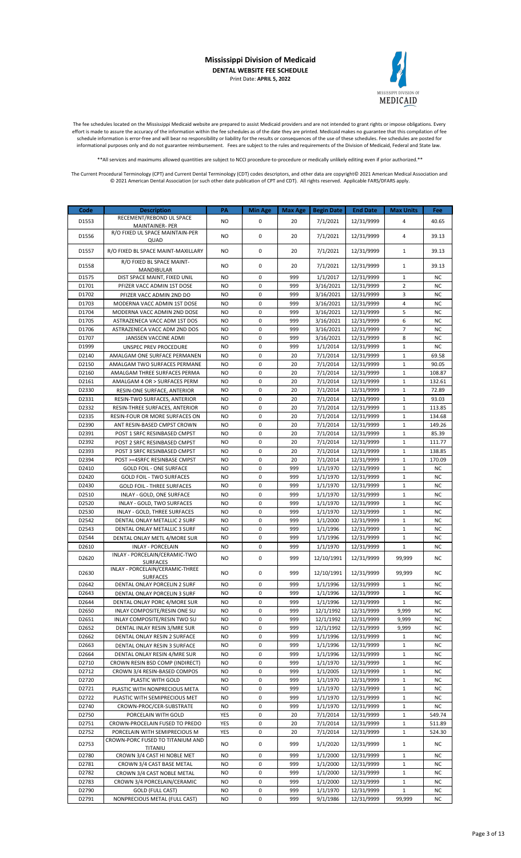

The fee schedules located on the Mississippi Medicaid website are prepared to assist Medicaid providers and are not intended to grant rights or impose obligations. Every effort is made to assure the accuracy of the information within the fee schedules as of the date they are printed. Medicaid makes no guarantee that this compilation of fee schedule information is error-free and will bear no responsibility or liability for the results or consequences of the use of these schedules. Fee schedules are posted for informational purposes only and do not guarantee reimbursement. Fees are subject to the rules and requirements of the Division of Medicaid, Federal and State law.

\*\*All services and maximums allowed quantities are subject to NCCI procedure-to-procedure or medically unlikely editing even if prior authorized.\*\*

| Code  | <b>Description</b>                                 | PA        | <b>Min Age</b> | Max Age | <b>Begin Date</b> | <b>End Date</b> | <b>Max Units</b> | Fee       |
|-------|----------------------------------------------------|-----------|----------------|---------|-------------------|-----------------|------------------|-----------|
|       | RECEMENT/REBOND UL SPACE                           |           |                |         |                   |                 |                  |           |
| D1553 | <b>MAINTAINER-PER</b>                              | NO        | 0              | 20      | 7/1/2021          | 12/31/9999      | 4                | 40.65     |
| D1556 | R/O FIXED UL SPACE MAINTAIN-PER                    | NO        | 0              | 20      | 7/1/2021          | 12/31/9999      | 4                | 39.13     |
|       | QUAD                                               |           |                |         |                   |                 |                  |           |
| D1557 | R/O FIXED BL SPACE MAINT-MAXILLARY                 | NO        | $\mathbf 0$    | 20      | 7/1/2021          | 12/31/9999      | $\mathbf{1}$     | 39.13     |
|       | R/O FIXED BL SPACE MAINT-                          |           |                |         |                   |                 |                  |           |
| D1558 | MANDIBULAR                                         | NO.       | 0              | 20      | 7/1/2021          | 12/31/9999      | $\mathbf{1}$     | 39.13     |
| D1575 | DIST SPACE MAINT, FIXED UNIL                       | <b>NO</b> | $\mathbf 0$    | 999     | 1/1/2017          | 12/31/9999      | $\mathbf 1$      | <b>NC</b> |
| D1701 | PFIZER VACC ADMIN 1ST DOSE                         | <b>NO</b> | 0              | 999     | 3/16/2021         | 12/31/9999      | $\overline{2}$   | <b>NC</b> |
| D1702 | PFIZER VACC ADMIN 2ND DO                           | <b>NO</b> | 0              | 999     | 3/16/2021         | 12/31/9999      | 3                | <b>NC</b> |
| D1703 | MODERNA VACC ADMIN 1ST DOSE                        | <b>NO</b> | $\mathbf 0$    | 999     | 3/16/2021         | 12/31/9999      | $\overline{4}$   | <b>NC</b> |
| D1704 | MODERNA VACC ADMIN 2ND DOSE                        | <b>NO</b> | $\mathbf 0$    | 999     | 3/16/2021         | 12/31/9999      | 5                | <b>NC</b> |
| D1705 | ASTRAZENECA VACC ADM 1ST DOS                       | NO        | $\mathbf 0$    | 999     | 3/16/2021         | 12/31/9999      | 6                | <b>NC</b> |
| D1706 | ASTRAZENECA VACC ADM 2ND DOS                       | <b>NO</b> | 0              | 999     | 3/16/2021         | 12/31/9999      | 7                | <b>NC</b> |
| D1707 | JANSSEN VACCINE ADMI                               | <b>NO</b> | $\mathbf 0$    | 999     | 3/16/2021         | 12/31/9999      | 8                | <b>NC</b> |
| D1999 | UNSPEC PREV PROCEDURE                              | NO        | $\mathbf 0$    | 999     | 1/1/2014          | 12/31/9999      | $\mathbf 1$      | <b>NC</b> |
| D2140 | AMALGAM ONE SURFACE PERMANEN                       | NO.       | $\mathbf 0$    | 20      | 7/1/2014          | 12/31/9999      | $\mathbf{1}$     | 69.58     |
| D2150 | AMALGAM TWO SURFACES PERMANE                       | <b>NO</b> | $\mathbf 0$    | 20      | 7/1/2014          | 12/31/9999      | $\mathbf 1$      | 90.05     |
| D2160 | AMALGAM THREE SURFACES PERMA                       | <b>NO</b> | 0              | 20      | 7/1/2014          | 12/31/9999      | $\mathbf{1}$     | 108.87    |
| D2161 | AMALGAM 4 OR > SURFACES PERM                       | <b>NO</b> | 0              | 20      | 7/1/2014          | 12/31/9999      | $\mathbf{1}$     | 132.61    |
| D2330 | RESIN-ONE SURFACE, ANTERIOR                        | <b>NO</b> | $\mathbf 0$    | 20      | 7/1/2014          | 12/31/9999      | $\mathbf{1}$     | 72.89     |
| D2331 | RESIN-TWO SURFACES, ANTERIOR                       | <b>NO</b> | $\mathbf 0$    | 20      | 7/1/2014          | 12/31/9999      | $\mathbf{1}$     | 93.03     |
| D2332 | RESIN-THREE SURFACES, ANTERIOR                     | <b>NO</b> | $\mathbf 0$    | 20      | 7/1/2014          | 12/31/9999      | $\mathbf{1}$     | 113.85    |
| D2335 | RESIN-FOUR OR MORE SURFACES ON                     | <b>NO</b> | 0              | 20      | 7/1/2014          | 12/31/9999      | $\mathbf{1}$     | 134.68    |
| D2390 | ANT RESIN-BASED CMPST CROWN                        | <b>NO</b> | $\mathbf 0$    | 20      | 7/1/2014          | 12/31/9999      | $\mathbf{1}$     | 149.26    |
| D2391 | POST 1 SRFC RESINBASED CMPST                       | NO        | $\mathbf 0$    | 20      | 7/1/2014          | 12/31/9999      | $\mathbf{1}$     | 85.39     |
| D2392 | POST 2 SRFC RESINBASED CMPST                       | NO.       | $\mathbf 0$    | 20      | 7/1/2014          | 12/31/9999      | $\mathbf 1$      | 111.77    |
| D2393 |                                                    | <b>NO</b> | $\mathbf 0$    | 20      | 7/1/2014          |                 | $\mathbf 1$      | 138.85    |
|       | POST 3 SRFC RESINBASED CMPST                       |           |                |         |                   | 12/31/9999      |                  |           |
| D2394 | POST >=4SRFC RESINBASE CMPST                       | <b>NO</b> | 0              | 20      | 7/1/2014          | 12/31/9999      | $\mathbf{1}$     | 170.09    |
| D2410 | <b>GOLD FOIL - ONE SURFACE</b>                     | <b>NO</b> | 0              | 999     | 1/1/1970          | 12/31/9999      | $\mathbf{1}$     | <b>NC</b> |
| D2420 | <b>GOLD FOIL - TWO SURFACES</b>                    | NO        | $\mathbf 0$    | 999     | 1/1/1970          | 12/31/9999      | $\mathbf 1$      | <b>NC</b> |
| D2430 | <b>GOLD FOIL - THREE SURFACES</b>                  | NO        | $\mathbf 0$    | 999     | 1/1/1970          | 12/31/9999      | $\mathbf{1}$     | <b>NC</b> |
| D2510 | INLAY - GOLD, ONE SURFACE                          | NO        | $\mathbf 0$    | 999     | 1/1/1970          | 12/31/9999      | $\mathbf{1}$     | <b>NC</b> |
| D2520 | INLAY - GOLD, TWO SURFACES                         | <b>NO</b> | 0              | 999     | 1/1/1970          | 12/31/9999      | $\mathbf{1}$     | <b>NC</b> |
| D2530 | INLAY - GOLD, THREE SURFACES                       | <b>NO</b> | $\mathbf 0$    | 999     | 1/1/1970          | 12/31/9999      | $\mathbf{1}$     | <b>NC</b> |
| D2542 | DENTAL ONLAY METALLIC 2 SURF                       | <b>NO</b> | $\mathbf 0$    | 999     | 1/1/2000          | 12/31/9999      | $\mathbf{1}$     | <b>NC</b> |
| D2543 | DENTAL ONLAY METALLIC 3 SURF                       | <b>NO</b> | $\mathbf 0$    | 999     | 1/1/1996          | 12/31/9999      | $\mathbf{1}$     | <b>NC</b> |
| D2544 | DENTAL ONLAY METL 4/MORE SUR                       | <b>NO</b> | $\mathbf 0$    | 999     | 1/1/1996          | 12/31/9999      | $\mathbf 1$      | <b>NC</b> |
| D2610 | <b>INLAY - PORCELAIN</b>                           | <b>NO</b> | 0              | 999     | 1/1/1970          | 12/31/9999      | $\mathbf{1}$     | <b>NC</b> |
| D2620 | INLAY - PORCELAIN/CERAMIC-TWO                      | NO        | 0              | 999     | 12/10/1991        | 12/31/9999      | 99,999           | NC        |
|       | <b>SURFACES</b><br>INLAY - PORCELAIN/CERAMIC-THREE |           |                |         |                   |                 |                  |           |
| D2630 | SURFACES                                           | NO        | 0              | 999     | 12/10/1991        | 12/31/9999      | 99,999           | NC        |
| D2642 | DENTAL ONLAY PORCELIN 2 SURF                       | NO.       | U              | 999     | 1/1/1996          | 12/31/9999      | т.               | NC.       |
| D2643 | DENTAL ONLAY PORCELIN 3 SURF                       | NO.       | 0              | 999     | 1/1/1996          | 12/31/9999      | $\mathbf{1}$     | ΝC        |
| D2644 | DENTAL ONLAY PORC 4/MORE SUR                       | NO        | 0              | 999     | 1/1/1996          | 12/31/9999      | $1\,$            | NC        |
| D2650 | INLAY COMPOSITE/RESIN ONE SU                       | NO.       | 0              | 999     | 12/1/1992         | 12/31/9999      | 9,999            | NC        |
| D2651 | INLAY COMPOSITE/RESIN TWO SU                       | NO.       | 0              | 999     | 12/1/1992         | 12/31/9999      | 9,999            | ΝC        |
| D2652 | DENTAL INLAY RESIN 3/MRE SUR                       | NO        | 0              | 999     | 12/1/1992         | 12/31/9999      | 9,999            | NC        |
| D2662 | DENTAL ONLAY RESIN 2 SURFACE                       | NO        | 0              | 999     | 1/1/1996          | 12/31/9999      | 1                | ΝC        |
| D2663 | DENTAL ONLAY RESIN 3 SURFACE                       | NO.       | 0              | 999     | 1/1/1996          | 12/31/9999      | $\mathbf{1}$     | NC        |
| D2664 | DENTAL ONLAY RESIN 4/MRE SUR                       | NO        | 0              | 999     | 1/1/1996          | 12/31/9999      | 1                | ΝC        |
| D2710 | CROWN RESIN BSD COMP (INDIRECT)                    | NO.       | 0              | 999     | 1/1/1970          | 12/31/9999      | 1                | ΝC        |
| D2712 | CROWN 3/4 RESIN-BASED COMPOS                       | NO.       | 0              | 999     | 1/1/2005          | 12/31/9999      | $\mathbf{1}$     | <b>NC</b> |
| D2720 | PLASTIC WITH GOLD                                  | NO        | 0              | 999     | 1/1/1970          | 12/31/9999      | $\mathbf 1$      | ΝC        |
| D2721 | PLASTIC WITH NONPRECIOUS META                      | NO.       | 0              | 999     | 1/1/1970          | 12/31/9999      | $1\,$            | ΝC        |
| D2722 | PLASTIC WITH SEMIPRECIOUS MET                      | NO        | 0              | 999     | 1/1/1970          | 12/31/9999      | $\mathbf{1}$     | ΝC        |
| D2740 | CROWN-PROC/CER-SUBSTRATE                           | NO.       | 0              | 999     | 1/1/1970          | 12/31/9999      | 1                | NC.       |
| D2750 | PORCELAIN WITH GOLD                                | YES       | 0              | 20      | 7/1/2014          | 12/31/9999      | $\mathbf{1}$     | 549.74    |
| D2751 | CROWN-PROCELAIN FUSED TO PREDO                     | YES       | 0              | 20      | 7/1/2014          | 12/31/9999      | $1\,$            | 511.89    |
| D2752 | PORCELAIN WITH SEMIPRECIOUS M                      | YES       | 0              | 20      | 7/1/2014          | 12/31/9999      | $\mathbf{1}$     | 524.30    |
|       | CROWN-PORC FUSED TO TITANIUM AND                   |           |                |         |                   |                 |                  |           |
| D2753 | TITANIU                                            | NO        | 0              | 999     | 1/1/2020          | 12/31/9999      | $\mathbf{1}$     | NC.       |
| D2780 | CROWN 3/4 CAST HI NOBLE MET                        | NO        | 0              | 999     | 1/1/2000          | 12/31/9999      | 1                | NC        |
| D2781 | CROWN 3/4 CAST BASE METAL                          | NO.       | 0              | 999     | 1/1/2000          | 12/31/9999      | $1\,$            | ΝC        |
| D2782 | CROWN 3/4 CAST NOBLE METAL                         | NO.       | 0              | 999     | 1/1/2000          | 12/31/9999      | $\mathbf{1}$     | NC        |
| D2783 | CROWN 3/4 PORCELAIN/CERAMIC                        | NO.       | 0              | 999     | 1/1/2000          | 12/31/9999      | $\mathbf{1}$     | NC        |
| D2790 | <b>GOLD (FULL CAST)</b>                            | NO        | 0              | 999     | 1/1/1970          | 12/31/9999      | $\mathbf{1}$     | ΝC        |
| D2791 | NONPRECIOUS METAL (FULL CAST)                      | NO        | 0              | 999     | 9/1/1986          | 12/31/9999      | 99,999           | NC        |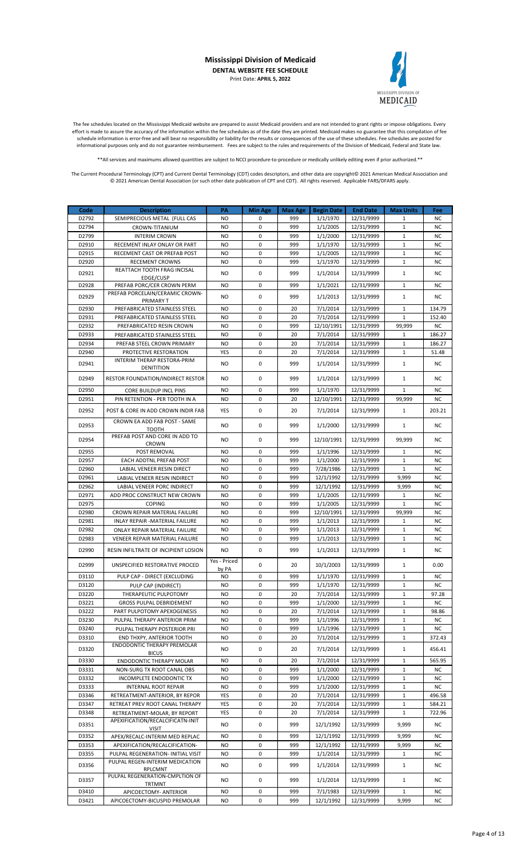

The fee schedules located on the Mississippi Medicaid website are prepared to assist Medicaid providers and are not intended to grant rights or impose obligations. Every effort is made to assure the accuracy of the information within the fee schedules as of the date they are printed. Medicaid makes no guarantee that this compilation of fee schedule information is error-free and will bear no responsibility or liability for the results or consequences of the use of these schedules. Fee schedules are posted for informational purposes only and do not guarantee reimbursement. Fees are subject to the rules and requirements of the Division of Medicaid, Federal and State law.

\*\*All services and maximums allowed quantities are subject to NCCI procedure-to-procedure or medically unlikely editing even if prior authorized.\*\*

| Code           | <b>Description</b>                                               | PA           | Min Age          | Max Age    | <b>Begin Date</b>      | <b>End Date</b>          | <b>Max Units</b>       | Fee                    |
|----------------|------------------------------------------------------------------|--------------|------------------|------------|------------------------|--------------------------|------------------------|------------------------|
| D2792          | SEMIPRECIOUS METAL (FULL CAS                                     | NO           | 0                | 999        | 1/1/1970               | 12/31/9999               | $\mathbf{1}$           | <b>NC</b>              |
| D2794          | CROWN-TITANIUM                                                   | NO           | 0                | 999        | 1/1/2005               | 12/31/9999               | $\mathbf{1}$           | <b>NC</b>              |
| D2799          | <b>INTERIM CROWN</b>                                             | NO           | 0                | 999        | 1/1/2000               | 12/31/9999               | $\mathbf{1}$           | <b>NC</b>              |
| D2910          | RECEMENT INLAY ONLAY OR PART                                     | NO           | $\mathbf 0$      | 999        | 1/1/1970               | 12/31/9999               | $\mathbf 1$            | <b>NC</b>              |
| D2915          | RECEMENT CAST OR PREFAB POST                                     | NO           | $\mathbf 0$      | 999        | 1/1/2005               | 12/31/9999               | $\mathbf{1}$           | <b>NC</b>              |
| D2920          | <b>RECEMENT CROWNS</b><br>REATTACH TOOTH FRAG INCISAL            | <b>NO</b>    | 0                | 999        | 1/1/1970               | 12/31/9999               | $\mathbf{1}$           | <b>NC</b>              |
| D2921          | EDGE/CUSP                                                        | NO           | 0                | 999        | 1/1/2014               | 12/31/9999               | $\mathbf{1}$           | <b>NC</b>              |
| D2928          | PREFAB PORC/CER CROWN PERM                                       | NO           | $\mathbf 0$      | 999        | 1/1/2021               | 12/31/9999               | $\mathbf{1}$           | <b>NC</b>              |
| D2929          | PREFAB PORCELAIN/CERAMIC CROWN-                                  | NO           | $\mathbf 0$      | 999        | 1/1/2013               | 12/31/9999               | $\mathbf{1}$           | <b>NC</b>              |
|                | PRIMARY T                                                        |              |                  |            |                        |                          |                        |                        |
| D2930          | PREFABRICATED STAINLESS STEEL                                    | NO           | 0                | 20         | 7/1/2014               | 12/31/9999               | $\mathbf{1}$           | 134.79                 |
| D2931<br>D2932 | PREFABRICATED STAINLESS STEEL<br>PREFABRICATED RESIN CROWN       | NO<br>NO     | 0<br>$\mathbf 0$ | 20<br>999  | 7/1/2014<br>12/10/1991 | 12/31/9999<br>12/31/9999 | $\mathbf{1}$<br>99,999 | 152.40<br>NC           |
| D2933          | PREFABRICATED STAINLESS STEEL                                    | NO           | 0                | 20         | 7/1/2014               | 12/31/9999               | $\mathbf{1}$           | 186.27                 |
| D2934          | PREFAB STEEL CROWN PRIMARY                                       | <b>NO</b>    | 0                | 20         | 7/1/2014               | 12/31/9999               | $\mathbf{1}$           | 186.27                 |
| D2940          | PROTECTIVE RESTORATION                                           | YES          | $\mathbf 0$      | 20         | 7/1/2014               | 12/31/9999               | $\mathbf{1}$           | 51.48                  |
| D2941          | INTERIM THERAP RESTORA-PRIM                                      | NO.          | 0                | 999        | 1/1/2014               | 12/31/9999               | $\mathbf{1}$           | NC.                    |
|                | DENITITION                                                       |              |                  |            |                        |                          |                        |                        |
| D2949          | <b>RESTOR FOUNDATION/INDIRECT RESTOR</b>                         | NO           | 0                | 999        | 1/1/2014               | 12/31/9999               | $\mathbf{1}$           | ΝC                     |
| D2950          | <b>CORE BUILDUP INCL PINS</b>                                    | NO           | 0                | 999        | 1/1/1970               | 12/31/9999               | $\mathbf{1}$           | NC                     |
| D2951          | PIN RETENTION - PER TOOTH IN A                                   | NO           | 0                | 20         | 12/10/1991             | 12/31/9999               | 99,999                 | NC                     |
| D2952          |                                                                  | <b>YES</b>   | $\mathbf 0$      | 20         |                        | 12/31/9999               | $\mathbf{1}$           | 203.21                 |
|                | POST & CORE IN ADD CROWN INDIR FAB                               |              |                  |            | 7/1/2014               |                          |                        |                        |
| D2953          | CROWN EA ADD FAB POST - SAME<br><b>TOOTH</b>                     | NO.          | 0                | 999        | 1/1/2000               | 12/31/9999               | $\mathbf{1}$           | NC.                    |
|                | PREFAB POST AND CORE IN ADD TO                                   |              |                  |            |                        |                          |                        |                        |
| D2954          | <b>CROWN</b>                                                     | NO           | $\mathbf 0$      | 999        | 12/10/1991             | 12/31/9999               | 99,999                 | NC.                    |
| D2955          | POST REMOVAL                                                     | NO           | 0                | 999        | 1/1/1996               | 12/31/9999               | $\mathbf{1}$           | <b>NC</b>              |
| D2957          | EACH ADDTNL PREFAB POST                                          | NO           | 0                | 999        | 1/1/2000               | 12/31/9999               | $\mathbf{1}$           | <b>NC</b>              |
| D2960          | LABIAL VENEER RESIN DIRECT                                       | NO           | $\mathbf 0$      | 999        | 7/28/1986              | 12/31/9999               | $\mathbf{1}$           | <b>NC</b>              |
| D2961          | LABIAL VENEER RESIN INDIRECT                                     | <b>NO</b>    | $\mathbf 0$      | 999        | 12/1/1992              | 12/31/9999               | 9,999                  | <b>NC</b>              |
| D2962<br>D2971 | LABIAL VENEER PORC INDIRECT<br>ADD PROC CONSTRUCT NEW CROWN      | NO<br>NO     | 0<br>$\mathbf 0$ | 999<br>999 | 12/1/1992<br>1/1/2005  | 12/31/9999<br>12/31/9999 | 9,999<br>$\mathbf{1}$  | <b>NC</b><br><b>NC</b> |
| D2975          | <b>COPING</b>                                                    | NO           | $\mathbf 0$      | 999        | 1/1/2005               | 12/31/9999               | $\mathbf{1}$           | <b>NC</b>              |
| D2980          | CROWN REPAIR MATERIAL FAILURE                                    | NO           | 0                | 999        | 12/10/1991             | 12/31/9999               | 99,999                 | NC                     |
| D2981          | INLAY REPAIR -MATERIAL FAILURE                                   | NO           | 0                | 999        | 1/1/2013               | 12/31/9999               | $\mathbf{1}$           | <b>NC</b>              |
| D2982          | ONLAY REPAIR MATERIAL FAILURE                                    | NO           | 0                | 999        | 1/1/2013               | 12/31/9999               | $\mathbf{1}$           | <b>NC</b>              |
| D2983          | <b>VENEER REPAIR MATERIAL FAILURE</b>                            | NO.          | 0                | 999        | 1/1/2013               | 12/31/9999               | $\mathbf{1}$           | <b>NC</b>              |
| D2990          | RESIN INFILTRATE OF INCIPIENT LOSION                             | NO           | 0                | 999        | 1/1/2013               | 12/31/9999               | $\mathbf{1}$           | <b>NC</b>              |
|                |                                                                  | Yes - Priced |                  |            |                        |                          |                        |                        |
| D2999          | UNSPECIFIED RESTORATIVE PROCED                                   | by PA        | 0                | 20         | 10/1/2003              | 12/31/9999               | $\mathbf{1}$           | 0.00                   |
| D3110          | PULP CAP - DIRECT (EXCLUDING                                     | NO           | 0                | 999        | 1/1/1970               | 12/31/9999               | $\mathbf{1}$           | <b>NC</b>              |
| D3120          | PULP CAP (INDIRECT)                                              | NO.          | $\mathbf 0$      | 999        | 1/1/1970               | 12/31/9999               | $\mathbf{1}$           | NC.                    |
| D3220          | THERAPEUTIC PULPOTOMY                                            | NO           | 0                | 20         | 7/1/2014               | 12/31/9999               | $\mathbf{1}$           | 97.28                  |
| D3221          | <b>GROSS PULPAL DEBRIDEMENT</b>                                  | NO.          | 0                | 999        | 1/1/2000               | 12/31/9999               | $\mathbf{1}$           | NC.                    |
| D3222          | PART PULPOTOMY APEXOGENESIS                                      | NO           | $\pmb{0}$        | 20         | 7/1/2014               | 12/31/9999               | $\mathbf{1}$           | 98.86                  |
| D3230          | PULPAL THERAPY ANTERIOR PRIM                                     | NO           | 0                | 999        | 1/1/1996               | 12/31/9999               | $\mathbf 1$            | ΝC                     |
| D3240          | PULPAL THERAPY POSTERIOR PRI                                     | NO           | 0                | 999        | 1/1/1996               | 12/31/9999               | $\mathbf{1}$           | ΝC                     |
| D3310          | END THXPY, ANTERIOR TOOTH<br>ENDODONTIC THERAPY PREMOLAR         | NO.          | 0                | 20         | 7/1/2014               | 12/31/9999               | $\mathbf{1}$           | 372.43                 |
| D3320          | <b>BICUS</b>                                                     | NO           | 0                | 20         | 7/1/2014               | 12/31/9999               | $\mathbf{1}$           | 456.41                 |
| D3330          | ENDODONTIC THERAPY MOLAR                                         | NO           | 0                | 20         | 7/1/2014               | 12/31/9999               | $\mathbf{1}$           | 565.95                 |
| D3331          | NON-SURG TX ROOT CANAL OBS                                       | NO           | 0                | 999        | 1/1/2000               | 12/31/9999               | $\mathbf{1}$           | ΝC                     |
| D3332          | INCOMPLETE ENDODONTIC TX                                         | NO           | 0                | 999        | 1/1/2000               | 12/31/9999               | $\mathbf{1}$           | ΝC                     |
| D3333          | <b>INTERNAL ROOT REPAIR</b>                                      | NO           | 0                | 999        | 1/1/2000               | 12/31/9999               | $\mathbf{1}$           | NC                     |
| D3346          | RETREATMENT-ANTERIOR, BY REPOR                                   | YES          | 0                | 20         | 7/1/2014               | 12/31/9999               | $\mathbf{1}$           | 496.58                 |
| D3347          | RETREAT PREV ROOT CANAL THERAPY                                  | YES          | 0                | 20         | 7/1/2014               | 12/31/9999               | $\mathbf 1$            | 584.21                 |
| D3348          | RETREATMENT-MOLAR, BY REPORT<br>APEXIFICATION/RECALCIFICATN-INIT | YES          | 0                | 20         | 7/1/2014               | 12/31/9999               | $\mathbf{1}$           | 722.96                 |
| D3351          | VISIT                                                            | NO           | 0                | 999        | 12/1/1992              | 12/31/9999               | 9,999                  | ΝC                     |
| D3352          | APEX/RECALC-INTERIM MED REPLAC                                   | NO           | 0                | 999        | 12/1/1992              | 12/31/9999               | 9,999                  | ΝC                     |
| D3353          | APEXIFICATION/RECALCIFICATION-                                   | NO           | 0                | 999        | 12/1/1992              | 12/31/9999               | 9,999                  | NC                     |
| D3355          | PULPAL REGENERATION- INITIAL VISIT                               | NO           | 0                | 999        | 1/1/2014               | 12/31/9999               | $\mathbf{1}$           | ΝC                     |
| D3356          | PULPAL REGEN-INTERIM MEDICATION                                  | NO           | 0                | 999        | 1/1/2014               | 12/31/9999               | $\mathbf{1}$           | ΝC                     |
|                | RPLCMNT<br>PULPAL REGENERATION-CMPLTION OF                       |              |                  |            |                        |                          |                        |                        |
| D3357          | TRTMNT                                                           | NO           | 0                | 999        | 1/1/2014               | 12/31/9999               | $\mathbf{1}$           | ΝC                     |
| D3410          | APICOECTOMY- ANTERIOR                                            | NO           | 0                | 999        | 7/1/1983               | 12/31/9999               | $\mathbf{1}$           | ΝC                     |
| D3421          | APICOECTOMY-BICUSPID PREMOLAR                                    | NO           | 0                | 999        | 12/1/1992              | 12/31/9999               | 9,999                  | ΝC                     |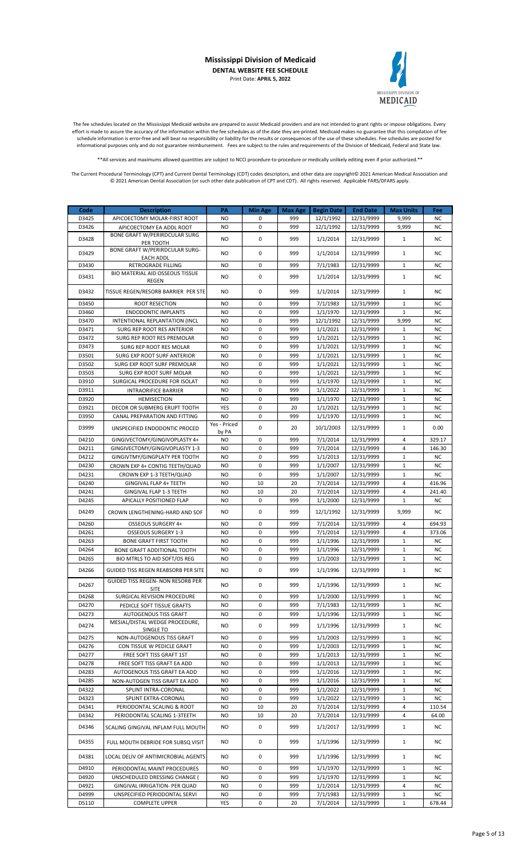

The fee schedules located on the Mississippi Medicaid website are prepared to assist Medicaid providers and are not intended to grant rights or impose obligations. Every effort is made to assure the accuracy of the information within the fee schedules as of the date they are printed. Medicaid makes no guarantee that this compilation of fee schedule information is error-free and will bear no responsibility or liability for the results or consequences of the use of these schedules. Fee schedules are posted for informational purposes only and do not guarantee reimbursement. Fees are subject to the rules and requirements of the Division of Medicaid, Federal and State law.

\*\*All services and maximums allowed quantities are subject to NCCI procedure-to-procedure or medically unlikely editing even if prior authorized.\*\*

| D3425<br>APICOECTOMY MOLAR-FIRST ROOT<br>NO.<br>0<br>999<br>12/1/1992<br>12/31/9999<br>9,999<br><b>NC</b><br>$\mathbf 0$<br>D3426<br><b>NO</b><br>999<br>12/1/1992<br>12/31/9999<br>9,999<br>NC<br>APICOECTOMY EA ADDL ROOT<br>BONE GRAFT W/PERIRDCULAR SURG<br>0<br>999<br>D3428<br>NO.<br>1/1/2014<br>12/31/9999<br>$\mathbf{1}$<br>NC<br>PER TOOTH<br><b>BONE GRAFT W/PERIRDCULAR SURG-</b><br>$\mathbf 0$<br>$\mathbf{1}$<br>NO<br>1/1/2014<br>12/31/9999<br>D3429<br>999<br>ΝC<br><b>EACH ADDL</b><br>0<br>$\mathbf 1$<br><b>RETROGRADE FILLING</b><br><b>NO</b><br>999<br>7/1/1983<br>12/31/9999<br>NC<br>D3430<br><b>BIO MATERIAL AID OSSEOUS TISSUE</b><br>$\mathbf 0$<br>D3431<br>NO.<br>999<br>1/1/2014<br>12/31/9999<br>$\mathbf{1}$<br>NC<br>REGEN<br>0<br>D3432<br><b>NO</b><br>999<br>1/1/2014<br>12/31/9999<br>$\mathbf{1}$<br>TISSUE REGEN/RESORB BARRIER PER STE<br>ΝC<br>D3450<br><b>ROOT RESECTION</b><br>0<br>999<br>7/1/1983<br>12/31/9999<br>$\mathbf{1}$<br><b>NC</b><br>NO<br><b>NO</b><br>$\mathbf 0$<br>999<br><b>NC</b><br>D3460<br>1/1/1970<br>12/31/9999<br>$\mathbf{1}$<br><b>ENDODONTIC IMPLANTS</b><br>0<br>D3470<br><b>NO</b><br>999<br>12/1/1992<br>12/31/9999<br>9,999<br>NC<br>INTENTIONAL REPLANTATION (INCL<br>D3471<br><b>NO</b><br>0<br>999<br>1/1/2021<br>12/31/9999<br>$\mathbf{1}$<br>NC<br>SURG REP ROOT RES ANTERIOR<br>$\mathbf 0$<br>1/1/2021<br>$\mathbf 1$<br>D3472<br>SURG REP ROOT RES PREMOLAR<br><b>NO</b><br>999<br>12/31/9999<br><b>NC</b><br>$\mathbf 0$<br>D3473<br><b>NO</b><br>999<br>1/1/2021<br>12/31/9999<br>$\mathbf{1}$<br>NC<br>SURG REP ROOT RES MOLAR<br>$\mathbf 0$<br>1/1/2021<br>$\mathbf{1}$<br><b>NC</b><br>D3501<br><b>NO</b><br>999<br>12/31/9999<br>SURG EXP ROOT SURF ANTERIOR<br>$\mathbf 0$<br>1/1/2021<br>12/31/9999<br>$\mathbf 1$<br>D3502<br><b>NO</b><br>999<br>NC<br>SURG EXP ROOT SURF PREMOLAR<br>D3503<br>SURG EXP ROOT SURF MOLAR<br><b>NO</b><br>0<br>999<br>1/1/2021<br>12/31/9999<br>$\mathbf{1}$<br>NC<br>$\mathbf 0$<br>$\mathbf 1$<br>D3910<br>SURGICAL PROCEDURE FOR ISOLAT<br>NO.<br>999<br>1/1/1970<br>12/31/9999<br>NC<br>$\mathbf 0$<br>$\mathbf{1}$<br>D3911<br><b>INTRAORIFICE BARRIER</b><br><b>NO</b><br>999<br>1/1/2022<br>12/31/9999<br><b>NC</b><br>D3920<br><b>NO</b><br>0<br>999<br>1/1/1970<br>12/31/9999<br>$\mathbf{1}$<br>NC<br><b>HEMISECTION</b><br>YES<br>0<br>$\mathbf 1$<br>D3921<br>20<br>1/1/2021<br>12/31/9999<br>NC<br><b>DECOR OR SUBMERG ERUPT TOOTH</b><br>D3950<br>CANAL PREPARATION AND FITTING<br><b>NO</b><br>0<br>999<br>1/1/1970<br>12/31/9999<br>$\mathbf{1}$<br>NC<br>Yes - Priced<br>0<br>$\mathbf 1$<br>D3999<br>20<br>10/1/2003<br>12/31/9999<br>0.00<br>UNSPECIFIED ENDODONTIC PROCED<br>by PA<br>D4210<br>GINGIVECTOMY/GINGIVOPLASTY 4+<br><b>NO</b><br>0<br>999<br>7/1/2014<br>12/31/9999<br>$\overline{4}$<br>329.17<br>0<br>7/1/2014<br>$\overline{4}$<br>D4211<br>GINGIVECTOMY/GINGIVOPLASTY 1-3<br>NO.<br>999<br>12/31/9999<br>146.30<br>$\mathbf 0$<br>D4212<br><b>NO</b><br>999<br>1/1/2013<br>12/31/9999<br>$\mathbf{1}$<br><b>NC</b><br>GINGIVTMY/GINGPLATY PER TOOTH<br>$\mathbf 0$<br>1/1/2007<br>$\mathbf{1}$<br>D4230<br>CROWN EXP 4+ CONTIG TEETH/QUAD<br><b>NO</b><br>999<br>12/31/9999<br><b>NC</b><br>0<br>1/1/2007<br>$\mathbf{1}$<br><b>NC</b><br>D4231<br>CROWN EXP 1-3 TEETH/QUAD<br>NO<br>999<br>12/31/9999<br>10<br>D4240<br><b>NO</b><br>7/1/2014<br>$\overline{4}$<br><b>GINGIVAL FLAP 4+ TEETH</b><br>20<br>12/31/9999<br>416.96<br>10<br>7/1/2014<br>$\overline{4}$<br>D4241<br>GINGIVAL FLAP 1-3 TEETH<br><b>NO</b><br>20<br>12/31/9999<br>241.40<br>D4245<br><b>NO</b><br>0<br>999<br>1/1/2000<br>12/31/9999<br>$\mathbf{1}$<br><b>NC</b><br>APICALLY POSITIONED FLAP<br>0<br>12/31/9999<br>D4249<br>CROWN LENGTHENING-HARD AND SOF<br>NO.<br>999<br>12/1/1992<br>9,999<br><b>NC</b><br>$\mathbf 0$<br>999<br>7/1/2014<br>$\overline{4}$<br>D4260<br>OSSEOUS SURGERY 4+<br><b>NO</b><br>12/31/9999<br>694.93<br>0<br>7/1/2014<br>$\overline{4}$<br>D4261<br>OSSEOUS SURGERY 1-3<br><b>NO</b><br>999<br>12/31/9999<br>373.06<br>0<br>D4263<br><b>BONE GRAFT FIRST TOOTH</b><br><b>NO</b><br>999<br>1/1/1996<br>12/31/9999<br>$\mathbf{1}$<br><b>NC</b><br>0<br>1/1/1996<br>$\mathbf{1}$<br><b>NC</b><br>D4264<br>BONE GRAFT ADDITIONAL TOOTH<br>NO<br>999<br>12/31/9999<br>$\mathbf 0$<br>1/1/2003<br>$\mathbf 1$<br>D4265<br>999<br>12/31/9999<br><b>NC</b><br>BIO MTRLS TO AID SOFT/OS REG<br>NO<br>$\mathbf 0$<br>$\mathbf 1$<br>D4266<br><b>NO</b><br>999<br>1/1/1996<br>12/31/9999<br><b>NC</b><br><b>GUIDED TISS REGEN REABSORB PER SITE</b><br><b>GUIDED TISS REGEN- NON RESORB PER</b><br>D4267<br>999<br>1/1/1996<br>12/31/9999<br>NO.<br>0<br>$\mathbf{1}$<br>NC<br>SITE<br>SURGICAL REVISION PROCEDURE<br>1/1/2000<br>12/31/9999<br>D4268<br>NO.<br>0<br>999<br>1<br>ΝC<br>D4270<br>PEDICLE SOFT TISSUE GRAFTS<br>NO.<br>0<br>999<br>7/1/1983<br>12/31/9999<br>$1\,$<br>NC<br>0<br>D4273<br>NO.<br>999<br>1/1/1996<br>12/31/9999<br>$\mathbf{1}$<br>NC<br>AUTOGENOUS TISS GRAFT<br>MESIAL/DISTAL WEDGE PROCEDURE,<br>D4274<br>NO.<br>0<br>999<br>1/1/1996<br>12/31/9999<br>$\mathbf{1}$<br>ΝC<br>SINGLE TO<br>0<br>1/1/2003<br>$\mathbf 1$<br>D4275<br>NO.<br>999<br>12/31/9999<br>NC<br>NON-AUTOGENOUS TISS GRAFT<br>D4276<br>NO.<br>0<br>999<br>1/1/2003<br>12/31/9999<br>$1\,$<br>NC<br>CON TISSUE W PEDICLE GRAFT<br>0<br>1/1/2013<br>$\mathbf 1$<br>D4277<br>FREE SOFT TISS GRAFT 1ST<br>NO.<br>999<br>12/31/9999<br><b>NC</b><br>0<br>D4278<br>FREE SOFT TISS GRAFT EA ADD<br>NO.<br>999<br>1/1/2013<br>12/31/9999<br>1<br>ΝC<br>0<br>D4283<br>NO.<br>999<br>1/1/2016<br>12/31/9999<br>$\mathbf{1}$<br>NC<br>AUTOGENOUS TISS GRAFT EA ADD<br>D4285<br>0<br>1/1/2016<br>$\mathbf 1$<br>NO.<br>999<br>12/31/9999<br>NC<br>NON-AUTOGEN TISS GRAFT EA ADD<br>D4322<br>SPLINT INTRA-CORONAL<br>NO.<br>0<br>999<br>1/1/2022<br>12/31/9999<br>NC<br>1<br>D4323<br>SPLINT EXTRA-CORONAL<br>NO.<br>0<br>999<br>1/1/2022<br>12/31/9999<br>$\mathbf{1}$<br>NC.<br>10<br>7/1/2014<br>4<br>D4341<br>PERIODONTAL SCALING & ROOT<br>NO.<br>20<br>12/31/9999<br>110.54<br>D4342<br>NO.<br>10<br>20<br>7/1/2014<br>12/31/9999<br>4<br>64.00<br>PERIODONTAL SCALING 1-3TEETH<br>0<br>D4346<br>SCALING GINGIVAL INFLAM FULL MOUTH<br>NO.<br>999<br>1/1/2017<br>12/31/9999<br>$\mathbf{1}$<br>NC.<br>D4355<br>FULL MOUTH DEBRIDE FOR SUBSQ VISIT<br>NO.<br>0<br>999<br>1/1/1996<br>12/31/9999<br>$\mathbf{1}$<br>NC<br>D4381<br>0<br>999<br>1/1/1996<br>12/31/9999<br>$\mathbf{1}$<br>LOCAL DELIV OF ANTIMICROBIAL AGENTS<br>NO.<br>ΝC<br>D4910<br>PERIODONTAL MAINT PROCEDURES<br>NO.<br>0<br>999<br>1/1/1970<br>12/31/9999<br>$\mathbf{1}$<br><b>NC</b><br>1/1/1970<br>D4920<br>UNSCHEDULED DRESSING CHANGE (<br>0<br>999<br>12/31/9999<br>NC<br>NO.<br>1<br>D4921<br>0<br>999<br>1/1/2014<br>12/31/9999<br>4<br>GINGIVAL IRRIGATION- PER QUAD<br>NO.<br>ΝC<br>D4999<br>NO.<br>0<br>999<br>7/1/1983<br>12/31/9999<br>$1\,$<br>NC<br>UNSPECIFIED PERIODONTAL SERVI | Code  | <b>Description</b>    | PA  | <b>Min Age</b> | Max Age | <b>Begin Date</b> | <b>End Date</b> | <b>Max Units</b> | Fee    |
|---------------------------------------------------------------------------------------------------------------------------------------------------------------------------------------------------------------------------------------------------------------------------------------------------------------------------------------------------------------------------------------------------------------------------------------------------------------------------------------------------------------------------------------------------------------------------------------------------------------------------------------------------------------------------------------------------------------------------------------------------------------------------------------------------------------------------------------------------------------------------------------------------------------------------------------------------------------------------------------------------------------------------------------------------------------------------------------------------------------------------------------------------------------------------------------------------------------------------------------------------------------------------------------------------------------------------------------------------------------------------------------------------------------------------------------------------------------------------------------------------------------------------------------------------------------------------------------------------------------------------------------------------------------------------------------------------------------------------------------------------------------------------------------------------------------------------------------------------------------------------------------------------------------------------------------------------------------------------------------------------------------------------------------------------------------------------------------------------------------------------------------------------------------------------------------------------------------------------------------------------------------------------------------------------------------------------------------------------------------------------------------------------------------------------------------------------------------------------------------------------------------------------------------------------------------------------------------------------------------------------------------------------------------------------------------------------------------------------------------------------------------------------------------------------------------------------------------------------------------------------------------------------------------------------------------------------------------------------------------------------------------------------------------------------------------------------------------------------------------------------------------------------------------------------------------------------------------------------------------------------------------------------------------------------------------------------------------------------------------------------------------------------------------------------------------------------------------------------------------------------------------------------------------------------------------------------------------------------------------------------------------------------------------------------------------------------------------------------------------------------------------------------------------------------------------------------------------------------------------------------------------------------------------------------------------------------------------------------------------------------------------------------------------------------------------------------------------------------------------------------------------------------------------------------------------------------------------------------------------------------------------------------------------------------------------------------------------------------------------------------------------------------------------------------------------------------------------------------------------------------------------------------------------------------------------------------------------------------------------------------------------------------------------------------------------------------------------------------------------------------------------------------------------------------------------------------------------------------------------------------------------------------------------------------------------------------------------------------------------------------------------------------------------------------------------------------------------------------------------------------------------------------------------------------------------------------------------------------------------------------------------------------------------------------------------------------------------------------------------------------------------------------------------------------------------------------------------------------------------------------------------------------------------------------------------------------------------------------------------------------------------------------------------------------------------------------------------------------------------------------------------------------------------------------------------------------------------------------------------------------------------------------------------------------------------------------------------------------------------------------------------------------------------------------------------------------------------------------------------------------------------------------------------------------------------------------------------------------------------------------------------------------------------------------------------------------------------------------------------------------------------------------------------------------------------------------------------------------------------------------------------------------------------------------------------------------------------------------------------------------------------------------------------------------------------------------------------------------------------------------------------------------------------------------------------------------------------------------------------------------------------------------------------------------------------------------------------------------------------------------------------------------------------|-------|-----------------------|-----|----------------|---------|-------------------|-----------------|------------------|--------|
|                                                                                                                                                                                                                                                                                                                                                                                                                                                                                                                                                                                                                                                                                                                                                                                                                                                                                                                                                                                                                                                                                                                                                                                                                                                                                                                                                                                                                                                                                                                                                                                                                                                                                                                                                                                                                                                                                                                                                                                                                                                                                                                                                                                                                                                                                                                                                                                                                                                                                                                                                                                                                                                                                                                                                                                                                                                                                                                                                                                                                                                                                                                                                                                                                                                                                                                                                                                                                                                                                                                                                                                                                                                                                                                                                                                                                                                                                                                                                                                                                                                                                                                                                                                                                                                                                                                                                                                                                                                                                                                                                                                                                                                                                                                                                                                                                                                                                                                                                                                                                                                                                                                                                                                                                                                                                                                                                                                                                                                                                                                                                                                                                                                                                                                                                                                                                                                                                                                                                                                                                                                                                                                                                                                                                                                                                                                                                                                                                                                                                                                                                                                                                                                                                                                                                                                                                                                                                                                                                                                                                                       |       |                       |     |                |         |                   |                 |                  |        |
|                                                                                                                                                                                                                                                                                                                                                                                                                                                                                                                                                                                                                                                                                                                                                                                                                                                                                                                                                                                                                                                                                                                                                                                                                                                                                                                                                                                                                                                                                                                                                                                                                                                                                                                                                                                                                                                                                                                                                                                                                                                                                                                                                                                                                                                                                                                                                                                                                                                                                                                                                                                                                                                                                                                                                                                                                                                                                                                                                                                                                                                                                                                                                                                                                                                                                                                                                                                                                                                                                                                                                                                                                                                                                                                                                                                                                                                                                                                                                                                                                                                                                                                                                                                                                                                                                                                                                                                                                                                                                                                                                                                                                                                                                                                                                                                                                                                                                                                                                                                                                                                                                                                                                                                                                                                                                                                                                                                                                                                                                                                                                                                                                                                                                                                                                                                                                                                                                                                                                                                                                                                                                                                                                                                                                                                                                                                                                                                                                                                                                                                                                                                                                                                                                                                                                                                                                                                                                                                                                                                                                                       |       |                       |     |                |         |                   |                 |                  |        |
|                                                                                                                                                                                                                                                                                                                                                                                                                                                                                                                                                                                                                                                                                                                                                                                                                                                                                                                                                                                                                                                                                                                                                                                                                                                                                                                                                                                                                                                                                                                                                                                                                                                                                                                                                                                                                                                                                                                                                                                                                                                                                                                                                                                                                                                                                                                                                                                                                                                                                                                                                                                                                                                                                                                                                                                                                                                                                                                                                                                                                                                                                                                                                                                                                                                                                                                                                                                                                                                                                                                                                                                                                                                                                                                                                                                                                                                                                                                                                                                                                                                                                                                                                                                                                                                                                                                                                                                                                                                                                                                                                                                                                                                                                                                                                                                                                                                                                                                                                                                                                                                                                                                                                                                                                                                                                                                                                                                                                                                                                                                                                                                                                                                                                                                                                                                                                                                                                                                                                                                                                                                                                                                                                                                                                                                                                                                                                                                                                                                                                                                                                                                                                                                                                                                                                                                                                                                                                                                                                                                                                                       |       |                       |     |                |         |                   |                 |                  |        |
|                                                                                                                                                                                                                                                                                                                                                                                                                                                                                                                                                                                                                                                                                                                                                                                                                                                                                                                                                                                                                                                                                                                                                                                                                                                                                                                                                                                                                                                                                                                                                                                                                                                                                                                                                                                                                                                                                                                                                                                                                                                                                                                                                                                                                                                                                                                                                                                                                                                                                                                                                                                                                                                                                                                                                                                                                                                                                                                                                                                                                                                                                                                                                                                                                                                                                                                                                                                                                                                                                                                                                                                                                                                                                                                                                                                                                                                                                                                                                                                                                                                                                                                                                                                                                                                                                                                                                                                                                                                                                                                                                                                                                                                                                                                                                                                                                                                                                                                                                                                                                                                                                                                                                                                                                                                                                                                                                                                                                                                                                                                                                                                                                                                                                                                                                                                                                                                                                                                                                                                                                                                                                                                                                                                                                                                                                                                                                                                                                                                                                                                                                                                                                                                                                                                                                                                                                                                                                                                                                                                                                                       |       |                       |     |                |         |                   |                 |                  |        |
|                                                                                                                                                                                                                                                                                                                                                                                                                                                                                                                                                                                                                                                                                                                                                                                                                                                                                                                                                                                                                                                                                                                                                                                                                                                                                                                                                                                                                                                                                                                                                                                                                                                                                                                                                                                                                                                                                                                                                                                                                                                                                                                                                                                                                                                                                                                                                                                                                                                                                                                                                                                                                                                                                                                                                                                                                                                                                                                                                                                                                                                                                                                                                                                                                                                                                                                                                                                                                                                                                                                                                                                                                                                                                                                                                                                                                                                                                                                                                                                                                                                                                                                                                                                                                                                                                                                                                                                                                                                                                                                                                                                                                                                                                                                                                                                                                                                                                                                                                                                                                                                                                                                                                                                                                                                                                                                                                                                                                                                                                                                                                                                                                                                                                                                                                                                                                                                                                                                                                                                                                                                                                                                                                                                                                                                                                                                                                                                                                                                                                                                                                                                                                                                                                                                                                                                                                                                                                                                                                                                                                                       |       |                       |     |                |         |                   |                 |                  |        |
|                                                                                                                                                                                                                                                                                                                                                                                                                                                                                                                                                                                                                                                                                                                                                                                                                                                                                                                                                                                                                                                                                                                                                                                                                                                                                                                                                                                                                                                                                                                                                                                                                                                                                                                                                                                                                                                                                                                                                                                                                                                                                                                                                                                                                                                                                                                                                                                                                                                                                                                                                                                                                                                                                                                                                                                                                                                                                                                                                                                                                                                                                                                                                                                                                                                                                                                                                                                                                                                                                                                                                                                                                                                                                                                                                                                                                                                                                                                                                                                                                                                                                                                                                                                                                                                                                                                                                                                                                                                                                                                                                                                                                                                                                                                                                                                                                                                                                                                                                                                                                                                                                                                                                                                                                                                                                                                                                                                                                                                                                                                                                                                                                                                                                                                                                                                                                                                                                                                                                                                                                                                                                                                                                                                                                                                                                                                                                                                                                                                                                                                                                                                                                                                                                                                                                                                                                                                                                                                                                                                                                                       |       |                       |     |                |         |                   |                 |                  |        |
|                                                                                                                                                                                                                                                                                                                                                                                                                                                                                                                                                                                                                                                                                                                                                                                                                                                                                                                                                                                                                                                                                                                                                                                                                                                                                                                                                                                                                                                                                                                                                                                                                                                                                                                                                                                                                                                                                                                                                                                                                                                                                                                                                                                                                                                                                                                                                                                                                                                                                                                                                                                                                                                                                                                                                                                                                                                                                                                                                                                                                                                                                                                                                                                                                                                                                                                                                                                                                                                                                                                                                                                                                                                                                                                                                                                                                                                                                                                                                                                                                                                                                                                                                                                                                                                                                                                                                                                                                                                                                                                                                                                                                                                                                                                                                                                                                                                                                                                                                                                                                                                                                                                                                                                                                                                                                                                                                                                                                                                                                                                                                                                                                                                                                                                                                                                                                                                                                                                                                                                                                                                                                                                                                                                                                                                                                                                                                                                                                                                                                                                                                                                                                                                                                                                                                                                                                                                                                                                                                                                                                                       |       |                       |     |                |         |                   |                 |                  |        |
|                                                                                                                                                                                                                                                                                                                                                                                                                                                                                                                                                                                                                                                                                                                                                                                                                                                                                                                                                                                                                                                                                                                                                                                                                                                                                                                                                                                                                                                                                                                                                                                                                                                                                                                                                                                                                                                                                                                                                                                                                                                                                                                                                                                                                                                                                                                                                                                                                                                                                                                                                                                                                                                                                                                                                                                                                                                                                                                                                                                                                                                                                                                                                                                                                                                                                                                                                                                                                                                                                                                                                                                                                                                                                                                                                                                                                                                                                                                                                                                                                                                                                                                                                                                                                                                                                                                                                                                                                                                                                                                                                                                                                                                                                                                                                                                                                                                                                                                                                                                                                                                                                                                                                                                                                                                                                                                                                                                                                                                                                                                                                                                                                                                                                                                                                                                                                                                                                                                                                                                                                                                                                                                                                                                                                                                                                                                                                                                                                                                                                                                                                                                                                                                                                                                                                                                                                                                                                                                                                                                                                                       |       |                       |     |                |         |                   |                 |                  |        |
|                                                                                                                                                                                                                                                                                                                                                                                                                                                                                                                                                                                                                                                                                                                                                                                                                                                                                                                                                                                                                                                                                                                                                                                                                                                                                                                                                                                                                                                                                                                                                                                                                                                                                                                                                                                                                                                                                                                                                                                                                                                                                                                                                                                                                                                                                                                                                                                                                                                                                                                                                                                                                                                                                                                                                                                                                                                                                                                                                                                                                                                                                                                                                                                                                                                                                                                                                                                                                                                                                                                                                                                                                                                                                                                                                                                                                                                                                                                                                                                                                                                                                                                                                                                                                                                                                                                                                                                                                                                                                                                                                                                                                                                                                                                                                                                                                                                                                                                                                                                                                                                                                                                                                                                                                                                                                                                                                                                                                                                                                                                                                                                                                                                                                                                                                                                                                                                                                                                                                                                                                                                                                                                                                                                                                                                                                                                                                                                                                                                                                                                                                                                                                                                                                                                                                                                                                                                                                                                                                                                                                                       |       |                       |     |                |         |                   |                 |                  |        |
|                                                                                                                                                                                                                                                                                                                                                                                                                                                                                                                                                                                                                                                                                                                                                                                                                                                                                                                                                                                                                                                                                                                                                                                                                                                                                                                                                                                                                                                                                                                                                                                                                                                                                                                                                                                                                                                                                                                                                                                                                                                                                                                                                                                                                                                                                                                                                                                                                                                                                                                                                                                                                                                                                                                                                                                                                                                                                                                                                                                                                                                                                                                                                                                                                                                                                                                                                                                                                                                                                                                                                                                                                                                                                                                                                                                                                                                                                                                                                                                                                                                                                                                                                                                                                                                                                                                                                                                                                                                                                                                                                                                                                                                                                                                                                                                                                                                                                                                                                                                                                                                                                                                                                                                                                                                                                                                                                                                                                                                                                                                                                                                                                                                                                                                                                                                                                                                                                                                                                                                                                                                                                                                                                                                                                                                                                                                                                                                                                                                                                                                                                                                                                                                                                                                                                                                                                                                                                                                                                                                                                                       |       |                       |     |                |         |                   |                 |                  |        |
|                                                                                                                                                                                                                                                                                                                                                                                                                                                                                                                                                                                                                                                                                                                                                                                                                                                                                                                                                                                                                                                                                                                                                                                                                                                                                                                                                                                                                                                                                                                                                                                                                                                                                                                                                                                                                                                                                                                                                                                                                                                                                                                                                                                                                                                                                                                                                                                                                                                                                                                                                                                                                                                                                                                                                                                                                                                                                                                                                                                                                                                                                                                                                                                                                                                                                                                                                                                                                                                                                                                                                                                                                                                                                                                                                                                                                                                                                                                                                                                                                                                                                                                                                                                                                                                                                                                                                                                                                                                                                                                                                                                                                                                                                                                                                                                                                                                                                                                                                                                                                                                                                                                                                                                                                                                                                                                                                                                                                                                                                                                                                                                                                                                                                                                                                                                                                                                                                                                                                                                                                                                                                                                                                                                                                                                                                                                                                                                                                                                                                                                                                                                                                                                                                                                                                                                                                                                                                                                                                                                                                                       |       |                       |     |                |         |                   |                 |                  |        |
|                                                                                                                                                                                                                                                                                                                                                                                                                                                                                                                                                                                                                                                                                                                                                                                                                                                                                                                                                                                                                                                                                                                                                                                                                                                                                                                                                                                                                                                                                                                                                                                                                                                                                                                                                                                                                                                                                                                                                                                                                                                                                                                                                                                                                                                                                                                                                                                                                                                                                                                                                                                                                                                                                                                                                                                                                                                                                                                                                                                                                                                                                                                                                                                                                                                                                                                                                                                                                                                                                                                                                                                                                                                                                                                                                                                                                                                                                                                                                                                                                                                                                                                                                                                                                                                                                                                                                                                                                                                                                                                                                                                                                                                                                                                                                                                                                                                                                                                                                                                                                                                                                                                                                                                                                                                                                                                                                                                                                                                                                                                                                                                                                                                                                                                                                                                                                                                                                                                                                                                                                                                                                                                                                                                                                                                                                                                                                                                                                                                                                                                                                                                                                                                                                                                                                                                                                                                                                                                                                                                                                                       |       |                       |     |                |         |                   |                 |                  |        |
|                                                                                                                                                                                                                                                                                                                                                                                                                                                                                                                                                                                                                                                                                                                                                                                                                                                                                                                                                                                                                                                                                                                                                                                                                                                                                                                                                                                                                                                                                                                                                                                                                                                                                                                                                                                                                                                                                                                                                                                                                                                                                                                                                                                                                                                                                                                                                                                                                                                                                                                                                                                                                                                                                                                                                                                                                                                                                                                                                                                                                                                                                                                                                                                                                                                                                                                                                                                                                                                                                                                                                                                                                                                                                                                                                                                                                                                                                                                                                                                                                                                                                                                                                                                                                                                                                                                                                                                                                                                                                                                                                                                                                                                                                                                                                                                                                                                                                                                                                                                                                                                                                                                                                                                                                                                                                                                                                                                                                                                                                                                                                                                                                                                                                                                                                                                                                                                                                                                                                                                                                                                                                                                                                                                                                                                                                                                                                                                                                                                                                                                                                                                                                                                                                                                                                                                                                                                                                                                                                                                                                                       |       |                       |     |                |         |                   |                 |                  |        |
|                                                                                                                                                                                                                                                                                                                                                                                                                                                                                                                                                                                                                                                                                                                                                                                                                                                                                                                                                                                                                                                                                                                                                                                                                                                                                                                                                                                                                                                                                                                                                                                                                                                                                                                                                                                                                                                                                                                                                                                                                                                                                                                                                                                                                                                                                                                                                                                                                                                                                                                                                                                                                                                                                                                                                                                                                                                                                                                                                                                                                                                                                                                                                                                                                                                                                                                                                                                                                                                                                                                                                                                                                                                                                                                                                                                                                                                                                                                                                                                                                                                                                                                                                                                                                                                                                                                                                                                                                                                                                                                                                                                                                                                                                                                                                                                                                                                                                                                                                                                                                                                                                                                                                                                                                                                                                                                                                                                                                                                                                                                                                                                                                                                                                                                                                                                                                                                                                                                                                                                                                                                                                                                                                                                                                                                                                                                                                                                                                                                                                                                                                                                                                                                                                                                                                                                                                                                                                                                                                                                                                                       |       |                       |     |                |         |                   |                 |                  |        |
|                                                                                                                                                                                                                                                                                                                                                                                                                                                                                                                                                                                                                                                                                                                                                                                                                                                                                                                                                                                                                                                                                                                                                                                                                                                                                                                                                                                                                                                                                                                                                                                                                                                                                                                                                                                                                                                                                                                                                                                                                                                                                                                                                                                                                                                                                                                                                                                                                                                                                                                                                                                                                                                                                                                                                                                                                                                                                                                                                                                                                                                                                                                                                                                                                                                                                                                                                                                                                                                                                                                                                                                                                                                                                                                                                                                                                                                                                                                                                                                                                                                                                                                                                                                                                                                                                                                                                                                                                                                                                                                                                                                                                                                                                                                                                                                                                                                                                                                                                                                                                                                                                                                                                                                                                                                                                                                                                                                                                                                                                                                                                                                                                                                                                                                                                                                                                                                                                                                                                                                                                                                                                                                                                                                                                                                                                                                                                                                                                                                                                                                                                                                                                                                                                                                                                                                                                                                                                                                                                                                                                                       |       |                       |     |                |         |                   |                 |                  |        |
|                                                                                                                                                                                                                                                                                                                                                                                                                                                                                                                                                                                                                                                                                                                                                                                                                                                                                                                                                                                                                                                                                                                                                                                                                                                                                                                                                                                                                                                                                                                                                                                                                                                                                                                                                                                                                                                                                                                                                                                                                                                                                                                                                                                                                                                                                                                                                                                                                                                                                                                                                                                                                                                                                                                                                                                                                                                                                                                                                                                                                                                                                                                                                                                                                                                                                                                                                                                                                                                                                                                                                                                                                                                                                                                                                                                                                                                                                                                                                                                                                                                                                                                                                                                                                                                                                                                                                                                                                                                                                                                                                                                                                                                                                                                                                                                                                                                                                                                                                                                                                                                                                                                                                                                                                                                                                                                                                                                                                                                                                                                                                                                                                                                                                                                                                                                                                                                                                                                                                                                                                                                                                                                                                                                                                                                                                                                                                                                                                                                                                                                                                                                                                                                                                                                                                                                                                                                                                                                                                                                                                                       |       |                       |     |                |         |                   |                 |                  |        |
|                                                                                                                                                                                                                                                                                                                                                                                                                                                                                                                                                                                                                                                                                                                                                                                                                                                                                                                                                                                                                                                                                                                                                                                                                                                                                                                                                                                                                                                                                                                                                                                                                                                                                                                                                                                                                                                                                                                                                                                                                                                                                                                                                                                                                                                                                                                                                                                                                                                                                                                                                                                                                                                                                                                                                                                                                                                                                                                                                                                                                                                                                                                                                                                                                                                                                                                                                                                                                                                                                                                                                                                                                                                                                                                                                                                                                                                                                                                                                                                                                                                                                                                                                                                                                                                                                                                                                                                                                                                                                                                                                                                                                                                                                                                                                                                                                                                                                                                                                                                                                                                                                                                                                                                                                                                                                                                                                                                                                                                                                                                                                                                                                                                                                                                                                                                                                                                                                                                                                                                                                                                                                                                                                                                                                                                                                                                                                                                                                                                                                                                                                                                                                                                                                                                                                                                                                                                                                                                                                                                                                                       |       |                       |     |                |         |                   |                 |                  |        |
|                                                                                                                                                                                                                                                                                                                                                                                                                                                                                                                                                                                                                                                                                                                                                                                                                                                                                                                                                                                                                                                                                                                                                                                                                                                                                                                                                                                                                                                                                                                                                                                                                                                                                                                                                                                                                                                                                                                                                                                                                                                                                                                                                                                                                                                                                                                                                                                                                                                                                                                                                                                                                                                                                                                                                                                                                                                                                                                                                                                                                                                                                                                                                                                                                                                                                                                                                                                                                                                                                                                                                                                                                                                                                                                                                                                                                                                                                                                                                                                                                                                                                                                                                                                                                                                                                                                                                                                                                                                                                                                                                                                                                                                                                                                                                                                                                                                                                                                                                                                                                                                                                                                                                                                                                                                                                                                                                                                                                                                                                                                                                                                                                                                                                                                                                                                                                                                                                                                                                                                                                                                                                                                                                                                                                                                                                                                                                                                                                                                                                                                                                                                                                                                                                                                                                                                                                                                                                                                                                                                                                                       |       |                       |     |                |         |                   |                 |                  |        |
|                                                                                                                                                                                                                                                                                                                                                                                                                                                                                                                                                                                                                                                                                                                                                                                                                                                                                                                                                                                                                                                                                                                                                                                                                                                                                                                                                                                                                                                                                                                                                                                                                                                                                                                                                                                                                                                                                                                                                                                                                                                                                                                                                                                                                                                                                                                                                                                                                                                                                                                                                                                                                                                                                                                                                                                                                                                                                                                                                                                                                                                                                                                                                                                                                                                                                                                                                                                                                                                                                                                                                                                                                                                                                                                                                                                                                                                                                                                                                                                                                                                                                                                                                                                                                                                                                                                                                                                                                                                                                                                                                                                                                                                                                                                                                                                                                                                                                                                                                                                                                                                                                                                                                                                                                                                                                                                                                                                                                                                                                                                                                                                                                                                                                                                                                                                                                                                                                                                                                                                                                                                                                                                                                                                                                                                                                                                                                                                                                                                                                                                                                                                                                                                                                                                                                                                                                                                                                                                                                                                                                                       |       |                       |     |                |         |                   |                 |                  |        |
|                                                                                                                                                                                                                                                                                                                                                                                                                                                                                                                                                                                                                                                                                                                                                                                                                                                                                                                                                                                                                                                                                                                                                                                                                                                                                                                                                                                                                                                                                                                                                                                                                                                                                                                                                                                                                                                                                                                                                                                                                                                                                                                                                                                                                                                                                                                                                                                                                                                                                                                                                                                                                                                                                                                                                                                                                                                                                                                                                                                                                                                                                                                                                                                                                                                                                                                                                                                                                                                                                                                                                                                                                                                                                                                                                                                                                                                                                                                                                                                                                                                                                                                                                                                                                                                                                                                                                                                                                                                                                                                                                                                                                                                                                                                                                                                                                                                                                                                                                                                                                                                                                                                                                                                                                                                                                                                                                                                                                                                                                                                                                                                                                                                                                                                                                                                                                                                                                                                                                                                                                                                                                                                                                                                                                                                                                                                                                                                                                                                                                                                                                                                                                                                                                                                                                                                                                                                                                                                                                                                                                                       |       |                       |     |                |         |                   |                 |                  |        |
|                                                                                                                                                                                                                                                                                                                                                                                                                                                                                                                                                                                                                                                                                                                                                                                                                                                                                                                                                                                                                                                                                                                                                                                                                                                                                                                                                                                                                                                                                                                                                                                                                                                                                                                                                                                                                                                                                                                                                                                                                                                                                                                                                                                                                                                                                                                                                                                                                                                                                                                                                                                                                                                                                                                                                                                                                                                                                                                                                                                                                                                                                                                                                                                                                                                                                                                                                                                                                                                                                                                                                                                                                                                                                                                                                                                                                                                                                                                                                                                                                                                                                                                                                                                                                                                                                                                                                                                                                                                                                                                                                                                                                                                                                                                                                                                                                                                                                                                                                                                                                                                                                                                                                                                                                                                                                                                                                                                                                                                                                                                                                                                                                                                                                                                                                                                                                                                                                                                                                                                                                                                                                                                                                                                                                                                                                                                                                                                                                                                                                                                                                                                                                                                                                                                                                                                                                                                                                                                                                                                                                                       |       |                       |     |                |         |                   |                 |                  |        |
|                                                                                                                                                                                                                                                                                                                                                                                                                                                                                                                                                                                                                                                                                                                                                                                                                                                                                                                                                                                                                                                                                                                                                                                                                                                                                                                                                                                                                                                                                                                                                                                                                                                                                                                                                                                                                                                                                                                                                                                                                                                                                                                                                                                                                                                                                                                                                                                                                                                                                                                                                                                                                                                                                                                                                                                                                                                                                                                                                                                                                                                                                                                                                                                                                                                                                                                                                                                                                                                                                                                                                                                                                                                                                                                                                                                                                                                                                                                                                                                                                                                                                                                                                                                                                                                                                                                                                                                                                                                                                                                                                                                                                                                                                                                                                                                                                                                                                                                                                                                                                                                                                                                                                                                                                                                                                                                                                                                                                                                                                                                                                                                                                                                                                                                                                                                                                                                                                                                                                                                                                                                                                                                                                                                                                                                                                                                                                                                                                                                                                                                                                                                                                                                                                                                                                                                                                                                                                                                                                                                                                                       |       |                       |     |                |         |                   |                 |                  |        |
|                                                                                                                                                                                                                                                                                                                                                                                                                                                                                                                                                                                                                                                                                                                                                                                                                                                                                                                                                                                                                                                                                                                                                                                                                                                                                                                                                                                                                                                                                                                                                                                                                                                                                                                                                                                                                                                                                                                                                                                                                                                                                                                                                                                                                                                                                                                                                                                                                                                                                                                                                                                                                                                                                                                                                                                                                                                                                                                                                                                                                                                                                                                                                                                                                                                                                                                                                                                                                                                                                                                                                                                                                                                                                                                                                                                                                                                                                                                                                                                                                                                                                                                                                                                                                                                                                                                                                                                                                                                                                                                                                                                                                                                                                                                                                                                                                                                                                                                                                                                                                                                                                                                                                                                                                                                                                                                                                                                                                                                                                                                                                                                                                                                                                                                                                                                                                                                                                                                                                                                                                                                                                                                                                                                                                                                                                                                                                                                                                                                                                                                                                                                                                                                                                                                                                                                                                                                                                                                                                                                                                                       |       |                       |     |                |         |                   |                 |                  |        |
|                                                                                                                                                                                                                                                                                                                                                                                                                                                                                                                                                                                                                                                                                                                                                                                                                                                                                                                                                                                                                                                                                                                                                                                                                                                                                                                                                                                                                                                                                                                                                                                                                                                                                                                                                                                                                                                                                                                                                                                                                                                                                                                                                                                                                                                                                                                                                                                                                                                                                                                                                                                                                                                                                                                                                                                                                                                                                                                                                                                                                                                                                                                                                                                                                                                                                                                                                                                                                                                                                                                                                                                                                                                                                                                                                                                                                                                                                                                                                                                                                                                                                                                                                                                                                                                                                                                                                                                                                                                                                                                                                                                                                                                                                                                                                                                                                                                                                                                                                                                                                                                                                                                                                                                                                                                                                                                                                                                                                                                                                                                                                                                                                                                                                                                                                                                                                                                                                                                                                                                                                                                                                                                                                                                                                                                                                                                                                                                                                                                                                                                                                                                                                                                                                                                                                                                                                                                                                                                                                                                                                                       |       |                       |     |                |         |                   |                 |                  |        |
|                                                                                                                                                                                                                                                                                                                                                                                                                                                                                                                                                                                                                                                                                                                                                                                                                                                                                                                                                                                                                                                                                                                                                                                                                                                                                                                                                                                                                                                                                                                                                                                                                                                                                                                                                                                                                                                                                                                                                                                                                                                                                                                                                                                                                                                                                                                                                                                                                                                                                                                                                                                                                                                                                                                                                                                                                                                                                                                                                                                                                                                                                                                                                                                                                                                                                                                                                                                                                                                                                                                                                                                                                                                                                                                                                                                                                                                                                                                                                                                                                                                                                                                                                                                                                                                                                                                                                                                                                                                                                                                                                                                                                                                                                                                                                                                                                                                                                                                                                                                                                                                                                                                                                                                                                                                                                                                                                                                                                                                                                                                                                                                                                                                                                                                                                                                                                                                                                                                                                                                                                                                                                                                                                                                                                                                                                                                                                                                                                                                                                                                                                                                                                                                                                                                                                                                                                                                                                                                                                                                                                                       |       |                       |     |                |         |                   |                 |                  |        |
|                                                                                                                                                                                                                                                                                                                                                                                                                                                                                                                                                                                                                                                                                                                                                                                                                                                                                                                                                                                                                                                                                                                                                                                                                                                                                                                                                                                                                                                                                                                                                                                                                                                                                                                                                                                                                                                                                                                                                                                                                                                                                                                                                                                                                                                                                                                                                                                                                                                                                                                                                                                                                                                                                                                                                                                                                                                                                                                                                                                                                                                                                                                                                                                                                                                                                                                                                                                                                                                                                                                                                                                                                                                                                                                                                                                                                                                                                                                                                                                                                                                                                                                                                                                                                                                                                                                                                                                                                                                                                                                                                                                                                                                                                                                                                                                                                                                                                                                                                                                                                                                                                                                                                                                                                                                                                                                                                                                                                                                                                                                                                                                                                                                                                                                                                                                                                                                                                                                                                                                                                                                                                                                                                                                                                                                                                                                                                                                                                                                                                                                                                                                                                                                                                                                                                                                                                                                                                                                                                                                                                                       |       |                       |     |                |         |                   |                 |                  |        |
|                                                                                                                                                                                                                                                                                                                                                                                                                                                                                                                                                                                                                                                                                                                                                                                                                                                                                                                                                                                                                                                                                                                                                                                                                                                                                                                                                                                                                                                                                                                                                                                                                                                                                                                                                                                                                                                                                                                                                                                                                                                                                                                                                                                                                                                                                                                                                                                                                                                                                                                                                                                                                                                                                                                                                                                                                                                                                                                                                                                                                                                                                                                                                                                                                                                                                                                                                                                                                                                                                                                                                                                                                                                                                                                                                                                                                                                                                                                                                                                                                                                                                                                                                                                                                                                                                                                                                                                                                                                                                                                                                                                                                                                                                                                                                                                                                                                                                                                                                                                                                                                                                                                                                                                                                                                                                                                                                                                                                                                                                                                                                                                                                                                                                                                                                                                                                                                                                                                                                                                                                                                                                                                                                                                                                                                                                                                                                                                                                                                                                                                                                                                                                                                                                                                                                                                                                                                                                                                                                                                                                                       |       |                       |     |                |         |                   |                 |                  |        |
|                                                                                                                                                                                                                                                                                                                                                                                                                                                                                                                                                                                                                                                                                                                                                                                                                                                                                                                                                                                                                                                                                                                                                                                                                                                                                                                                                                                                                                                                                                                                                                                                                                                                                                                                                                                                                                                                                                                                                                                                                                                                                                                                                                                                                                                                                                                                                                                                                                                                                                                                                                                                                                                                                                                                                                                                                                                                                                                                                                                                                                                                                                                                                                                                                                                                                                                                                                                                                                                                                                                                                                                                                                                                                                                                                                                                                                                                                                                                                                                                                                                                                                                                                                                                                                                                                                                                                                                                                                                                                                                                                                                                                                                                                                                                                                                                                                                                                                                                                                                                                                                                                                                                                                                                                                                                                                                                                                                                                                                                                                                                                                                                                                                                                                                                                                                                                                                                                                                                                                                                                                                                                                                                                                                                                                                                                                                                                                                                                                                                                                                                                                                                                                                                                                                                                                                                                                                                                                                                                                                                                                       |       |                       |     |                |         |                   |                 |                  |        |
|                                                                                                                                                                                                                                                                                                                                                                                                                                                                                                                                                                                                                                                                                                                                                                                                                                                                                                                                                                                                                                                                                                                                                                                                                                                                                                                                                                                                                                                                                                                                                                                                                                                                                                                                                                                                                                                                                                                                                                                                                                                                                                                                                                                                                                                                                                                                                                                                                                                                                                                                                                                                                                                                                                                                                                                                                                                                                                                                                                                                                                                                                                                                                                                                                                                                                                                                                                                                                                                                                                                                                                                                                                                                                                                                                                                                                                                                                                                                                                                                                                                                                                                                                                                                                                                                                                                                                                                                                                                                                                                                                                                                                                                                                                                                                                                                                                                                                                                                                                                                                                                                                                                                                                                                                                                                                                                                                                                                                                                                                                                                                                                                                                                                                                                                                                                                                                                                                                                                                                                                                                                                                                                                                                                                                                                                                                                                                                                                                                                                                                                                                                                                                                                                                                                                                                                                                                                                                                                                                                                                                                       |       |                       |     |                |         |                   |                 |                  |        |
|                                                                                                                                                                                                                                                                                                                                                                                                                                                                                                                                                                                                                                                                                                                                                                                                                                                                                                                                                                                                                                                                                                                                                                                                                                                                                                                                                                                                                                                                                                                                                                                                                                                                                                                                                                                                                                                                                                                                                                                                                                                                                                                                                                                                                                                                                                                                                                                                                                                                                                                                                                                                                                                                                                                                                                                                                                                                                                                                                                                                                                                                                                                                                                                                                                                                                                                                                                                                                                                                                                                                                                                                                                                                                                                                                                                                                                                                                                                                                                                                                                                                                                                                                                                                                                                                                                                                                                                                                                                                                                                                                                                                                                                                                                                                                                                                                                                                                                                                                                                                                                                                                                                                                                                                                                                                                                                                                                                                                                                                                                                                                                                                                                                                                                                                                                                                                                                                                                                                                                                                                                                                                                                                                                                                                                                                                                                                                                                                                                                                                                                                                                                                                                                                                                                                                                                                                                                                                                                                                                                                                                       |       |                       |     |                |         |                   |                 |                  |        |
|                                                                                                                                                                                                                                                                                                                                                                                                                                                                                                                                                                                                                                                                                                                                                                                                                                                                                                                                                                                                                                                                                                                                                                                                                                                                                                                                                                                                                                                                                                                                                                                                                                                                                                                                                                                                                                                                                                                                                                                                                                                                                                                                                                                                                                                                                                                                                                                                                                                                                                                                                                                                                                                                                                                                                                                                                                                                                                                                                                                                                                                                                                                                                                                                                                                                                                                                                                                                                                                                                                                                                                                                                                                                                                                                                                                                                                                                                                                                                                                                                                                                                                                                                                                                                                                                                                                                                                                                                                                                                                                                                                                                                                                                                                                                                                                                                                                                                                                                                                                                                                                                                                                                                                                                                                                                                                                                                                                                                                                                                                                                                                                                                                                                                                                                                                                                                                                                                                                                                                                                                                                                                                                                                                                                                                                                                                                                                                                                                                                                                                                                                                                                                                                                                                                                                                                                                                                                                                                                                                                                                                       |       |                       |     |                |         |                   |                 |                  |        |
|                                                                                                                                                                                                                                                                                                                                                                                                                                                                                                                                                                                                                                                                                                                                                                                                                                                                                                                                                                                                                                                                                                                                                                                                                                                                                                                                                                                                                                                                                                                                                                                                                                                                                                                                                                                                                                                                                                                                                                                                                                                                                                                                                                                                                                                                                                                                                                                                                                                                                                                                                                                                                                                                                                                                                                                                                                                                                                                                                                                                                                                                                                                                                                                                                                                                                                                                                                                                                                                                                                                                                                                                                                                                                                                                                                                                                                                                                                                                                                                                                                                                                                                                                                                                                                                                                                                                                                                                                                                                                                                                                                                                                                                                                                                                                                                                                                                                                                                                                                                                                                                                                                                                                                                                                                                                                                                                                                                                                                                                                                                                                                                                                                                                                                                                                                                                                                                                                                                                                                                                                                                                                                                                                                                                                                                                                                                                                                                                                                                                                                                                                                                                                                                                                                                                                                                                                                                                                                                                                                                                                                       |       |                       |     |                |         |                   |                 |                  |        |
|                                                                                                                                                                                                                                                                                                                                                                                                                                                                                                                                                                                                                                                                                                                                                                                                                                                                                                                                                                                                                                                                                                                                                                                                                                                                                                                                                                                                                                                                                                                                                                                                                                                                                                                                                                                                                                                                                                                                                                                                                                                                                                                                                                                                                                                                                                                                                                                                                                                                                                                                                                                                                                                                                                                                                                                                                                                                                                                                                                                                                                                                                                                                                                                                                                                                                                                                                                                                                                                                                                                                                                                                                                                                                                                                                                                                                                                                                                                                                                                                                                                                                                                                                                                                                                                                                                                                                                                                                                                                                                                                                                                                                                                                                                                                                                                                                                                                                                                                                                                                                                                                                                                                                                                                                                                                                                                                                                                                                                                                                                                                                                                                                                                                                                                                                                                                                                                                                                                                                                                                                                                                                                                                                                                                                                                                                                                                                                                                                                                                                                                                                                                                                                                                                                                                                                                                                                                                                                                                                                                                                                       |       |                       |     |                |         |                   |                 |                  |        |
|                                                                                                                                                                                                                                                                                                                                                                                                                                                                                                                                                                                                                                                                                                                                                                                                                                                                                                                                                                                                                                                                                                                                                                                                                                                                                                                                                                                                                                                                                                                                                                                                                                                                                                                                                                                                                                                                                                                                                                                                                                                                                                                                                                                                                                                                                                                                                                                                                                                                                                                                                                                                                                                                                                                                                                                                                                                                                                                                                                                                                                                                                                                                                                                                                                                                                                                                                                                                                                                                                                                                                                                                                                                                                                                                                                                                                                                                                                                                                                                                                                                                                                                                                                                                                                                                                                                                                                                                                                                                                                                                                                                                                                                                                                                                                                                                                                                                                                                                                                                                                                                                                                                                                                                                                                                                                                                                                                                                                                                                                                                                                                                                                                                                                                                                                                                                                                                                                                                                                                                                                                                                                                                                                                                                                                                                                                                                                                                                                                                                                                                                                                                                                                                                                                                                                                                                                                                                                                                                                                                                                                       |       |                       |     |                |         |                   |                 |                  |        |
|                                                                                                                                                                                                                                                                                                                                                                                                                                                                                                                                                                                                                                                                                                                                                                                                                                                                                                                                                                                                                                                                                                                                                                                                                                                                                                                                                                                                                                                                                                                                                                                                                                                                                                                                                                                                                                                                                                                                                                                                                                                                                                                                                                                                                                                                                                                                                                                                                                                                                                                                                                                                                                                                                                                                                                                                                                                                                                                                                                                                                                                                                                                                                                                                                                                                                                                                                                                                                                                                                                                                                                                                                                                                                                                                                                                                                                                                                                                                                                                                                                                                                                                                                                                                                                                                                                                                                                                                                                                                                                                                                                                                                                                                                                                                                                                                                                                                                                                                                                                                                                                                                                                                                                                                                                                                                                                                                                                                                                                                                                                                                                                                                                                                                                                                                                                                                                                                                                                                                                                                                                                                                                                                                                                                                                                                                                                                                                                                                                                                                                                                                                                                                                                                                                                                                                                                                                                                                                                                                                                                                                       |       |                       |     |                |         |                   |                 |                  |        |
|                                                                                                                                                                                                                                                                                                                                                                                                                                                                                                                                                                                                                                                                                                                                                                                                                                                                                                                                                                                                                                                                                                                                                                                                                                                                                                                                                                                                                                                                                                                                                                                                                                                                                                                                                                                                                                                                                                                                                                                                                                                                                                                                                                                                                                                                                                                                                                                                                                                                                                                                                                                                                                                                                                                                                                                                                                                                                                                                                                                                                                                                                                                                                                                                                                                                                                                                                                                                                                                                                                                                                                                                                                                                                                                                                                                                                                                                                                                                                                                                                                                                                                                                                                                                                                                                                                                                                                                                                                                                                                                                                                                                                                                                                                                                                                                                                                                                                                                                                                                                                                                                                                                                                                                                                                                                                                                                                                                                                                                                                                                                                                                                                                                                                                                                                                                                                                                                                                                                                                                                                                                                                                                                                                                                                                                                                                                                                                                                                                                                                                                                                                                                                                                                                                                                                                                                                                                                                                                                                                                                                                       |       |                       |     |                |         |                   |                 |                  |        |
|                                                                                                                                                                                                                                                                                                                                                                                                                                                                                                                                                                                                                                                                                                                                                                                                                                                                                                                                                                                                                                                                                                                                                                                                                                                                                                                                                                                                                                                                                                                                                                                                                                                                                                                                                                                                                                                                                                                                                                                                                                                                                                                                                                                                                                                                                                                                                                                                                                                                                                                                                                                                                                                                                                                                                                                                                                                                                                                                                                                                                                                                                                                                                                                                                                                                                                                                                                                                                                                                                                                                                                                                                                                                                                                                                                                                                                                                                                                                                                                                                                                                                                                                                                                                                                                                                                                                                                                                                                                                                                                                                                                                                                                                                                                                                                                                                                                                                                                                                                                                                                                                                                                                                                                                                                                                                                                                                                                                                                                                                                                                                                                                                                                                                                                                                                                                                                                                                                                                                                                                                                                                                                                                                                                                                                                                                                                                                                                                                                                                                                                                                                                                                                                                                                                                                                                                                                                                                                                                                                                                                                       |       |                       |     |                |         |                   |                 |                  |        |
|                                                                                                                                                                                                                                                                                                                                                                                                                                                                                                                                                                                                                                                                                                                                                                                                                                                                                                                                                                                                                                                                                                                                                                                                                                                                                                                                                                                                                                                                                                                                                                                                                                                                                                                                                                                                                                                                                                                                                                                                                                                                                                                                                                                                                                                                                                                                                                                                                                                                                                                                                                                                                                                                                                                                                                                                                                                                                                                                                                                                                                                                                                                                                                                                                                                                                                                                                                                                                                                                                                                                                                                                                                                                                                                                                                                                                                                                                                                                                                                                                                                                                                                                                                                                                                                                                                                                                                                                                                                                                                                                                                                                                                                                                                                                                                                                                                                                                                                                                                                                                                                                                                                                                                                                                                                                                                                                                                                                                                                                                                                                                                                                                                                                                                                                                                                                                                                                                                                                                                                                                                                                                                                                                                                                                                                                                                                                                                                                                                                                                                                                                                                                                                                                                                                                                                                                                                                                                                                                                                                                                                       |       |                       |     |                |         |                   |                 |                  |        |
|                                                                                                                                                                                                                                                                                                                                                                                                                                                                                                                                                                                                                                                                                                                                                                                                                                                                                                                                                                                                                                                                                                                                                                                                                                                                                                                                                                                                                                                                                                                                                                                                                                                                                                                                                                                                                                                                                                                                                                                                                                                                                                                                                                                                                                                                                                                                                                                                                                                                                                                                                                                                                                                                                                                                                                                                                                                                                                                                                                                                                                                                                                                                                                                                                                                                                                                                                                                                                                                                                                                                                                                                                                                                                                                                                                                                                                                                                                                                                                                                                                                                                                                                                                                                                                                                                                                                                                                                                                                                                                                                                                                                                                                                                                                                                                                                                                                                                                                                                                                                                                                                                                                                                                                                                                                                                                                                                                                                                                                                                                                                                                                                                                                                                                                                                                                                                                                                                                                                                                                                                                                                                                                                                                                                                                                                                                                                                                                                                                                                                                                                                                                                                                                                                                                                                                                                                                                                                                                                                                                                                                       |       |                       |     |                |         |                   |                 |                  |        |
|                                                                                                                                                                                                                                                                                                                                                                                                                                                                                                                                                                                                                                                                                                                                                                                                                                                                                                                                                                                                                                                                                                                                                                                                                                                                                                                                                                                                                                                                                                                                                                                                                                                                                                                                                                                                                                                                                                                                                                                                                                                                                                                                                                                                                                                                                                                                                                                                                                                                                                                                                                                                                                                                                                                                                                                                                                                                                                                                                                                                                                                                                                                                                                                                                                                                                                                                                                                                                                                                                                                                                                                                                                                                                                                                                                                                                                                                                                                                                                                                                                                                                                                                                                                                                                                                                                                                                                                                                                                                                                                                                                                                                                                                                                                                                                                                                                                                                                                                                                                                                                                                                                                                                                                                                                                                                                                                                                                                                                                                                                                                                                                                                                                                                                                                                                                                                                                                                                                                                                                                                                                                                                                                                                                                                                                                                                                                                                                                                                                                                                                                                                                                                                                                                                                                                                                                                                                                                                                                                                                                                                       |       |                       |     |                |         |                   |                 |                  |        |
|                                                                                                                                                                                                                                                                                                                                                                                                                                                                                                                                                                                                                                                                                                                                                                                                                                                                                                                                                                                                                                                                                                                                                                                                                                                                                                                                                                                                                                                                                                                                                                                                                                                                                                                                                                                                                                                                                                                                                                                                                                                                                                                                                                                                                                                                                                                                                                                                                                                                                                                                                                                                                                                                                                                                                                                                                                                                                                                                                                                                                                                                                                                                                                                                                                                                                                                                                                                                                                                                                                                                                                                                                                                                                                                                                                                                                                                                                                                                                                                                                                                                                                                                                                                                                                                                                                                                                                                                                                                                                                                                                                                                                                                                                                                                                                                                                                                                                                                                                                                                                                                                                                                                                                                                                                                                                                                                                                                                                                                                                                                                                                                                                                                                                                                                                                                                                                                                                                                                                                                                                                                                                                                                                                                                                                                                                                                                                                                                                                                                                                                                                                                                                                                                                                                                                                                                                                                                                                                                                                                                                                       |       |                       |     |                |         |                   |                 |                  |        |
|                                                                                                                                                                                                                                                                                                                                                                                                                                                                                                                                                                                                                                                                                                                                                                                                                                                                                                                                                                                                                                                                                                                                                                                                                                                                                                                                                                                                                                                                                                                                                                                                                                                                                                                                                                                                                                                                                                                                                                                                                                                                                                                                                                                                                                                                                                                                                                                                                                                                                                                                                                                                                                                                                                                                                                                                                                                                                                                                                                                                                                                                                                                                                                                                                                                                                                                                                                                                                                                                                                                                                                                                                                                                                                                                                                                                                                                                                                                                                                                                                                                                                                                                                                                                                                                                                                                                                                                                                                                                                                                                                                                                                                                                                                                                                                                                                                                                                                                                                                                                                                                                                                                                                                                                                                                                                                                                                                                                                                                                                                                                                                                                                                                                                                                                                                                                                                                                                                                                                                                                                                                                                                                                                                                                                                                                                                                                                                                                                                                                                                                                                                                                                                                                                                                                                                                                                                                                                                                                                                                                                                       |       |                       |     |                |         |                   |                 |                  |        |
|                                                                                                                                                                                                                                                                                                                                                                                                                                                                                                                                                                                                                                                                                                                                                                                                                                                                                                                                                                                                                                                                                                                                                                                                                                                                                                                                                                                                                                                                                                                                                                                                                                                                                                                                                                                                                                                                                                                                                                                                                                                                                                                                                                                                                                                                                                                                                                                                                                                                                                                                                                                                                                                                                                                                                                                                                                                                                                                                                                                                                                                                                                                                                                                                                                                                                                                                                                                                                                                                                                                                                                                                                                                                                                                                                                                                                                                                                                                                                                                                                                                                                                                                                                                                                                                                                                                                                                                                                                                                                                                                                                                                                                                                                                                                                                                                                                                                                                                                                                                                                                                                                                                                                                                                                                                                                                                                                                                                                                                                                                                                                                                                                                                                                                                                                                                                                                                                                                                                                                                                                                                                                                                                                                                                                                                                                                                                                                                                                                                                                                                                                                                                                                                                                                                                                                                                                                                                                                                                                                                                                                       |       |                       |     |                |         |                   |                 |                  |        |
|                                                                                                                                                                                                                                                                                                                                                                                                                                                                                                                                                                                                                                                                                                                                                                                                                                                                                                                                                                                                                                                                                                                                                                                                                                                                                                                                                                                                                                                                                                                                                                                                                                                                                                                                                                                                                                                                                                                                                                                                                                                                                                                                                                                                                                                                                                                                                                                                                                                                                                                                                                                                                                                                                                                                                                                                                                                                                                                                                                                                                                                                                                                                                                                                                                                                                                                                                                                                                                                                                                                                                                                                                                                                                                                                                                                                                                                                                                                                                                                                                                                                                                                                                                                                                                                                                                                                                                                                                                                                                                                                                                                                                                                                                                                                                                                                                                                                                                                                                                                                                                                                                                                                                                                                                                                                                                                                                                                                                                                                                                                                                                                                                                                                                                                                                                                                                                                                                                                                                                                                                                                                                                                                                                                                                                                                                                                                                                                                                                                                                                                                                                                                                                                                                                                                                                                                                                                                                                                                                                                                                                       |       |                       |     |                |         |                   |                 |                  |        |
|                                                                                                                                                                                                                                                                                                                                                                                                                                                                                                                                                                                                                                                                                                                                                                                                                                                                                                                                                                                                                                                                                                                                                                                                                                                                                                                                                                                                                                                                                                                                                                                                                                                                                                                                                                                                                                                                                                                                                                                                                                                                                                                                                                                                                                                                                                                                                                                                                                                                                                                                                                                                                                                                                                                                                                                                                                                                                                                                                                                                                                                                                                                                                                                                                                                                                                                                                                                                                                                                                                                                                                                                                                                                                                                                                                                                                                                                                                                                                                                                                                                                                                                                                                                                                                                                                                                                                                                                                                                                                                                                                                                                                                                                                                                                                                                                                                                                                                                                                                                                                                                                                                                                                                                                                                                                                                                                                                                                                                                                                                                                                                                                                                                                                                                                                                                                                                                                                                                                                                                                                                                                                                                                                                                                                                                                                                                                                                                                                                                                                                                                                                                                                                                                                                                                                                                                                                                                                                                                                                                                                                       |       |                       |     |                |         |                   |                 |                  |        |
|                                                                                                                                                                                                                                                                                                                                                                                                                                                                                                                                                                                                                                                                                                                                                                                                                                                                                                                                                                                                                                                                                                                                                                                                                                                                                                                                                                                                                                                                                                                                                                                                                                                                                                                                                                                                                                                                                                                                                                                                                                                                                                                                                                                                                                                                                                                                                                                                                                                                                                                                                                                                                                                                                                                                                                                                                                                                                                                                                                                                                                                                                                                                                                                                                                                                                                                                                                                                                                                                                                                                                                                                                                                                                                                                                                                                                                                                                                                                                                                                                                                                                                                                                                                                                                                                                                                                                                                                                                                                                                                                                                                                                                                                                                                                                                                                                                                                                                                                                                                                                                                                                                                                                                                                                                                                                                                                                                                                                                                                                                                                                                                                                                                                                                                                                                                                                                                                                                                                                                                                                                                                                                                                                                                                                                                                                                                                                                                                                                                                                                                                                                                                                                                                                                                                                                                                                                                                                                                                                                                                                                       |       |                       |     |                |         |                   |                 |                  |        |
|                                                                                                                                                                                                                                                                                                                                                                                                                                                                                                                                                                                                                                                                                                                                                                                                                                                                                                                                                                                                                                                                                                                                                                                                                                                                                                                                                                                                                                                                                                                                                                                                                                                                                                                                                                                                                                                                                                                                                                                                                                                                                                                                                                                                                                                                                                                                                                                                                                                                                                                                                                                                                                                                                                                                                                                                                                                                                                                                                                                                                                                                                                                                                                                                                                                                                                                                                                                                                                                                                                                                                                                                                                                                                                                                                                                                                                                                                                                                                                                                                                                                                                                                                                                                                                                                                                                                                                                                                                                                                                                                                                                                                                                                                                                                                                                                                                                                                                                                                                                                                                                                                                                                                                                                                                                                                                                                                                                                                                                                                                                                                                                                                                                                                                                                                                                                                                                                                                                                                                                                                                                                                                                                                                                                                                                                                                                                                                                                                                                                                                                                                                                                                                                                                                                                                                                                                                                                                                                                                                                                                                       |       |                       |     |                |         |                   |                 |                  |        |
|                                                                                                                                                                                                                                                                                                                                                                                                                                                                                                                                                                                                                                                                                                                                                                                                                                                                                                                                                                                                                                                                                                                                                                                                                                                                                                                                                                                                                                                                                                                                                                                                                                                                                                                                                                                                                                                                                                                                                                                                                                                                                                                                                                                                                                                                                                                                                                                                                                                                                                                                                                                                                                                                                                                                                                                                                                                                                                                                                                                                                                                                                                                                                                                                                                                                                                                                                                                                                                                                                                                                                                                                                                                                                                                                                                                                                                                                                                                                                                                                                                                                                                                                                                                                                                                                                                                                                                                                                                                                                                                                                                                                                                                                                                                                                                                                                                                                                                                                                                                                                                                                                                                                                                                                                                                                                                                                                                                                                                                                                                                                                                                                                                                                                                                                                                                                                                                                                                                                                                                                                                                                                                                                                                                                                                                                                                                                                                                                                                                                                                                                                                                                                                                                                                                                                                                                                                                                                                                                                                                                                                       |       |                       |     |                |         |                   |                 |                  |        |
|                                                                                                                                                                                                                                                                                                                                                                                                                                                                                                                                                                                                                                                                                                                                                                                                                                                                                                                                                                                                                                                                                                                                                                                                                                                                                                                                                                                                                                                                                                                                                                                                                                                                                                                                                                                                                                                                                                                                                                                                                                                                                                                                                                                                                                                                                                                                                                                                                                                                                                                                                                                                                                                                                                                                                                                                                                                                                                                                                                                                                                                                                                                                                                                                                                                                                                                                                                                                                                                                                                                                                                                                                                                                                                                                                                                                                                                                                                                                                                                                                                                                                                                                                                                                                                                                                                                                                                                                                                                                                                                                                                                                                                                                                                                                                                                                                                                                                                                                                                                                                                                                                                                                                                                                                                                                                                                                                                                                                                                                                                                                                                                                                                                                                                                                                                                                                                                                                                                                                                                                                                                                                                                                                                                                                                                                                                                                                                                                                                                                                                                                                                                                                                                                                                                                                                                                                                                                                                                                                                                                                                       |       |                       |     |                |         |                   |                 |                  |        |
|                                                                                                                                                                                                                                                                                                                                                                                                                                                                                                                                                                                                                                                                                                                                                                                                                                                                                                                                                                                                                                                                                                                                                                                                                                                                                                                                                                                                                                                                                                                                                                                                                                                                                                                                                                                                                                                                                                                                                                                                                                                                                                                                                                                                                                                                                                                                                                                                                                                                                                                                                                                                                                                                                                                                                                                                                                                                                                                                                                                                                                                                                                                                                                                                                                                                                                                                                                                                                                                                                                                                                                                                                                                                                                                                                                                                                                                                                                                                                                                                                                                                                                                                                                                                                                                                                                                                                                                                                                                                                                                                                                                                                                                                                                                                                                                                                                                                                                                                                                                                                                                                                                                                                                                                                                                                                                                                                                                                                                                                                                                                                                                                                                                                                                                                                                                                                                                                                                                                                                                                                                                                                                                                                                                                                                                                                                                                                                                                                                                                                                                                                                                                                                                                                                                                                                                                                                                                                                                                                                                                                                       |       |                       |     |                |         |                   |                 |                  |        |
|                                                                                                                                                                                                                                                                                                                                                                                                                                                                                                                                                                                                                                                                                                                                                                                                                                                                                                                                                                                                                                                                                                                                                                                                                                                                                                                                                                                                                                                                                                                                                                                                                                                                                                                                                                                                                                                                                                                                                                                                                                                                                                                                                                                                                                                                                                                                                                                                                                                                                                                                                                                                                                                                                                                                                                                                                                                                                                                                                                                                                                                                                                                                                                                                                                                                                                                                                                                                                                                                                                                                                                                                                                                                                                                                                                                                                                                                                                                                                                                                                                                                                                                                                                                                                                                                                                                                                                                                                                                                                                                                                                                                                                                                                                                                                                                                                                                                                                                                                                                                                                                                                                                                                                                                                                                                                                                                                                                                                                                                                                                                                                                                                                                                                                                                                                                                                                                                                                                                                                                                                                                                                                                                                                                                                                                                                                                                                                                                                                                                                                                                                                                                                                                                                                                                                                                                                                                                                                                                                                                                                                       |       |                       |     |                |         |                   |                 |                  |        |
|                                                                                                                                                                                                                                                                                                                                                                                                                                                                                                                                                                                                                                                                                                                                                                                                                                                                                                                                                                                                                                                                                                                                                                                                                                                                                                                                                                                                                                                                                                                                                                                                                                                                                                                                                                                                                                                                                                                                                                                                                                                                                                                                                                                                                                                                                                                                                                                                                                                                                                                                                                                                                                                                                                                                                                                                                                                                                                                                                                                                                                                                                                                                                                                                                                                                                                                                                                                                                                                                                                                                                                                                                                                                                                                                                                                                                                                                                                                                                                                                                                                                                                                                                                                                                                                                                                                                                                                                                                                                                                                                                                                                                                                                                                                                                                                                                                                                                                                                                                                                                                                                                                                                                                                                                                                                                                                                                                                                                                                                                                                                                                                                                                                                                                                                                                                                                                                                                                                                                                                                                                                                                                                                                                                                                                                                                                                                                                                                                                                                                                                                                                                                                                                                                                                                                                                                                                                                                                                                                                                                                                       |       |                       |     |                |         |                   |                 |                  |        |
|                                                                                                                                                                                                                                                                                                                                                                                                                                                                                                                                                                                                                                                                                                                                                                                                                                                                                                                                                                                                                                                                                                                                                                                                                                                                                                                                                                                                                                                                                                                                                                                                                                                                                                                                                                                                                                                                                                                                                                                                                                                                                                                                                                                                                                                                                                                                                                                                                                                                                                                                                                                                                                                                                                                                                                                                                                                                                                                                                                                                                                                                                                                                                                                                                                                                                                                                                                                                                                                                                                                                                                                                                                                                                                                                                                                                                                                                                                                                                                                                                                                                                                                                                                                                                                                                                                                                                                                                                                                                                                                                                                                                                                                                                                                                                                                                                                                                                                                                                                                                                                                                                                                                                                                                                                                                                                                                                                                                                                                                                                                                                                                                                                                                                                                                                                                                                                                                                                                                                                                                                                                                                                                                                                                                                                                                                                                                                                                                                                                                                                                                                                                                                                                                                                                                                                                                                                                                                                                                                                                                                                       |       |                       |     |                |         |                   |                 |                  |        |
|                                                                                                                                                                                                                                                                                                                                                                                                                                                                                                                                                                                                                                                                                                                                                                                                                                                                                                                                                                                                                                                                                                                                                                                                                                                                                                                                                                                                                                                                                                                                                                                                                                                                                                                                                                                                                                                                                                                                                                                                                                                                                                                                                                                                                                                                                                                                                                                                                                                                                                                                                                                                                                                                                                                                                                                                                                                                                                                                                                                                                                                                                                                                                                                                                                                                                                                                                                                                                                                                                                                                                                                                                                                                                                                                                                                                                                                                                                                                                                                                                                                                                                                                                                                                                                                                                                                                                                                                                                                                                                                                                                                                                                                                                                                                                                                                                                                                                                                                                                                                                                                                                                                                                                                                                                                                                                                                                                                                                                                                                                                                                                                                                                                                                                                                                                                                                                                                                                                                                                                                                                                                                                                                                                                                                                                                                                                                                                                                                                                                                                                                                                                                                                                                                                                                                                                                                                                                                                                                                                                                                                       |       |                       |     |                |         |                   |                 |                  |        |
|                                                                                                                                                                                                                                                                                                                                                                                                                                                                                                                                                                                                                                                                                                                                                                                                                                                                                                                                                                                                                                                                                                                                                                                                                                                                                                                                                                                                                                                                                                                                                                                                                                                                                                                                                                                                                                                                                                                                                                                                                                                                                                                                                                                                                                                                                                                                                                                                                                                                                                                                                                                                                                                                                                                                                                                                                                                                                                                                                                                                                                                                                                                                                                                                                                                                                                                                                                                                                                                                                                                                                                                                                                                                                                                                                                                                                                                                                                                                                                                                                                                                                                                                                                                                                                                                                                                                                                                                                                                                                                                                                                                                                                                                                                                                                                                                                                                                                                                                                                                                                                                                                                                                                                                                                                                                                                                                                                                                                                                                                                                                                                                                                                                                                                                                                                                                                                                                                                                                                                                                                                                                                                                                                                                                                                                                                                                                                                                                                                                                                                                                                                                                                                                                                                                                                                                                                                                                                                                                                                                                                                       |       |                       |     |                |         |                   |                 |                  |        |
|                                                                                                                                                                                                                                                                                                                                                                                                                                                                                                                                                                                                                                                                                                                                                                                                                                                                                                                                                                                                                                                                                                                                                                                                                                                                                                                                                                                                                                                                                                                                                                                                                                                                                                                                                                                                                                                                                                                                                                                                                                                                                                                                                                                                                                                                                                                                                                                                                                                                                                                                                                                                                                                                                                                                                                                                                                                                                                                                                                                                                                                                                                                                                                                                                                                                                                                                                                                                                                                                                                                                                                                                                                                                                                                                                                                                                                                                                                                                                                                                                                                                                                                                                                                                                                                                                                                                                                                                                                                                                                                                                                                                                                                                                                                                                                                                                                                                                                                                                                                                                                                                                                                                                                                                                                                                                                                                                                                                                                                                                                                                                                                                                                                                                                                                                                                                                                                                                                                                                                                                                                                                                                                                                                                                                                                                                                                                                                                                                                                                                                                                                                                                                                                                                                                                                                                                                                                                                                                                                                                                                                       |       |                       |     |                |         |                   |                 |                  |        |
|                                                                                                                                                                                                                                                                                                                                                                                                                                                                                                                                                                                                                                                                                                                                                                                                                                                                                                                                                                                                                                                                                                                                                                                                                                                                                                                                                                                                                                                                                                                                                                                                                                                                                                                                                                                                                                                                                                                                                                                                                                                                                                                                                                                                                                                                                                                                                                                                                                                                                                                                                                                                                                                                                                                                                                                                                                                                                                                                                                                                                                                                                                                                                                                                                                                                                                                                                                                                                                                                                                                                                                                                                                                                                                                                                                                                                                                                                                                                                                                                                                                                                                                                                                                                                                                                                                                                                                                                                                                                                                                                                                                                                                                                                                                                                                                                                                                                                                                                                                                                                                                                                                                                                                                                                                                                                                                                                                                                                                                                                                                                                                                                                                                                                                                                                                                                                                                                                                                                                                                                                                                                                                                                                                                                                                                                                                                                                                                                                                                                                                                                                                                                                                                                                                                                                                                                                                                                                                                                                                                                                                       |       |                       |     |                |         |                   |                 |                  |        |
|                                                                                                                                                                                                                                                                                                                                                                                                                                                                                                                                                                                                                                                                                                                                                                                                                                                                                                                                                                                                                                                                                                                                                                                                                                                                                                                                                                                                                                                                                                                                                                                                                                                                                                                                                                                                                                                                                                                                                                                                                                                                                                                                                                                                                                                                                                                                                                                                                                                                                                                                                                                                                                                                                                                                                                                                                                                                                                                                                                                                                                                                                                                                                                                                                                                                                                                                                                                                                                                                                                                                                                                                                                                                                                                                                                                                                                                                                                                                                                                                                                                                                                                                                                                                                                                                                                                                                                                                                                                                                                                                                                                                                                                                                                                                                                                                                                                                                                                                                                                                                                                                                                                                                                                                                                                                                                                                                                                                                                                                                                                                                                                                                                                                                                                                                                                                                                                                                                                                                                                                                                                                                                                                                                                                                                                                                                                                                                                                                                                                                                                                                                                                                                                                                                                                                                                                                                                                                                                                                                                                                                       |       |                       |     |                |         |                   |                 |                  |        |
|                                                                                                                                                                                                                                                                                                                                                                                                                                                                                                                                                                                                                                                                                                                                                                                                                                                                                                                                                                                                                                                                                                                                                                                                                                                                                                                                                                                                                                                                                                                                                                                                                                                                                                                                                                                                                                                                                                                                                                                                                                                                                                                                                                                                                                                                                                                                                                                                                                                                                                                                                                                                                                                                                                                                                                                                                                                                                                                                                                                                                                                                                                                                                                                                                                                                                                                                                                                                                                                                                                                                                                                                                                                                                                                                                                                                                                                                                                                                                                                                                                                                                                                                                                                                                                                                                                                                                                                                                                                                                                                                                                                                                                                                                                                                                                                                                                                                                                                                                                                                                                                                                                                                                                                                                                                                                                                                                                                                                                                                                                                                                                                                                                                                                                                                                                                                                                                                                                                                                                                                                                                                                                                                                                                                                                                                                                                                                                                                                                                                                                                                                                                                                                                                                                                                                                                                                                                                                                                                                                                                                                       | D5110 | <b>COMPLETE UPPER</b> | YES | 0              | 20      | 7/1/2014          | 12/31/9999      | $\mathbf 1$      | 678.44 |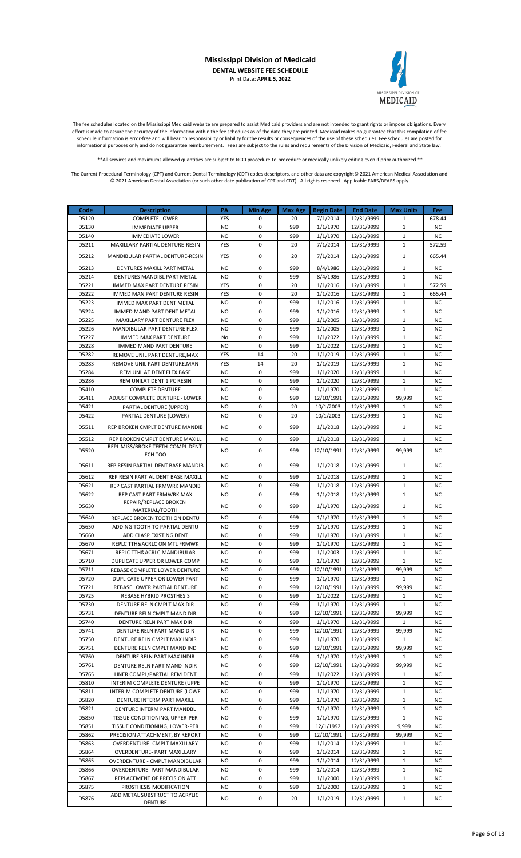

The fee schedules located on the Mississippi Medicaid website are prepared to assist Medicaid providers and are not intended to grant rights or impose obligations. Every effort is made to assure the accuracy of the information within the fee schedules as of the date they are printed. Medicaid makes no guarantee that this compilation of fee schedule information is error-free and will bear no responsibility or liability for the results or consequences of the use of these schedules. Fee schedules are posted for informational purposes only and do not guarantee reimbursement. Fees are subject to the rules and requirements of the Division of Medicaid, Federal and State law.

\*\*All services and maximums allowed quantities are subject to NCCI procedure-to-procedure or medically unlikely editing even if prior authorized.\*\*

| Code  | <b>Description</b>                                | PA         | <b>Min Age</b> | Max Age | <b>Begin Date</b> | <b>End Date</b> | <b>Max Units</b> | Fee       |
|-------|---------------------------------------------------|------------|----------------|---------|-------------------|-----------------|------------------|-----------|
| D5120 | <b>COMPLETE LOWER</b>                             | <b>YES</b> | 0              | 20      | 7/1/2014          | 12/31/9999      | 1                | 678.44    |
| D5130 | <b>IMMEDIATE UPPER</b>                            | <b>NO</b>  | $\mathbf 0$    | 999     | 1/1/1970          | 12/31/9999      | $\mathbf{1}$     | <b>NC</b> |
| D5140 | <b>IMMEDIATE LOWER</b>                            | <b>NO</b>  | $\mathbf 0$    | 999     | 1/1/1970          | 12/31/9999      | $\mathbf{1}$     | <b>NC</b> |
| D5211 | MAXILLARY PARTIAL DENTURE-RESIN                   | YES        | 0              | 20      | 7/1/2014          | 12/31/9999      | $1\,$            | 572.59    |
|       |                                                   |            |                |         |                   |                 |                  |           |
| D5212 | MANDIBULAR PARTIAL DENTURE-RESIN                  | <b>YES</b> | 0              | 20      | 7/1/2014          | 12/31/9999      | $\mathbf 1$      | 665.44    |
| D5213 | DENTURES MAXILL PART METAL                        | <b>NO</b>  | $\mathbf 0$    | 999     | 8/4/1986          | 12/31/9999      | $\mathbf{1}$     | <b>NC</b> |
| D5214 | DENTURES MANDIBL PART METAL                       | <b>NO</b>  | 0              | 999     | 8/4/1986          | 12/31/9999      | $\mathbf{1}$     | <b>NC</b> |
| D5221 | IMMED MAX PART DENTURE RESIN                      | YES        | 0              | 20      | 1/1/2016          | 12/31/9999      | 1                | 572.59    |
|       |                                                   |            | $\mathbf 0$    | 20      |                   |                 | $\mathbf 1$      |           |
| D5222 | IMMED MAN PART DENTURE RESIN                      | YES        |                |         | 1/1/2016          | 12/31/9999      |                  | 665.44    |
| D5223 | <b>IMMED MAX PART DENT METAL</b>                  | <b>NO</b>  | $\mathbf 0$    | 999     | 1/1/2016          | 12/31/9999      | $\mathbf{1}$     | <b>NC</b> |
| D5224 | IMMED MAND PART DENT METAL                        | <b>NO</b>  | $\mathbf 0$    | 999     | 1/1/2016          | 12/31/9999      | $\mathbf{1}$     | NC        |
| D5225 | MAXILLARY PART DENTURE FLEX                       | NO.        | 0              | 999     | 1/1/2005          | 12/31/9999      | $\mathbf{1}$     | NC        |
| D5226 | MANDIBULAR PART DENTURE FLEX                      | <b>NO</b>  | 0              | 999     | 1/1/2005          | 12/31/9999      | $\mathbf{1}$     | NC        |
| D5227 | <b>IMMED MAX PART DENTURE</b>                     | No         | $\mathbf 0$    | 999     | 1/1/2022          | 12/31/9999      | $\mathbf 1$      | <b>NC</b> |
| D5228 | IMMED MAND PART DENTURE                           | NO         | $\mathbf 0$    | 999     | 1/1/2022          | 12/31/9999      | $\mathbf{1}$     | NC        |
| D5282 | REMOVE UNIL PART DENTURE, MAX                     | YES        | 14             | 20      | 1/1/2019          | 12/31/9999      | $\mathbf{1}$     | <b>NC</b> |
| D5283 | REMOVE UNIL PART DENTURE, MAN                     | YES        | 14             | 20      | 1/1/2019          | 12/31/9999      | $\mathbf{1}$     | <b>NC</b> |
| D5284 | REM UNILAT DENT FLEX BASE                         | <b>NO</b>  | 0              | 999     | 1/1/2020          | 12/31/9999      | 1                | NC        |
| D5286 | REM UNILAT DENT 1 PC RESIN                        | NO.        | $\mathbf 0$    | 999     | 1/1/2020          | 12/31/9999      | $\mathbf 1$      | NC        |
| D5410 | <b>COMPLETE DENTURE</b>                           | <b>NO</b>  | $\mathbf 0$    | 999     | 1/1/1970          | 12/31/9999      | $\mathbf{1}$     | <b>NC</b> |
| D5411 | ADJUST COMPLETE DENTURE - LOWER                   | <b>NO</b>  | 0              | 999     | 12/10/1991        | 12/31/9999      | 99,999           | NC        |
|       |                                                   |            |                |         |                   |                 |                  |           |
| D5421 | PARTIAL DENTURE (UPPER)                           | NO.        | 0              | 20      | 10/1/2003         | 12/31/9999      | 1                | NC        |
| D5422 | PARTIAL DENTURE (LOWER)                           | <b>NO</b>  | 0              | 20      | 10/1/2003         | 12/31/9999      | $\mathbf{1}$     | NC        |
| D5511 | REP BROKEN CMPLT DENTURE MANDIB                   | NO.        | 0              | 999     | 1/1/2018          | 12/31/9999      | $\mathbf 1$      | NC        |
|       |                                                   |            |                |         |                   |                 |                  |           |
| D5512 | REP BROKEN CMPLT DENTURE MAXILL                   | <b>NO</b>  | 0              | 999     | 1/1/2018          | 12/31/9999      | $\mathbf{1}$     | NC        |
| D5520 | REPL MISS/BROKE TEETH-COMPL DENT                  | NO.        | 0              | 999     | 12/10/1991        | 12/31/9999      | 99,999           | NC        |
|       | ECH TOO                                           |            |                |         |                   |                 |                  |           |
| D5611 | REP RESIN PARTIAL DENT BASE MANDIB                | NO.        | 0              | 999     | 1/1/2018          | 12/31/9999      | $\mathbf{1}$     | NC        |
| D5612 | REP RESIN PARTIAL DENT BASE MAXILL                | <b>NO</b>  | 0              | 999     | 1/1/2018          | 12/31/9999      | $\mathbf{1}$     | <b>NC</b> |
| D5621 | REP CAST PARTIAL FRMWRK MANDIB                    | <b>NO</b>  | $\mathbf 0$    | 999     | 1/1/2018          | 12/31/9999      | $\mathbf 1$      | <b>NC</b> |
| D5622 |                                                   | <b>NO</b>  | $\mathbf 0$    | 999     |                   | 12/31/9999      | $\mathbf{1}$     | <b>NC</b> |
|       | REP CAST PART FRMWRK MAX<br>REPAIR/REPLACE BROKEN |            |                |         | 1/1/2018          |                 |                  |           |
| D5630 | MATERIAL/TOOTH                                    | NO.        | 0              | 999     | 1/1/1970          | 12/31/9999      | $\mathbf{1}$     | NC        |
| D5640 | REPLACE BROKEN TOOTH ON DENTU                     | <b>NO</b>  | 0              | 999     | 1/1/1970          | 12/31/9999      | $\mathbf{1}$     | <b>NC</b> |
|       |                                                   |            | $\mathbf 0$    | 999     | 1/1/1970          |                 | $\mathbf 1$      |           |
| D5650 | ADDING TOOTH TO PARTIAL DENTU                     | <b>NO</b>  |                |         |                   | 12/31/9999      |                  | <b>NC</b> |
| D5660 | ADD CLASP EXISTING DENT                           | <b>NO</b>  | 0              | 999     | 1/1/1970          | 12/31/9999      | $\mathbf 1$      | NC        |
| D5670 | REPLC TTH&ACRLC ON MTL FRMWK                      | <b>NO</b>  | $\mathbf 0$    | 999     | 1/1/1970          | 12/31/9999      | $\mathbf{1}$     | <b>NC</b> |
| D5671 | REPLC TTH&ACRLC MANDIBULAR                        | <b>NO</b>  | $\mathbf 0$    | 999     | 1/1/2003          | 12/31/9999      | $\mathbf 1$      | NC        |
| D5710 | DUPLICATE UPPER OR LOWER COMP                     | <b>NO</b>  | 0              | 999     | 1/1/1970          | 12/31/9999      | $\mathbf{1}$     | NC        |
| D5711 | REBASE COMPLETE LOWER DENTURE                     | NO.        | 0              | 999     | 12/10/1991        | 12/31/9999      | 99,999           | NC        |
| D5720 | DUPLICATE UPPER OR LOWER PART                     | <b>NO</b>  | $\pmb{0}$      | 999     | 1/1/1970          | 12/31/9999      | $\mathbf 1$      | <b>NC</b> |
| D5721 | REBASE LOWER PARTIAL DENTURE                      | NO.        | 0              | 999     | 12/10/1991        | 12/31/9999      | 99,999           | <b>NC</b> |
| D5725 | REBASE HYBRID PROSTHESIS                          | NO.        | 0              | 999     | 1/1/2022          | 12/31/9999      | 1                | ΝC        |
| D5730 | DENTURE RELN CMPLT MAX DIR                        | <b>NO</b>  | 0              | 999     | 1/1/1970          | 12/31/9999      | $\mathbf{1}$     | NC        |
| D5731 | DENTURE RELN CMPLT MAND DIR                       | NO.        | 0              | 999     | 12/10/1991        | 12/31/9999      | 99,999           | <b>NC</b> |
| D5740 | DENTURE RELN PART MAX DIR                         | NO.        | 0              | 999     | 1/1/1970          | 12/31/9999      | 1                | ΝC        |
| D5741 |                                                   | NO.        | 0              | 999     |                   |                 |                  | NC        |
|       | DENTURE RELN PART MAND DIR                        |            |                |         | 12/10/1991        | 12/31/9999      | 99,999           |           |
| D5750 | DENTURE RELN CMPLT MAX INDIR                      | NO.        | 0              | 999     | 1/1/1970          | 12/31/9999      | $\mathbf{1}$     | <b>NC</b> |
| D5751 | DENTURE RELN CMPLT MAND IND                       | NO.        | 0              | 999     | 12/10/1991        | 12/31/9999      | 99,999           | NC        |
| D5760 | DENTURE RELN PART MAX INDIR                       | NO.        | 0              | 999     | 1/1/1970          | 12/31/9999      | $\mathbf{1}$     | NC        |
| D5761 | DENTURE RELN PART MAND INDIR                      | NO.        | 0              | 999     | 12/10/1991        | 12/31/9999      | 99,999           | ΝC        |
| D5765 | LINER COMPL/PARTIAL REM DENT                      | NO         | 0              | 999     | 1/1/2022          | 12/31/9999      | 1                | <b>NC</b> |
| D5810 | INTERIM COMPLETE DENTURE (UPPE                    | NO.        | 0              | 999     | 1/1/1970          | 12/31/9999      | $\mathbf{1}$     | NC        |
| D5811 | INTERIM COMPLETE DENTURE (LOWE                    | NO.        | 0              | 999     | 1/1/1970          | 12/31/9999      | $\mathbf{1}$     | NC        |
| D5820 | DENTURE INTERM PART MAXILL                        | NO.        | 0              | 999     | 1/1/1970          | 12/31/9999      | $\mathbf{1}$     | NC        |
| D5821 | DENTURE INTERM PART MANDBL                        | NO.        | 0              | 999     | 1/1/1970          | 12/31/9999      | 1                | ΝC        |
| D5850 | TISSUE CONDITIONING, UPPER-PER                    | NO.        | 0              | 999     | 1/1/1970          | 12/31/9999      | $\mathbf{1}$     | NC        |
| D5851 | TISSUE CONDITIONING, LOWER-PER                    | NO.        | 0              | 999     | 12/1/1992         | 12/31/9999      | 9,999            | <b>NC</b> |
|       |                                                   |            |                |         |                   |                 |                  |           |
| D5862 | PRECISION ATTACHMENT, BY REPORT                   | NO.        | 0              | 999     | 12/10/1991        | 12/31/9999      | 99,999           | ΝC        |
| D5863 | OVERDENTURE- CMPLT MAXILLARY                      | NO.        | 0              | 999     | 1/1/2014          | 12/31/9999      | 1                | NC        |
| D5864 | OVERDENTURE- PART MAXILLARY                       | NO.        | 0              | 999     | 1/1/2014          | 12/31/9999      | $\mathbf{1}$     | NC        |
| D5865 | OVERDENTURE - CMPLT MANDIBULAR                    | <b>NO</b>  | 0              | 999     | 1/1/2014          | 12/31/9999      | $\mathbf{1}$     | <b>NC</b> |
| D5866 | OVERDENTURE- PART MANDIBULAR                      | NO.        | 0              | 999     | 1/1/2014          | 12/31/9999      | $\mathbf{1}$     | NC        |
| D5867 | REPLACEMENT OF PRECISION ATT                      | NO.        | 0              | 999     | 1/1/2000          | 12/31/9999      | 1                | ΝC        |
| D5875 | PROSTHESIS MODIFICATION                           | NO.        | 0              | 999     | 1/1/2000          | 12/31/9999      | $\mathbf{1}$     | NC        |
| D5876 | ADD METAL SUBSTRUCT TO ACRYLIC                    | NO.        | 0              | 20      | 1/1/2019          | 12/31/9999      | $\mathbf{1}$     | <b>NC</b> |
|       | <b>DENTURE</b>                                    |            |                |         |                   |                 |                  |           |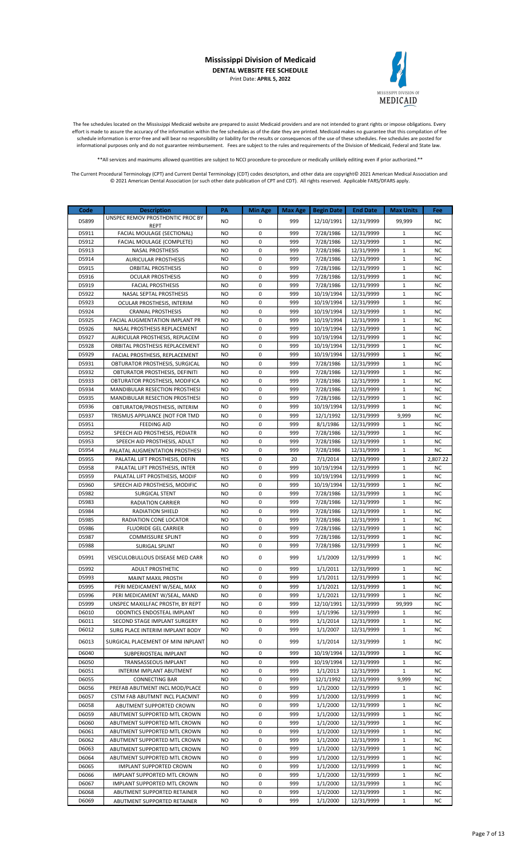

The fee schedules located on the Mississippi Medicaid website are prepared to assist Medicaid providers and are not intended to grant rights or impose obligations. Every effort is made to assure the accuracy of the information within the fee schedules as of the date they are printed. Medicaid makes no guarantee that this compilation of fee schedule information is error-free and will bear no responsibility or liability for the results or consequences of the use of these schedules. Fee schedules are posted for informational purposes only and do not guarantee reimbursement. Fees are subject to the rules and requirements of the Division of Medicaid, Federal and State law.

\*\*All services and maximums allowed quantities are subject to NCCI procedure-to-procedure or medically unlikely editing even if prior authorized.\*\*

| Code           | <b>Description</b>                                                      | PA                     | <b>Min Age</b>             | Max Age    | <b>Begin Date</b>        | <b>End Date</b>          | <b>Max Units</b>             | Fee                    |
|----------------|-------------------------------------------------------------------------|------------------------|----------------------------|------------|--------------------------|--------------------------|------------------------------|------------------------|
| D5899          | UNSPEC REMOV PROSTHDNTIC PROC BY                                        | NO.                    | 0                          | 999        | 12/10/1991               | 12/31/9999               | 99,999                       | <b>NC</b>              |
| D5911          | <b>REPT</b><br>FACIAL MOULAGE (SECTIONAL)                               | <b>NO</b>              | $\mathbf 0$                | 999        | 7/28/1986                | 12/31/9999               | 1                            | NC                     |
| D5912          | FACIAL MOULAGE (COMPLETE)                                               | <b>NO</b>              | $\mathbf 0$                | 999        | 7/28/1986                | 12/31/9999               | $\mathbf{1}$                 | <b>NC</b>              |
| D5913          | <b>NASAL PROSTHESIS</b>                                                 | NO                     | $\mathbf 0$                | 999        | 7/28/1986                | 12/31/9999               | 1                            | <b>NC</b>              |
| D5914          | <b>AURICULAR PROSTHESIS</b>                                             | <b>NO</b>              | $\mathbf 0$                | 999        | 7/28/1986                | 12/31/9999               | $\mathbf{1}$                 | NC                     |
| D5915          | <b>ORBITAL PROSTHESIS</b>                                               | <b>NO</b>              | $\mathbf 0$                | 999        | 7/28/1986                | 12/31/9999               | $\mathbf{1}$                 | NC                     |
| D5916          | <b>OCULAR PROSTHESIS</b>                                                | <b>NO</b>              | $\mathbf 0$                | 999        | 7/28/1986                | 12/31/9999               | $\mathbf{1}$                 | NC                     |
| D5919          | <b>FACIAL PROSTHESIS</b>                                                | <b>NO</b>              | $\mathbf 0$                | 999        | 7/28/1986                | 12/31/9999               | $\mathbf{1}$                 | <b>NC</b>              |
| D5922          | <b>NASAL SEPTAL PROSTHESIS</b>                                          | N <sub>O</sub>         | $\mathbf 0$<br>$\mathbf 0$ | 999<br>999 | 10/19/1994               | 12/31/9999               | $\mathbf{1}$<br>$\mathbf{1}$ | <b>NC</b>              |
| D5923<br>D5924 | OCULAR PROSTHESIS, INTERIM<br><b>CRANIAL PROSTHESIS</b>                 | NO<br>NO               | 0                          | 999        | 10/19/1994<br>10/19/1994 | 12/31/9999<br>12/31/9999 | $\mathbf{1}$                 | <b>NC</b><br><b>NC</b> |
| D5925          | FACIAL AUGMENTATION IMPLANT PR                                          | <b>NO</b>              | $\mathbf 0$                | 999        | 10/19/1994               | 12/31/9999               | $\mathbf 1$                  | NC                     |
| D5926          | NASAL PROSTHESIS REPLACEMENT                                            | <b>NO</b>              | $\mathbf 0$                | 999        | 10/19/1994               | 12/31/9999               | $\mathbf{1}$                 | <b>NC</b>              |
| D5927          | AURICULAR PROSTHESIS, REPLACEM                                          | <b>NO</b>              | $\mathbf 0$                | 999        | 10/19/1994               | 12/31/9999               | $\mathbf{1}$                 | <b>NC</b>              |
| D5928          | ORBITAL PROSTHESIS REPLACEMENT                                          | NO                     | $\mathbf 0$                | 999        | 10/19/1994               | 12/31/9999               | $\mathbf{1}$                 | NC                     |
| D5929          | FACIAL PROSTHESIS, REPLACEMENT                                          | <b>NO</b>              | 0                          | 999        | 10/19/1994               | 12/31/9999               | $\mathbf{1}$                 | NC                     |
| D5931          | OBTURATOR PROSTHESIS, SURGICAL                                          | <b>NO</b>              | $\mathbf 0$                | 999        | 7/28/1986                | 12/31/9999               | $\mathbf 1$                  | <b>NC</b>              |
| D5932          | OBTURATOR PROSTHESIS, DEFINITI                                          | <b>NO</b>              | $\mathbf 0$                | 999        | 7/28/1986                | 12/31/9999               | $\mathbf{1}$                 | <b>NC</b>              |
| D5933          | OBTURATOR PROSTHESIS, MODIFICA                                          | <b>NO</b>              | $\mathbf 0$                | 999        | 7/28/1986                | 12/31/9999               | $\mathbf 1$                  | <b>NC</b>              |
| D5934<br>D5935 | <b>MANDIBULAR RESECTION PROSTHESI</b><br>MANDIBULAR RESECTION PROSTHESI | <b>NO</b><br><b>NO</b> | $\mathbf 0$<br>0           | 999<br>999 | 7/28/1986<br>7/28/1986   | 12/31/9999<br>12/31/9999 | $\mathbf{1}$<br>$\mathbf{1}$ | NC<br>NC               |
| D5936          | OBTURATOR/PROSTHESIS, INTERIM                                           | <b>NO</b>              | $\mathbf 0$                | 999        | 10/19/1994               | 12/31/9999               | $\mathbf{1}$                 | <b>NC</b>              |
| D5937          | TRISMUS APPLIANCE (NOT FOR TMD                                          | <b>NO</b>              | $\mathbf 0$                | 999        | 12/1/1992                | 12/31/9999               | 9,999                        | <b>NC</b>              |
| D5951          | <b>FEEDING AID</b>                                                      | <b>NO</b>              | $\mathbf 0$                | 999        | 8/1/1986                 | 12/31/9999               | 1                            | <b>NC</b>              |
| D5952          | SPEECH AID PROSTHESIS, PEDIATR                                          | <b>NO</b>              | $\mathbf 0$                | 999        | 7/28/1986                | 12/31/9999               | $\mathbf{1}$                 | NC                     |
| D5953          | SPEECH AID PROSTHESIS, ADULT                                            | <b>NO</b>              | $\mathbf 0$                | 999        | 7/28/1986                | 12/31/9999               | $\mathbf{1}$                 | NC                     |
| D5954          | PALATAL AUGMENTATION PROSTHESI                                          | <b>NO</b>              | $\mathbf 0$                | 999        | 7/28/1986                | 12/31/9999               | $\mathbf{1}$                 | NC                     |
| D5955          | PALATAL LIFT PROSTHESIS, DEFIN                                          | YES                    | $\mathbf 0$                | 20         | 7/1/2014                 | 12/31/9999               | $\mathbf{1}$                 | 2,807.22               |
| D5958          | PALATAL LIFT PROSTHESIS, INTER                                          | <b>NO</b>              | $\mathbf 0$                | 999        | 10/19/1994               | 12/31/9999               | $\mathbf{1}$                 | <b>NC</b>              |
| D5959          | PALATAL LIFT PROSTHESIS, MODIF                                          | NO                     | $\mathbf 0$                | 999        | 10/19/1994               | 12/31/9999               | $\mathbf{1}$                 | <b>NC</b>              |
| D5960<br>D5982 | SPEECH AID PROSTHESIS, MODIFIC                                          | <b>NO</b><br><b>NO</b> | 0<br>$\mathbf 0$           | 999<br>999 | 10/19/1994<br>7/28/1986  | 12/31/9999<br>12/31/9999 | $\mathbf{1}$<br>$\mathbf 1$  | NC<br>NC               |
| D5983          | <b>SURGICAL STENT</b><br><b>RADIATION CARRIER</b>                       | <b>NO</b>              | $\mathbf 0$                | 999        | 7/28/1986                | 12/31/9999               | $\mathbf{1}$                 | <b>NC</b>              |
| D5984          | <b>RADIATION SHIELD</b>                                                 | <b>NO</b>              | $\mathbf 0$                | 999        | 7/28/1986                | 12/31/9999               | $\mathbf{1}$                 | <b>NC</b>              |
| D5985          | RADIATION CONE LOCATOR                                                  | NO                     | $\mathbf 0$                | 999        | 7/28/1986                | 12/31/9999               | $\mathbf{1}$                 | NC                     |
| D5986          | <b>FLUORIDE GEL CARRIER</b>                                             | <b>NO</b>              | 0                          | 999        | 7/28/1986                | 12/31/9999               | $\mathbf{1}$                 | NC                     |
| D5987          | <b>COMMISSURE SPLINT</b>                                                | <b>NO</b>              | $\mathbf 0$                | 999        | 7/28/1986                | 12/31/9999               | $\mathbf{1}$                 | <b>NC</b>              |
| D5988          | <b>SURIGAL SPLINT</b>                                                   | <b>NO</b>              | $\mathbf 0$                | 999        | 7/28/1986                | 12/31/9999               | $\mathbf{1}$                 | <b>NC</b>              |
| D5991          | VESICULOBULLOUS DISEASE MED CARR                                        | NO.                    | 0                          | 999        | 1/1/2009                 | 12/31/9999               | $\mathbf{1}$                 | NC                     |
| D5992          | <b>ADULT PROSTHETIC</b>                                                 | <b>NO</b>              | 0                          | 999        | 1/1/2011                 | 12/31/9999               | $\mathbf{1}$                 | NC                     |
| D5993          | <b>MAINT MAXIL PROSTH</b>                                               | <b>NO</b>              | $\mathbf 0$                | 999        | 1/1/2011                 | 12/31/9999               | $\mathbf{1}$                 | <b>NC</b>              |
| D5995          | PERI MEDICAMENT W/SEAL, MAX                                             | NO.                    | 0                          | 999        | 1/1/2021                 | 12/31/9999               | 1                            | ΝC                     |
| D5996<br>D5999 | PERI MEDICAMENT W/SEAL, MAND                                            | <b>NO</b>              | 0                          | 999        | 1/1/2021                 | 12/31/9999               | $\mathbf{1}$                 | NC                     |
| D6010          | UNSPEC MAXILLFAC PROSTH, BY REPT<br>ODONTICS ENDOSTEAL IMPLANT          | NO<br><b>NO</b>        | 0<br>0                     | 999<br>999 | 12/10/1991<br>1/1/1996   | 12/31/9999<br>12/31/9999 | 99,999<br>1                  | NC.<br>NC              |
| D6011          | SECOND STAGE IMPLANT SURGERY                                            | NO.                    | 0                          | 999        | 1/1/2014                 | 12/31/9999               | $\mathbf{1}$                 | NC                     |
| D6012          | SURG PLACE INTERIM IMPLANT BODY                                         | NO.                    | 0                          | 999        | 1/1/2007                 | 12/31/9999               | $\mathbf{1}$                 | NC                     |
| D6013          | SURGICAL PLACEMENT OF MINI INPLANT                                      | NO.                    | 0                          | 999        | 1/1/2014                 | 12/31/9999               | $\mathbf{1}$                 | NC                     |
| D6040          | SUBPERIOSTEAL IMPLANT                                                   | NO                     | 0                          | 999        | 10/19/1994               | 12/31/9999               | 1                            | ΝC                     |
| D6050          | TRANSASSEOUS IMPLANT                                                    | NO.                    | 0                          | 999        | 10/19/1994               | 12/31/9999               | $\mathbf{1}$                 | NC                     |
| D6051          | INTERIM IMPLANT ABUTMENT                                                | <b>NO</b>              | 0                          | 999        | 1/1/2013                 | 12/31/9999               | $\mathbf 1$                  | <b>NC</b>              |
| D6055          | <b>CONNECTING BAR</b>                                                   | NO                     | 0                          | 999        | 12/1/1992                | 12/31/9999               | 9,999                        | NC                     |
| D6056          | PREFAB ABUTMENT INCL MOD/PLACE                                          | NO.                    | 0                          | 999        | 1/1/2000                 | 12/31/9999               | 1                            | NC                     |
| D6057          | CSTM FAB ABUTMNT INCL PLACMNT                                           | NO                     | 0                          | 999        | 1/1/2000                 | 12/31/9999               | 1                            | ΝC                     |
| D6058          | ABUTMENT SUPPORTED CROWN                                                | NO.                    | 0                          | 999        | 1/1/2000                 | 12/31/9999               | $1\,$                        | NC                     |
| D6059<br>D6060 | ABUTMENT SUPPORTED MTL CROWN                                            | NO.<br>NO              | 0<br>0                     | 999<br>999 | 1/1/2000<br>1/1/2000     | 12/31/9999<br>12/31/9999 | $\mathbf 1$<br>1             | ΝC<br>NC               |
| D6061          | ABUTMENT SUPPORTED MTL CROWN<br>ABUTMENT SUPPORTED MTL CROWN            | NO                     | 0                          | 999        | 1/1/2000                 | 12/31/9999               | $1\,$                        | NC                     |
| D6062          | ABUTMENT SUPPORTED MTL CROWN                                            | <b>NO</b>              | 0                          | 999        | 1/1/2000                 | 12/31/9999               | 1                            | ΝC                     |
| D6063          | ABUTMENT SUPPORTED MTL CROWN                                            | NO.                    | 0                          | 999        | 1/1/2000                 | 12/31/9999               | $\mathbf{1}$                 | NC                     |
| D6064          | ABUTMENT SUPPORTED MTL CROWN                                            | NO                     | 0                          | 999        | 1/1/2000                 | 12/31/9999               | $1\,$                        | <b>NC</b>              |
| D6065          | <b>IMPLANT SUPPORTED CROWN</b>                                          | NO                     | 0                          | 999        | 1/1/2000                 | 12/31/9999               | 1                            | NC                     |
| D6066          | IMPLANT SUPPORTED MTL CROWN                                             | NO.                    | 0                          | 999        | 1/1/2000                 | 12/31/9999               | $\mathbf{1}$                 | NC                     |
| D6067          | IMPLANT SUPPORTED MTL CROWN                                             | NO.                    | 0                          | 999        | 1/1/2000                 | 12/31/9999               | $\mathbf{1}$                 | NC                     |
| D6068          | ABUTMENT SUPPORTED RETAINER                                             | NO.                    | 0                          | 999        | 1/1/2000                 | 12/31/9999               | $\mathbf{1}$                 | NC                     |
| D6069          | ABUTMENT SUPPORTED RETAINER                                             | NO                     | 0                          | 999        | 1/1/2000                 | 12/31/9999               | $\mathbf{1}$                 | ΝC                     |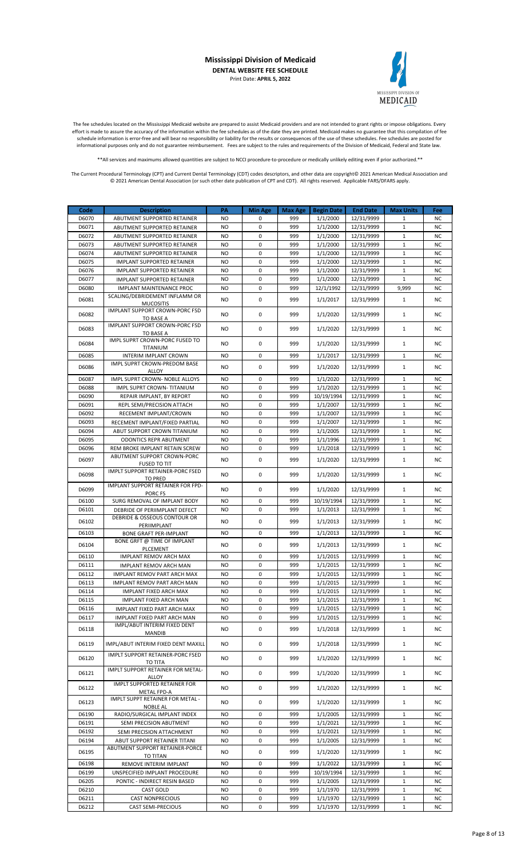

The fee schedules located on the Mississippi Medicaid website are prepared to assist Medicaid providers and are not intended to grant rights or impose obligations. Every effort is made to assure the accuracy of the information within the fee schedules as of the date they are printed. Medicaid makes no guarantee that this compilation of fee schedule information is error-free and will bear no responsibility or liability for the results or consequences of the use of these schedules. Fee schedules are posted for informational purposes only and do not guarantee reimbursement. Fees are subject to the rules and requirements of the Division of Medicaid, Federal and State law.

\*\*All services and maximums allowed quantities are subject to NCCI procedure-to-procedure or medically unlikely editing even if prior authorized.\*\*

| Code           | <b>Description</b>                                                | PA               | <b>Min Age</b>   | Max Age    | <b>Begin Date</b>    | <b>End Date</b>          | <b>Max Units</b>             | Fee                    |
|----------------|-------------------------------------------------------------------|------------------|------------------|------------|----------------------|--------------------------|------------------------------|------------------------|
| D6070          | ABUTMENT SUPPORTED RETAINER                                       | NO.              | 0                | 999        | 1/1/2000             | 12/31/9999               | 1                            | <b>NC</b>              |
| D6071          | <b>ABUTMENT SUPPORTED RETAINER</b>                                | <b>NO</b>        | $\mathbf 0$      | 999        | 1/1/2000             | 12/31/9999               | $\mathbf{1}$                 | <b>NC</b>              |
| D6072          | <b>ABUTMENT SUPPORTED RETAINER</b>                                | <b>NO</b>        | $\mathbf 0$      | 999        | 1/1/2000             | 12/31/9999               | $\mathbf{1}$                 | <b>NC</b>              |
| D6073          | ABUTMENT SUPPORTED RETAINER                                       | <b>NO</b>        | 0                | 999        | 1/1/2000             | 12/31/9999               | $\mathbf{1}$                 | <b>NC</b>              |
| D6074          | ABUTMENT SUPPORTED RETAINER                                       | <b>NO</b>        | $\mathbf 0$      | 999        | 1/1/2000             | 12/31/9999               | $\mathbf{1}$                 | <b>NC</b>              |
| D6075          | <b>IMPLANT SUPPORTED RETAINER</b>                                 | <b>NO</b>        | $\mathbf 0$      | 999        | 1/1/2000             | 12/31/9999               | $\mathbf{1}$                 | <b>NC</b>              |
| D6076          | <b>IMPLANT SUPPORTED RETAINER</b>                                 | NO.              | 0                | 999        | 1/1/2000             | 12/31/9999               | $\mathbf{1}$                 | <b>NC</b>              |
| D6077          | <b>IMPLANT SUPPORTED RETAINER</b>                                 | <b>NO</b>        | $\mathbf 0$      | 999        | 1/1/2000             | 12/31/9999               | $\mathbf 1$                  | <b>NC</b>              |
| D6080          | <b>IMPLANT MAINTENANCE PROC</b><br>SCALING/DEBRIDEMENT INFLAMM OR | NO.              | 0                | 999        | 12/1/1992            | 12/31/9999               | 9,999                        | <b>NC</b>              |
| D6081          | <b>MUCOSITIS</b>                                                  | <b>NO</b>        | 0                | 999        | 1/1/2017             | 12/31/9999               | $\mathbf{1}$                 | <b>NC</b>              |
| D6082          | IMPLANT SUPPORT CROWN-PORC FSD                                    | NO.              | 0                | 999        | 1/1/2020             | 12/31/9999               | $\mathbf{1}$                 | <b>NC</b>              |
|                | TO BASE A                                                         |                  |                  |            |                      |                          |                              |                        |
| D6083          | <b>IMPLANT SUPPORT CROWN-PORC FSD</b><br>TO BASE A                | <b>NO</b>        | 0                | 999        | 1/1/2020             | 12/31/9999               | $\mathbf{1}$                 | <b>NC</b>              |
|                | IMPL SUPRT CROWN-PORC FUSED TO                                    |                  |                  |            |                      |                          |                              |                        |
| D6084          | TITANIUM                                                          | NO.              | 0                | 999        | 1/1/2020             | 12/31/9999               | $\mathbf{1}$                 | NC.                    |
| D6085          | <b>INTERIM IMPLANT CROWN</b>                                      | <b>NO</b>        | $\mathbf 0$      | 999        | 1/1/2017             | 12/31/9999               | $\mathbf{1}$                 | <b>NC</b>              |
| D6086          | IMPL SUPRT CROWN-PREDOM BASE                                      | NO.              | 0                | 999        | 1/1/2020             | 12/31/9999               | $\mathbf{1}$                 | <b>NC</b>              |
| D6087          | ALLOY<br>IMPL SUPRT CROWN- NOBLE ALLOYS                           | NO.              | $\mathbf 0$      | 999        | 1/1/2020             | 12/31/9999               | $\mathbf{1}$                 | <b>NC</b>              |
| D6088          | IMPL SUPRT CROWN- TITANIUM                                        | <b>NO</b>        | 0                | 999        | 1/1/2020             | 12/31/9999               | $\mathbf{1}$                 | <b>NC</b>              |
| D6090          | REPAIR IMPLANT, BY REPORT                                         | <b>NO</b>        | $\mathbf 0$      | 999        | 10/19/1994           | 12/31/9999               | $\mathbf{1}$                 | <b>NC</b>              |
| D6091          | REPL SEMI/PRECISION ATTACH                                        | NO               | 0                | 999        | 1/1/2007             | 12/31/9999               | $\mathbf{1}$                 | <b>NC</b>              |
| D6092          | RECEMENT IMPLANT/CROWN                                            | NO.              | $\mathbf 0$      | 999        | 1/1/2007             | 12/31/9999               | $\mathbf{1}$                 | <b>NC</b>              |
| D6093          | RECEMENT IMPLANT/FIXED PARTIAL                                    | <b>NO</b>        | $\mathbf 0$      | 999        | 1/1/2007             | 12/31/9999               | $\mathbf{1}$                 | <b>NC</b>              |
| D6094          | ABUT SUPPORT CROWN TITANIUM                                       | NO.              | 0                | 999        | 1/1/2005             | 12/31/9999               | $\mathbf{1}$                 | <b>NC</b>              |
| D6095          | ODONTICS REPR ABUTMENT                                            | <b>NO</b>        | 0                | 999        | 1/1/1996             | 12/31/9999               | $\mathbf{1}$                 | <b>NC</b>              |
| D6096          | REM BROKE IMPLANT RETAIN SCREW                                    | <b>NO</b>        | $\mathbf 0$      | 999        | 1/1/2018             | 12/31/9999               | $\mathbf{1}$                 | <b>NC</b>              |
| D6097          | ABUTMENT SUPPORT CROWN-PORC                                       | NO.              | 0                | 999        | 1/1/2020             | 12/31/9999               | $\mathbf{1}$                 | <b>NC</b>              |
|                | <b>FUSED TO TIT</b><br>IMPLT SUPPORT RETAINER-PORC FSED           |                  |                  |            |                      |                          |                              |                        |
| D6098          | <b>TO PRED</b>                                                    | NO.              | 0                | 999        | 1/1/2020             | 12/31/9999               | $\mathbf{1}$                 | <b>NC</b>              |
| D6099          | IMPLANT SUPPORT RETAINER FOR FPD-                                 | NO.              | $\mathbf 0$      | 999        | 1/1/2020             | 12/31/9999               | $\mathbf{1}$                 | <b>NC</b>              |
|                | PORC FS                                                           |                  |                  |            |                      |                          |                              |                        |
| D6100          | SURG REMOVAL OF IMPLANT BODY                                      | NO               | 0<br>$\mathbf 0$ | 999        | 10/19/1994           | 12/31/9999               | $\mathbf{1}$<br>$\mathbf{1}$ | <b>NC</b>              |
| D6101          | DEBRIDE OF PERIIMPLANT DEFECT<br>DEBRIDE & OSSEOUS CONTOUR OR     | NO.              |                  | 999        | 1/1/2013             | 12/31/9999               |                              | <b>NC</b>              |
| D6102          | PERIIMPLANT                                                       | NO.              | 0                | 999        | 1/1/2013             | 12/31/9999               | $\mathbf{1}$                 | <b>NC</b>              |
| D6103          | <b>BONE GRAFT PER-IMPLANT</b>                                     | NO.              | 0                | 999        | 1/1/2013             | 12/31/9999               | $\mathbf{1}$                 | <b>NC</b>              |
| D6104          | <b>BONE GRFT @ TIME OF IMPLANT</b>                                | NO.              | $\mathbf 0$      | 999        | 1/1/2013             | 12/31/9999               | $\mathbf{1}$                 | <b>NC</b>              |
|                | PLCEMENT                                                          |                  | 0                |            |                      |                          |                              |                        |
| D6110<br>D6111 | <b>IMPLANT REMOV ARCH MAX</b><br><b>IMPLANT REMOV ARCH MAN</b>    | NO.<br><b>NO</b> | $\mathbf 0$      | 999<br>999 | 1/1/2015<br>1/1/2015 | 12/31/9999<br>12/31/9999 | $\mathbf{1}$<br>$\mathbf{1}$ | <b>NC</b><br><b>NC</b> |
| D6112          | <b>IMPLANT REMOV PART ARCH MAX</b>                                | NO.              | 0                | 999        | 1/1/2015             | 12/31/9999               | $\mathbf{1}$                 | <b>NC</b>              |
| D6113          | <b>IMPLANT REMOV PART ARCH MAN</b>                                | <b>NO</b>        | $\mathbf 0$      | 999        | 1/1/2015             | 12/31/9999               | $\mathbf{1}$                 | <b>NC</b>              |
| D6114          | IMPLANT FIXED ARCH MAX                                            | NO.              | 0                | 999        | 1/1/2015             | 12/31/9999               | 1                            | ΝC                     |
| D6115          | IMPLANT FIXED ARCH MAN                                            | NO.              | $\mathbf 0$      | 999        | 1/1/2015             | 12/31/9999               | $\mathbf{1}$                 | <b>NC</b>              |
| D6116          | IMPLANT FIXED PART ARCH MAX                                       | <b>NO</b>        | 0                | 999        | 1/1/2015             | 12/31/9999               | $\mathbf{1}$                 | <b>NC</b>              |
| D6117          | IMPLANT FIXED PART ARCH MAN                                       | NO.              | 0                | 999        | 1/1/2015             | 12/31/9999               | $\mathbf{1}$                 | NC                     |
| D6118          | IMPL/ABUT INTERIM FIXED DENT                                      | NO.              | 0                | 999        | 1/1/2018             | 12/31/9999               | $\mathbf{1}$                 | NC                     |
|                | MANDIB                                                            |                  |                  |            |                      |                          |                              |                        |
| D6119          | IMPL/ABUT INTERIM FIXED DENT MAXILL                               | NO.              | 0                | 999        | 1/1/2018             | 12/31/9999               | $\mathbf{1}$                 | NC.                    |
| D6120          | IMPLT SUPPORT RETAINER-PORC FSED                                  | NO.              | 0                | 999        | 1/1/2020             | 12/31/9999               | $\mathbf{1}$                 | NC.                    |
|                | TO TITA                                                           |                  |                  |            |                      |                          |                              |                        |
| D6121          | IMPLT SUPPORT RETAINER FOR METAL-                                 | NO               | 0                | 999        | 1/1/2020             | 12/31/9999               | $\mathbf{1}$                 | NC.                    |
|                | ALLOY<br>IMPLT SUPPORTED RETAINER FOR                             |                  |                  |            |                      |                          |                              |                        |
| D6122          | <b>METAL FPD-A</b>                                                | NO               | 0                | 999        | 1/1/2020             | 12/31/9999               | $\mathbf{1}$                 | ΝC                     |
| D6123          | IMPLT SUPPT RETAINER FOR METAL -                                  | NO.              | 0                | 999        | 1/1/2020             | 12/31/9999               | $\mathbf{1}$                 | NC.                    |
|                | NOBLE AL                                                          |                  |                  |            |                      |                          |                              |                        |
| D6190          | RADIO/SURGICAL IMPLANT INDEX                                      | NO.              | 0<br>$\pmb{0}$   | 999<br>999 | 1/1/2005             | 12/31/9999               | $\mathbf{1}$<br>$\mathbf{1}$ | NC                     |
| D6191<br>D6192 | SEMI PRECISION ABUTMENT<br>SEMI PRECISION ATTACHMENT              | NO.<br>NO.       | 0                | 999        | 1/1/2021<br>1/1/2021 | 12/31/9999<br>12/31/9999 | $\mathbf{1}$                 | <b>NC</b><br>NC        |
| D6194          | ABUT SUPPORT RETAINER TITANI                                      | NO               | 0                | 999        | 1/1/2005             | 12/31/9999               | $\mathbf{1}$                 | NC                     |
|                | ABUTMENT SUPPORT RETAINER-PORCE                                   |                  |                  |            |                      |                          |                              |                        |
| D6195          | TO TITAN                                                          | NO               | 0                | 999        | 1/1/2020             | 12/31/9999               | $\mathbf{1}$                 | ΝC                     |
| D6198          | REMOVE INTERIM IMPLANT                                            | NO.              | 0                | 999        | 1/1/2022             | 12/31/9999               | $\mathbf{1}$                 | <b>NC</b>              |
| D6199          | UNSPECIFIED IMPLANT PROCEDURE                                     | NO               | 0                | 999        | 10/19/1994           | 12/31/9999               | $\mathbf{1}$                 | <b>NC</b>              |
| D6205          | PONTIC - INDIRECT RESIN BASED                                     | NO               | 0                | 999        | 1/1/2005             | 12/31/9999               | $\mathbf{1}$                 | NC                     |
| D6210          | <b>CAST GOLD</b>                                                  | NO.              | 0                | 999        | 1/1/1970             | 12/31/9999               | $\mathbf{1}$                 | <b>NC</b>              |
| D6211          | <b>CAST NONPRECIOUS</b>                                           | NO.              | 0                | 999        | 1/1/1970             | 12/31/9999               | $\mathbf{1}$                 | NC.                    |
| D6212          | <b>CAST SEMI-PRECIOUS</b>                                         | NO               | 0                | 999        | 1/1/1970             | 12/31/9999               | $\mathbf 1$                  | NC                     |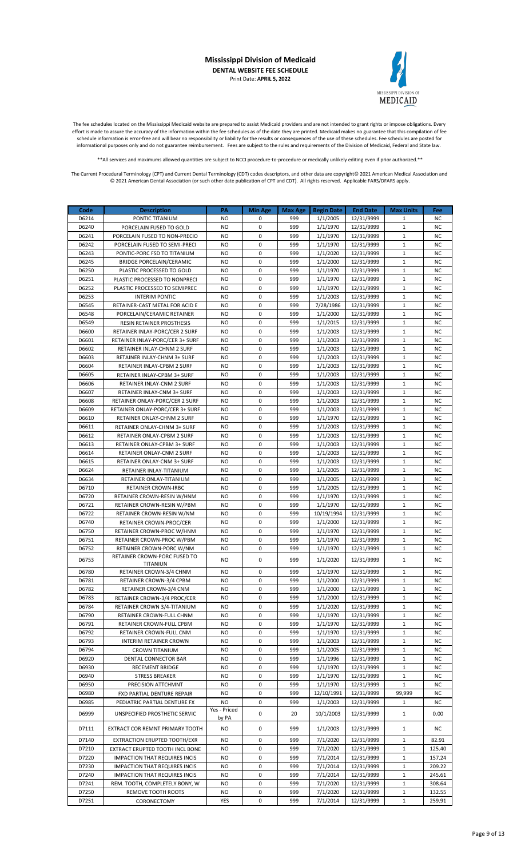

The fee schedules located on the Mississippi Medicaid website are prepared to assist Medicaid providers and are not intended to grant rights or impose obligations. Every effort is made to assure the accuracy of the information within the fee schedules as of the date they are printed. Medicaid makes no guarantee that this compilation of fee schedule information is error-free and will bear no responsibility or liability for the results or consequences of the use of these schedules. Fee schedules are posted for informational purposes only and do not guarantee reimbursement. Fees are subject to the rules and requirements of the Division of Medicaid, Federal and State law.

\*\*All services and maximums allowed quantities are subject to NCCI procedure-to-procedure or medically unlikely editing even if prior authorized.\*\*

| Code           | <b>Description</b>                                         | PA                    | <b>Min Age</b>   | <b>Max Age</b> | <b>Begin Date</b>    | <b>End Date</b>          | <b>Max Units</b>             | Fee                    |
|----------------|------------------------------------------------------------|-----------------------|------------------|----------------|----------------------|--------------------------|------------------------------|------------------------|
| D6214          | PONTIC TITANIUM                                            | NO.                   | 0                | 999            | 1/1/2005             | 12/31/9999               | 1                            | <b>NC</b>              |
| D6240          | PORCELAIN FUSED TO GOLD                                    | <b>NO</b>             | $\mathbf 0$      | 999            | 1/1/1970             | 12/31/9999               | $\mathbf{1}$                 | <b>NC</b>              |
| D6241          | PORCELAIN FUSED TO NON-PRECIO                              | <b>NO</b>             | 0                | 999            | 1/1/1970             | 12/31/9999               | $\mathbf{1}$                 | <b>NC</b>              |
| D6242          | PORCELAIN FUSED TO SEMI-PRECI                              | <b>NO</b>             | 0                | 999            | 1/1/1970             | 12/31/9999               | $\mathbf{1}$                 | <b>NC</b>              |
| D6243          | PONTIC-PORC FSD TO TITANIUM                                | <b>NO</b>             | $\mathbf 0$      | 999            | 1/1/2020             | 12/31/9999               | $\mathbf{1}$                 | <b>NC</b>              |
| D6245          | <b>BRIDGE PORCELAIN/CERAMIC</b>                            | <b>NO</b>             | 0                | 999            | 1/1/2000             | 12/31/9999               | $\mathbf{1}$                 | <b>NC</b>              |
| D6250<br>D6251 | PLASTIC PROCESSED TO GOLD<br>PLASTIC PROCESSED TO NONPRECI | NO<br><b>NO</b>       | 0<br>$\mathbf 0$ | 999<br>999     | 1/1/1970             | 12/31/9999               | $\mathbf{1}$<br>$\mathbf{1}$ | NC<br><b>NC</b>        |
| D6252          | PLASTIC PROCESSED TO SEMIPREC                              | <b>NO</b>             | 0                | 999            | 1/1/1970<br>1/1/1970 | 12/31/9999<br>12/31/9999 | $\mathbf{1}$                 | <b>NC</b>              |
| D6253          | <b>INTERIM PONTIC</b>                                      | <b>NO</b>             | 0                | 999            | 1/1/2003             | 12/31/9999               | $\mathbf{1}$                 | <b>NC</b>              |
| D6545          | RETAINER-CAST METAL FOR ACID E                             | NO                    | 0                | 999            | 7/28/1986            | 12/31/9999               | $\mathbf{1}$                 | <b>NC</b>              |
| D6548          | PORCELAIN/CERAMIC RETAINER                                 | NO                    | 0                | 999            | 1/1/2000             | 12/31/9999               | $\mathbf{1}$                 | <b>NC</b>              |
| D6549          | <b>RESIN RETAINER PROSTHESIS</b>                           | <b>NO</b>             | 0                | 999            | 1/1/2015             | 12/31/9999               | $\mathbf{1}$                 | <b>NC</b>              |
| D6600          | RETAINER INLAY-PORC/CER 2 SURF                             | <b>NO</b>             | 0                | 999            | 1/1/2003             | 12/31/9999               | $\mathbf{1}$                 | <b>NC</b>              |
| D6601          | RETAINER INLAY-PORC/CER 3+ SURF                            | <b>NO</b>             | 0                | 999            | 1/1/2003             | 12/31/9999               | $\mathbf{1}$                 | <b>NC</b>              |
| D6602          | RETAINER INLAY-CHNM 2 SURF                                 | <b>NO</b>             | 0                | 999            | 1/1/2003             | 12/31/9999               | $\mathbf{1}$                 | <b>NC</b>              |
| D6603          | RETAINER INLAY-CHNM 3+ SURF                                | NO                    | 0                | 999            | 1/1/2003             | 12/31/9999               | $\mathbf{1}$                 | <b>NC</b>              |
| D6604          | RETAINER INLAY-CPBM 2 SURF                                 | NO                    | 0                | 999            | 1/1/2003             | 12/31/9999               | $\mathbf{1}$                 | <b>NC</b>              |
| D6605          | RETAINER INLAY-CPBM 3+ SURF                                | <b>NO</b>             | 0                | 999            | 1/1/2003             | 12/31/9999               | $\mathbf{1}$                 | <b>NC</b>              |
| D6606          | RETAINER INLAY-CNM 2 SURF                                  | <b>NO</b>             | $\mathbf 0$      | 999            | 1/1/2003             | 12/31/9999               | $\mathbf{1}$                 | <b>NC</b>              |
| D6607          | RETAINER INLAY-CNM 3+ SURF                                 | <b>NO</b>             | 0                | 999            | 1/1/2003             | 12/31/9999               | $\mathbf{1}$                 | <b>NC</b>              |
| D6608          | RETAINER ONLAY-PORC/CER 2 SURF                             | NO                    | 0                | 999            | 1/1/2003             | 12/31/9999               | $\mathbf{1}$                 | NC                     |
| D6609          | RETAINER ONLAY-PORC/CER 3+ SURF                            | <b>NO</b>             | $\mathbf 0$      | 999            | 1/1/2003             | 12/31/9999               | $\mathbf{1}$                 | <b>NC</b>              |
| D6610          | RETAINER ONLAY-CHNM 2 SURF                                 | <b>NO</b>             | 0                | 999            | 1/1/1970             | 12/31/9999               | $\mathbf{1}$                 | <b>NC</b>              |
| D6611          | RETAINER ONLAY-CHNM 3+ SURF                                | <b>NO</b>             | $\mathbf 0$      | 999            | 1/1/2003             | 12/31/9999               | $\mathbf{1}$                 | <b>NC</b>              |
| D6612          | RETAINER ONLAY-CPBM 2 SURF                                 | NO                    | 0                | 999            | 1/1/2003             | 12/31/9999<br>12/31/9999 | $\mathbf{1}$<br>$\mathbf{1}$ | NC                     |
| D6613<br>D6614 | <b>RETAINER ONLAY-CPBM 3+ SURF</b>                         | NO<br><b>NO</b>       | 0<br>$\mathbf 0$ | 999<br>999     | 1/1/2003             |                          | $\mathbf{1}$                 | <b>NC</b><br><b>NC</b> |
| D6615          | RETAINER ONLAY-CNM 2 SURF<br>RETAINER ONLAY-CNM 3+ SURF    | <b>NO</b>             | 0                | 999            | 1/1/2003<br>1/1/2003 | 12/31/9999<br>12/31/9999 | $\mathbf{1}$                 | <b>NC</b>              |
| D6624          | RETAINER INLAY-TITANIUM                                    | <b>NO</b>             | 0                | 999            | 1/1/2005             | 12/31/9999               | $\mathbf{1}$                 | <b>NC</b>              |
| D6634          | RETAINER ONLAY-TITANIUM                                    | <b>NO</b>             | $\mathbf 0$      | 999            | 1/1/2005             | 12/31/9999               | $\mathbf{1}$                 | <b>NC</b>              |
| D6710          | RETAINER CROWN-IRBC                                        | NO                    | 0                | 999            | 1/1/2005             | 12/31/9999               | $\mathbf{1}$                 | <b>NC</b>              |
| D6720          | RETAINER CROWN-RESIN W/HNM                                 | NO                    | 0                | 999            | 1/1/1970             | 12/31/9999               | $\mathbf{1}$                 | <b>NC</b>              |
| D6721          | RETAINER CROWN-RESIN W/PBM                                 | <b>NO</b>             | 0                | 999            | 1/1/1970             | 12/31/9999               | $\mathbf{1}$                 | <b>NC</b>              |
| D6722          | RETAINER CROWN-RESIN W/NM                                  | <b>NO</b>             | $\mathbf 0$      | 999            | 10/19/1994           | 12/31/9999               | $\mathbf{1}$                 | <b>NC</b>              |
| D6740          | RETAINER CROWN-PROC/CER                                    | <b>NO</b>             | 0                | 999            | 1/1/2000             | 12/31/9999               | $\mathbf{1}$                 | <b>NC</b>              |
| D6750          | RETAINER CROWN-PROC W/HNM                                  | NO                    | 0                | 999            | 1/1/1970             | 12/31/9999               | $\mathbf{1}$                 | <b>NC</b>              |
| D6751          | RETAINER CROWN-PROC W/PBM                                  | <b>NO</b>             | $\mathbf 0$      | 999            | 1/1/1970             | 12/31/9999               | $\mathbf{1}$                 | <b>NC</b>              |
| D6752          | RETAINER CROWN-PORC W/NM                                   | NO                    | 0                | 999            | 1/1/1970             | 12/31/9999               | $\mathbf{1}$                 | <b>NC</b>              |
| D6753          | RETAINER CROWN-PORC FUSED TO                               | <b>NO</b>             | 0                | 999            | 1/1/2020             | 12/31/9999               | $\mathbf{1}$                 | <b>NC</b>              |
| D6780          | <b>TITANIUN</b><br>RETAINER CROWN-3/4 CHNM                 | NO                    | 0                | 999            | 1/1/1970             | 12/31/9999               | $\mathbf{1}$                 | NC                     |
| D6781          | RETAINER CROWN-3/4 CPBM                                    | <b>NO</b>             | 0                | 999            | 1/1/2000             | 12/31/9999               | $\mathbf{1}$                 | <b>NC</b>              |
| D6782          | RETAINER CROWN-3/4 CNM                                     | NO                    | 0                | 999            | 1/1/2000             | 12/31/9999               | $\mathbf{1}$                 | ΝC                     |
| D6783          | RETAINER CROWN-3/4 PROC/CER                                | <b>NO</b>             | 0                | 999            | 1/1/2000             | 12/31/9999               | $\mathbf{1}$                 | <b>NC</b>              |
| D6784          | RETAINER CROWN 3/4-TITANIUM                                | <b>NO</b>             | 0                | 999            | 1/1/2020             | 12/31/9999               | $\mathbf{1}$                 | <b>NC</b>              |
| D6790          | RETAINER CROWN-FULL CHNM                                   | NO.                   | 0                | 999            | 1/1/1970             | 12/31/9999               | $\mathbf{1}$                 | <b>NC</b>              |
| D6791          | RETAINER CROWN-FULL CPBM                                   | NO                    | 0                | 999            | 1/1/1970             | 12/31/9999               | $\mathbf{1}$                 | ΝC                     |
| D6792          | RETAINER CROWN-FULL CNM                                    | <b>NO</b>             | 0                | 999            | 1/1/1970             | 12/31/9999               | $\mathbf 1$                  | <b>NC</b>              |
| D6793          | INTERIM RETAINER CROWN                                     | <b>NO</b>             | 0                | 999            | 1/1/2003             | 12/31/9999               | $\mathbf{1}$                 | NC                     |
| D6794          | CROWN TITANIUM                                             | <b>NO</b>             | 0                | 999            | 1/1/2005             | 12/31/9999               | $\mathbf{1}$                 | <b>NC</b>              |
| D6920          | DENTAL CONNECTOR BAR                                       | NO.                   | 0                | 999            | 1/1/1996             | 12/31/9999               | $\mathbf{1}$                 | ΝC                     |
| D6930          | RECEMENT BRIDGE                                            | <b>NO</b>             | 0                | 999            | 1/1/1970             | 12/31/9999               | $\mathbf{1}$                 | <b>NC</b>              |
| D6940          | <b>STRESS BREAKER</b>                                      | NO                    | 0                | 999            | 1/1/1970             | 12/31/9999               | $\mathbf{1}$                 | <b>NC</b>              |
| D6950          | PRECISION ATTCHMNT                                         | NO                    | 0                | 999            | 1/1/1970             | 12/31/9999               | $\mathbf{1}$                 | NC                     |
| D6980          | FXD PARTIAL DENTURE REPAIR                                 | NO.                   | 0                | 999            | 12/10/1991           | 12/31/9999               | 99,999                       | <b>NC</b>              |
| D6985          | PEDIATRIC PARTIAL DENTURE FX                               | NO.                   | 0                | 999            | 1/1/2003             | 12/31/9999               | $\mathbf{1}$                 | <b>NC</b>              |
| D6999          | UNSPECIFIED PROSTHETIC SERVIC                              | Yes - Priced<br>by PA | 0                | 20             | 10/1/2003            | 12/31/9999               | $\mathbf{1}$                 | 0.00                   |
| D7111          | EXTRACT COR REMNT PRIMARY TOOTH                            | <b>NO</b>             | 0                | 999            | 1/1/2003             | 12/31/9999               | $\mathbf{1}$                 | NC                     |
| D7140          | EXTRACTION ERUPTED TOOTH/EXR                               | <b>NO</b>             | 0                | 999            | 7/1/2020             | 12/31/9999               | $\mathbf{1}$                 | 82.91                  |
| D7210          | EXTRACT ERUPTED TOOTH INCL BONE                            | <b>NO</b>             | 0                | 999            | 7/1/2020             | 12/31/9999               | 1                            | 125.40                 |
| D7220          | <b>IMPACTION THAT REQUIRES INCIS</b>                       | <b>NO</b>             | 0                | 999            | 7/1/2014             | 12/31/9999               | $\mathbf{1}$                 | 157.24                 |
| D7230          | <b>IMPACTION THAT REQUIRES INCIS</b>                       | NO.                   | 0                | 999            | 7/1/2014             | 12/31/9999               | $\mathbf{1}$                 | 209.22                 |
| D7240          | <b>IMPACTION THAT REQUIRES INCIS</b>                       | NO.                   | $\mathbf 0$      | 999            | 7/1/2014             | 12/31/9999               | $\mathbf{1}$                 | 245.61                 |
| D7241          | REM. TOOTH, COMPLETELY BONY, W                             | NO                    | 0                | 999            | 7/1/2020             | 12/31/9999               | $\mathbf{1}$                 | 308.64                 |
| D7250          | REMOVE TOOTH ROOTS                                         | NO                    | 0                | 999            | 7/1/2020             | 12/31/9999               | $\mathbf{1}$                 | 132.55                 |
| D7251          | CORONECTOMY                                                | YES                   | 0                | 999            | 7/1/2014             | 12/31/9999               | $\mathbf{1}$                 | 259.91                 |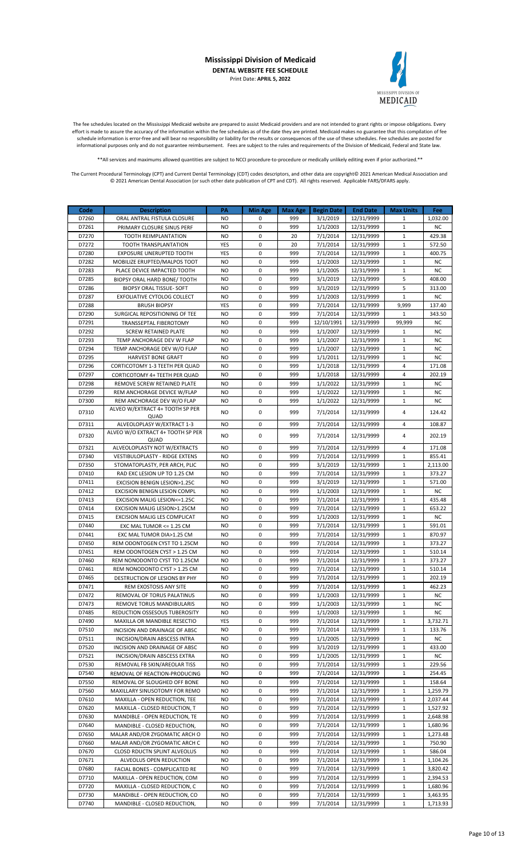

The fee schedules located on the Mississippi Medicaid website are prepared to assist Medicaid providers and are not intended to grant rights or impose obligations. Every effort is made to assure the accuracy of the information within the fee schedules as of the date they are printed. Medicaid makes no guarantee that this compilation of fee schedule information is error-free and will bear no responsibility or liability for the results or consequences of the use of these schedules. Fee schedules are posted for informational purposes only and do not guarantee reimbursement. Fees are subject to the rules and requirements of the Division of Medicaid, Federal and State law.

\*\*All services and maximums allowed quantities are subject to NCCI procedure-to-procedure or medically unlikely editing even if prior authorized.\*\*

| Code           | <b>Description</b>                                              | PA                     | <b>Min Age</b>             | <b>Max Age</b> | <b>Begin Date</b>    | <b>End Date</b>          | <b>Max Units</b>             | Fee                    |
|----------------|-----------------------------------------------------------------|------------------------|----------------------------|----------------|----------------------|--------------------------|------------------------------|------------------------|
| D7260          | ORAL ANTRAL FISTULA CLOSURE                                     | <b>NO</b>              | 0                          | 999            | 3/1/2019             | 12/31/9999               | $\mathbf{1}$                 | 1,032.00               |
| D7261          | PRIMARY CLOSURE SINUS PERF                                      | <b>NO</b>              | 0                          | 999            | 1/1/2003             | 12/31/9999               | $\mathbf{1}$                 | <b>NC</b>              |
| D7270          | TOOTH REIMPLANTATION                                            | <b>NO</b>              | 0                          | 20             | 7/1/2014             | 12/31/9999               | $\mathbf{1}$                 | 429.38                 |
| D7272          | TOOTH TRANSPLANTATION                                           | YES                    | 0                          | 20             | 7/1/2014             | 12/31/9999               | $\mathbf 1$                  | 572.50                 |
| D7280          | <b>EXPOSURE UNERUPTED TOOTH</b>                                 | YES                    | $\mathbf 0$                | 999            | 7/1/2014             | 12/31/9999               | $\mathbf{1}$                 | 400.75                 |
| D7282          | MOBILIZE ERUPTED/MALPOS TOOT                                    | <b>NO</b>              | 0                          | 999            | 1/1/2003             | 12/31/9999               | $\mathbf{1}$                 | <b>NC</b>              |
| D7283          | PLACE DEVICE IMPACTED TOOTH                                     | <b>NO</b>              | 0                          | 999            | 1/1/2005             | 12/31/9999               | $\mathbf{1}$                 | <b>NC</b>              |
| D7285          | BIOPSY ORAL HARD BONE/ TOOTH                                    | <b>NO</b>              | $\mathbf 0$                | 999            | 3/1/2019             | 12/31/9999               | 5                            | 408.00                 |
| D7286          | <b>BIOPSY ORAL TISSUE- SOFT</b>                                 | <b>NO</b>              | $\mathbf 0$                | 999            | 3/1/2019             | 12/31/9999               | 5                            | 313.00                 |
| D7287          | EXFOLIATIVE CYTOLOG COLLECT                                     | <b>NO</b>              | 0                          | 999            | 1/1/2003             | 12/31/9999               | $\mathbf{1}$                 | <b>NC</b>              |
| D7288          | <b>BRUSH BIOPSY</b>                                             | YES                    | 0                          | 999            | 7/1/2014             | 12/31/9999               | 9,999                        | 137.40                 |
| D7290          | SURGICAL REPOSITIONING OF TEE                                   | <b>NO</b>              | $\mathbf 0$                | 999            | 7/1/2014             | 12/31/9999               | $\mathbf{1}$                 | 343.50                 |
| D7291          | TRANSSEPTAL FIBEROTOMY                                          | <b>NO</b>              | 0                          | 999            | 12/10/1991           | 12/31/9999               | 99,999                       | ΝC                     |
| D7292          | <b>SCREW RETAINED PLATE</b>                                     | <b>NO</b>              | $\mathbf 0$<br>$\mathbf 0$ | 999            | 1/1/2007             | 12/31/9999               | $\mathbf{1}$<br>$\mathbf{1}$ | <b>NC</b>              |
| D7293          | TEMP ANCHORAGE DEV W FLAP                                       | <b>NO</b><br><b>NO</b> | 0                          | 999<br>999     | 1/1/2007             | 12/31/9999               | $\mathbf{1}$                 | <b>NC</b>              |
| D7294<br>D7295 | TEMP ANCHORAGE DEV W/O FLAP                                     | <b>NO</b>              | $\mathbf 0$                | 999            | 1/1/2007<br>1/1/2011 | 12/31/9999<br>12/31/9999 | $\mathbf{1}$                 | <b>NC</b><br><b>NC</b> |
| D7296          | <b>HARVEST BONE GRAFT</b>                                       | <b>NO</b>              | $\mathbf 0$                | 999            |                      |                          | 4                            |                        |
| D7297          | CORTICOTOMY 1-3 TEETH PER QUAD<br>CORTICOTOMY 4+ TEETH PER QUAD | <b>NO</b>              | $\mathbf 0$                | 999            | 1/1/2018<br>1/1/2018 | 12/31/9999<br>12/31/9999 | 4                            | 171.08<br>202.19       |
| D7298          | REMOVE SCREW RETAINED PLATE                                     | <b>NO</b>              | $\mathbf 0$                | 999            | 1/1/2022             | 12/31/9999               | 1                            | <b>NC</b>              |
| D7299          | REM ANCHORAGE DEVICE W/FLAP                                     | <b>NO</b>              | 0                          | 999            | 1/1/2022             | 12/31/9999               | $\mathbf{1}$                 | <b>NC</b>              |
| D7300          | REM ANCHORAGE DEV W/O FLAP                                      | <b>NO</b>              | $\mathbf 0$                | 999            | 1/1/2022             | 12/31/9999               | $\mathbf 1$                  | <b>NC</b>              |
|                | ALVEO W/EXTRACT 4+ TOOTH SP PER                                 |                        |                            |                |                      |                          |                              |                        |
| D7310          | QUAD                                                            | <b>NO</b>              | $\mathbf 0$                | 999            | 7/1/2014             | 12/31/9999               | 4                            | 124.42                 |
| D7311          | ALVEOLOPLASY W/EXTRACT 1-3                                      | <b>NO</b>              | $\mathbf 0$                | 999            | 7/1/2014             | 12/31/9999               | 4                            | 108.87                 |
| D7320          | ALVEO W/O EXTRACT 4+ TOOTH SP PER                               | <b>NO</b>              | 0                          | 999            | 7/1/2014             | 12/31/9999               | 4                            | 202.19                 |
|                | QUAD                                                            |                        |                            |                |                      |                          |                              |                        |
| D7321          | ALVEOLOPLASTY NOT W/EXTRACTS                                    | <b>NO</b>              | 0                          | 999            | 7/1/2014             | 12/31/9999               | 4                            | 171.08                 |
| D7340          | <b>VESTIBULOPLASTY - RIDGE EXTENS</b>                           | <b>NO</b>              | 0                          | 999            | 7/1/2014             | 12/31/9999               | 1                            | 855.41                 |
| D7350          | STOMATOPLASTY, PER ARCH, PLIC                                   | <b>NO</b>              | $\mathbf 0$                | 999            | 3/1/2019             | 12/31/9999               | $\mathbf{1}$                 | 2,113.00               |
| D7410          | RAD EXC LESION UP TO 1.25 CM                                    | <b>NO</b>              | 0                          | 999            | 7/1/2014             | 12/31/9999               | $\mathbf{1}$                 | 373.27                 |
| D7411          | EXCISION BENIGN LESION>1.25C                                    | <b>NO</b>              | $\mathbf 0$                | 999            | 3/1/2019             | 12/31/9999               | $\mathbf 1$                  | 571.00                 |
| D7412<br>D7413 | EXCISION BENIGN LESION COMPL                                    | <b>NO</b><br><b>NO</b> | 0<br>0                     | 999<br>999     | 1/1/2003             | 12/31/9999               | $\mathbf{1}$<br>$\mathbf{1}$ | <b>NC</b><br>435.48    |
| D7414          | EXCISION MALIG LESION<=1.25C                                    | <b>NO</b>              | $\mathbf 0$                | 999            | 7/1/2014<br>7/1/2014 | 12/31/9999<br>12/31/9999 | $\mathbf{1}$                 | 653.22                 |
| D7415          | EXCISION MALIG LESION>1.25CM<br>EXCISION MALIG LES COMPLICAT    | <b>NO</b>              | 0                          | 999            | 1/1/2003             | 12/31/9999               | $\mathbf{1}$                 | <b>NC</b>              |
| D7440          | EXC MAL TUMOR <= 1.25 CM                                        | <b>NO</b>              | 0                          | 999            | 7/1/2014             | 12/31/9999               | $\mathbf 1$                  | 591.01                 |
| D7441          | EXC MAL TUMOR DIA>1.25 CM                                       | <b>NO</b>              | $\mathbf 0$                | 999            | 7/1/2014             | 12/31/9999               | $\mathbf{1}$                 | 870.97                 |
| D7450          | REM ODONTOGEN CYST TO 1.25CM                                    | <b>NO</b>              | 0                          | 999            | 7/1/2014             | 12/31/9999               | $\mathbf{1}$                 | 373.27                 |
| D7451          | REM ODONTOGEN CYST > 1.25 CM                                    | <b>NO</b>              | 0                          | 999            | 7/1/2014             | 12/31/9999               | $\mathbf{1}$                 | 510.14                 |
| D7460          | REM NONODONTO CYST TO 1.25CM                                    | <b>NO</b>              | 0                          | 999            | 7/1/2014             | 12/31/9999               | $\mathbf{1}$                 | 373.27                 |
| D7461          | REM NONODONTO CYST > 1.25 CM                                    | <b>NO</b>              | $\mathbf 0$                | 999            | 7/1/2014             | 12/31/9999               | $\mathbf{1}$                 | 510.14                 |
| D7465          | DESTRUCTION OF LESIONS BY PHY                                   | <b>NO</b>              | 0                          | 999            | 7/1/2014             | 12/31/9999               | $\mathbf 1$                  | 202.19                 |
| D7471          | REM EXOSTOSIS ANY SITE                                          | <b>NO</b>              | 0                          | 999            | 7/1/2014             | 12/31/9999               | $\mathbf 1$                  | 462.23                 |
| D7472          | REMOVAL OF TORUS PALATINUS                                      | NO                     | 0                          | 999            | 1/1/2003             | 12/31/9999               | 1                            | ΝC                     |
| D7473          | REMOVE TORUS MANDIBULARIS                                       | NO                     | 0                          | 999            | 1/1/2003             | 12/31/9999               | 1                            | ΝC                     |
| D7485          | REDUCTION OSSESOUS TUBEROSITY                                   | NO.                    | 0                          | 999            | 1/1/2003             | 12/31/9999               | $\mathbf{1}$                 | NC                     |
| D7490          | MAXILLA OR MANDIBLE RESECTIO                                    | YES                    | 0                          | 999            | 7/1/2014             | 12/31/9999               | $\mathbf 1$                  | 3,732.71               |
| D7510          | INCISION AND DRAINAGE OF ABSC                                   | NO.                    | 0                          | 999            | 7/1/2014             | 12/31/9999               | 1                            | 133.76                 |
| D7511          | INCISION/DRAIN ABSCESS INTRA                                    | NO                     | 0                          | 999            | 1/1/2005             | 12/31/9999               | 1                            | ΝC                     |
| D7520          | INCISION AND DRAINAGE OF ABSC                                   | <b>NO</b>              | 0                          | 999            | 3/1/2019             | 12/31/9999               | $\mathbf{1}$                 | 433.00                 |
| D7521          | INCISION/DRAIN ABSCESS EXTRA                                    | <b>NO</b>              | 0                          | 999            | 1/1/2005             | 12/31/9999               | $\mathbf{1}$                 | NC                     |
| D7530          | REMOVAL FB SKIN/AREOLAR TISS                                    | NO                     | 0                          | 999            | 7/1/2014             | 12/31/9999               | 1                            | 229.56                 |
| D7540          | REMOVAL OF REACTION-PRODUCING                                   | <b>NO</b>              | 0                          | 999            | 7/1/2014             | 12/31/9999               | $\mathbf{1}$                 | 254.45                 |
| D7550          | REMOVAL OF SLOUGHED OFF BONE                                    | NO                     | 0                          | 999            | 7/1/2014             | 12/31/9999               | $\mathbf{1}$                 | 158.64                 |
| D7560          | MAXILLARY SINUSOTOMY FOR REMO                                   | NO                     | 0                          | 999            | 7/1/2014             | 12/31/9999               | 1                            | 1,259.79               |
| D7610          | MAXILLA - OPEN REDUCTION, TEE                                   | <b>NO</b>              | 0                          | 999            | 7/1/2014             | 12/31/9999               | $\mathbf{1}$                 | 2,037.44               |
| D7620          | MAXILLA - CLOSED REDUCTION, T                                   | NO                     | 0                          | 999            | 7/1/2014             | 12/31/9999               | $\mathbf{1}$                 | 1,527.92               |
| D7630          | MANDIBLE - OPEN REDUCTION, TE                                   | NO                     | 0                          | 999            | 7/1/2014             | 12/31/9999               | 1                            | 2,648.98               |
| D7640          | MANDIBLE - CLOSED REDUCTION,                                    | NO                     | 0                          | 999            | 7/1/2014             | 12/31/9999               | 1                            | 1,680.96               |
| D7650          | MALAR AND/OR ZYGOMATIC ARCH O                                   | <b>NO</b>              | 0                          | 999            | 7/1/2014             | 12/31/9999               | 1                            | 1,273.48               |
| D7660          | MALAR AND/OR ZYGOMATIC ARCH C                                   | <b>NO</b>              | 0                          | 999            | 7/1/2014             | 12/31/9999               | $\mathbf{1}$                 | 750.90                 |
| D7670          | CLOSD RDUCTN SPLINT ALVEOLUS                                    | NO                     | 0                          | 999            | 7/1/2014             | 12/31/9999               | 1                            | 586.04                 |
| D7671          | ALVEOLUS OPEN REDUCTION                                         | <b>NO</b>              | 0                          | 999            | 7/1/2014             | 12/31/9999               | $\mathbf{1}$                 | 1,104.26               |
| D7680          | FACIAL BONES - COMPLICATED RE                                   | NO                     | 0                          | 999            | 7/1/2014             | 12/31/9999               | 1                            | 3,820.42               |
| D7710          | MAXILLA - OPEN REDUCTION, COM                                   | NO                     | 0                          | 999            | 7/1/2014             | 12/31/9999               | 1                            | 2,394.53               |
| D7720          | MAXILLA - CLOSED REDUCTION, C                                   | <b>NO</b>              | 0                          | 999            | 7/1/2014             | 12/31/9999               | $\mathbf{1}$                 | 1,680.96               |
| D7730          | MANDIBLE - OPEN REDUCTION, CO                                   | <b>NO</b>              | 0                          | 999            | 7/1/2014             | 12/31/9999               | $1\,$                        | 3,463.95               |
| D7740          | MANDIBLE - CLOSED REDUCTION,                                    | NO.                    | 0                          | 999            | 7/1/2014             | 12/31/9999               | $1\,$                        | 1,713.93               |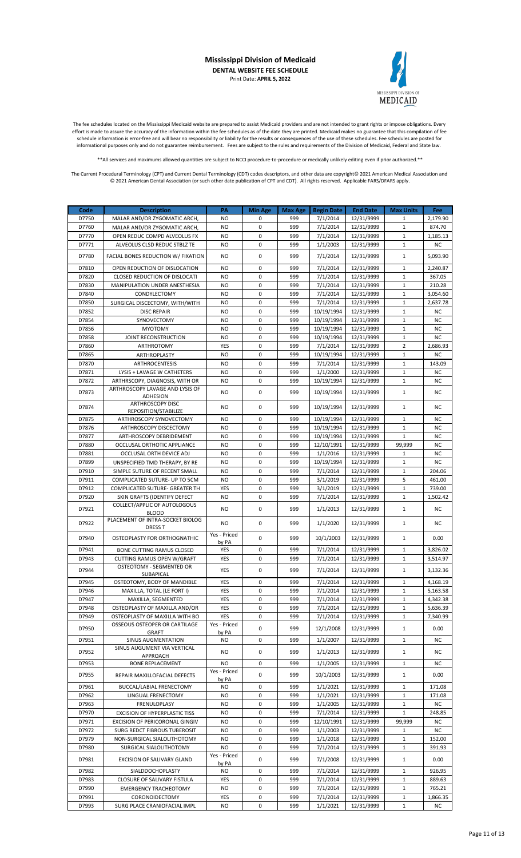

The fee schedules located on the Mississippi Medicaid website are prepared to assist Medicaid providers and are not intended to grant rights or impose obligations. Every effort is made to assure the accuracy of the information within the fee schedules as of the date they are printed. Medicaid makes no guarantee that this compilation of fee schedule information is error-free and will bear no responsibility or liability for the results or consequences of the use of these schedules. Fee schedules are posted for informational purposes only and do not guarantee reimbursement. Fees are subject to the rules and requirements of the Division of Medicaid, Federal and State law.

\*\*All services and maximums allowed quantities are subject to NCCI procedure-to-procedure or medically unlikely editing even if prior authorized.\*\*

| Code  | <b>Description</b>                                                | PA           | <b>Min Age</b> | <b>Max Age</b> | <b>Begin Date</b> | <b>End Date</b> | <b>Max Units</b> | Fee       |
|-------|-------------------------------------------------------------------|--------------|----------------|----------------|-------------------|-----------------|------------------|-----------|
| D7750 | MALAR AND/OR ZYGOMATIC ARCH,                                      | <b>NO</b>    | 0              | 999            | 7/1/2014          | 12/31/9999      | 1                | 2,179.90  |
| D7760 |                                                                   | <b>NO</b>    | $\mathbf 0$    | 999            | 7/1/2014          |                 | $\mathbf{1}$     | 874.70    |
|       | MALAR AND/OR ZYGOMATIC ARCH.                                      |              |                |                |                   | 12/31/9999      |                  |           |
| D7770 | OPEN REDUC COMPD ALVEOLUS FX                                      | <b>NO</b>    | $\mathbf 0$    | 999            | 7/1/2014          | 12/31/9999      | $\mathbf{1}$     | 1,185.13  |
| D7771 | ALVEOLUS CLSD REDUC STBLZ TE                                      | <b>NO</b>    | 0              | 999            | 1/1/2003          | 12/31/9999      | $1\,$            | <b>NC</b> |
| D7780 | <b>FACIAL BONES REDUCTION W/ FIXATION</b>                         | <b>NO</b>    | 0              | 999            | 7/1/2014          | 12/31/9999      | $\mathbf{1}$     | 5,093.90  |
|       |                                                                   |              | $\mathbf 0$    |                |                   |                 | $\mathbf{1}$     |           |
| D7810 | OPEN REDUCTION OF DISLOCATION                                     | <b>NO</b>    |                | 999            | 7/1/2014          | 12/31/9999      |                  | 2,240.87  |
| D7820 | <b>CLOSED REDUCTION OF DISLOCATI</b>                              | <b>NO</b>    | $\mathbf 0$    | 999            | 7/1/2014          | 12/31/9999      | $\mathbf 1$      | 367.05    |
| D7830 | MANIPULATION UNDER ANESTHESIA                                     | <b>NO</b>    | 0              | 999            | 7/1/2014          | 12/31/9999      | 1                | 210.28    |
| D7840 | CONDYLECTOMY                                                      | <b>NO</b>    | $\mathbf 0$    | 999            | 7/1/2014          | 12/31/9999      | $\mathbf 1$      | 3,054.60  |
| D7850 | SURGICAL DISCECTOMY, WITH/WITH                                    | <b>NO</b>    | $\mathbf 0$    | 999            | 7/1/2014          | 12/31/9999      | $\mathbf{1}$     | 2,637.78  |
| D7852 | <b>DISC REPAIR</b>                                                | <b>NO</b>    | 0              | 999            | 10/19/1994        | 12/31/9999      | $\mathbf{1}$     | NC        |
| D7854 | SYNOVECTOMY                                                       | <b>NO</b>    | 0              | 999            | 10/19/1994        | 12/31/9999      | $\mathbf 1$      | NC        |
| D7856 | <b>MYOTOMY</b>                                                    | <b>NO</b>    | $\mathbf 0$    | 999            | 10/19/1994        | 12/31/9999      | $\mathbf 1$      | NC        |
| D7858 | JOINT RECONSTRUCTION                                              | <b>NO</b>    | $\mathbf 0$    | 999            | 10/19/1994        | 12/31/9999      | $\mathbf{1}$     | <b>NC</b> |
| D7860 | ARTHROTOMY                                                        | YES          | $\mathbf 0$    | 999            | 7/1/2014          | 12/31/9999      | $\overline{2}$   | 2,686.93  |
| D7865 | ARTHROPLASTY                                                      | <b>NO</b>    | $\mathbf 0$    | 999            | 10/19/1994        | 12/31/9999      | $\mathbf 1$      | NC        |
| D7870 | <b>ARTHROCENTESIS</b>                                             | <b>NO</b>    | $\mathbf 0$    | 999            | 7/1/2014          | 12/31/9999      | $\mathbf 1$      | 143.09    |
| D7871 | LYSIS + LAVAGE W CATHETERS                                        | <b>NO</b>    | 0              | 999            | 1/1/2000          | 12/31/9999      | $\mathbf{1}$     | <b>NC</b> |
|       |                                                                   |              | $\mathbf 0$    | 999            |                   |                 |                  |           |
| D7872 | ARTHRSCOPY, DIAGNOSIS, WITH OR<br>ARTHROSCOPY LAVAGE AND LYSIS OF | <b>NO</b>    |                |                | 10/19/1994        | 12/31/9999      | $\mathbf{1}$     | NC        |
| D7873 | <b>ADHESION</b>                                                   | <b>NO</b>    | 0              | 999            | 10/19/1994        | 12/31/9999      | $\mathbf{1}$     | <b>NC</b> |
|       | <b>ARTHROSCOPY DISC</b>                                           |              |                |                |                   |                 |                  |           |
| D7874 | REPOSITION/STABILIZE                                              | <b>NO</b>    | $\mathbf 0$    | 999            | 10/19/1994        | 12/31/9999      | $\mathbf{1}$     | NC        |
| D7875 | ARTHROSCOPY SYNOVECTOMY                                           | NO           | 0              | 999            | 10/19/1994        | 12/31/9999      | 1                | NC        |
| D7876 | ARTHROSCOPY DISCECTOMY                                            | <b>NO</b>    | $\mathbf 0$    | 999            | 10/19/1994        | 12/31/9999      | $\mathbf{1}$     | NC        |
| D7877 | ARTHROSCOPY DEBRIDEMENT                                           | <b>NO</b>    | $\mathbf 0$    | 999            | 10/19/1994        | 12/31/9999      | $\mathbf{1}$     | <b>NC</b> |
|       |                                                                   |              |                |                |                   |                 |                  |           |
| D7880 | OCCLUSAL ORTHOTIC APPLIANCE                                       | <b>NO</b>    | 0              | 999            | 12/10/1991        | 12/31/9999      | 99,999           | <b>NC</b> |
| D7881 | OCCLUSAL ORTH DEVICE ADJ                                          | <b>NO</b>    | 0              | 999            | 1/1/2016          | 12/31/9999      | $\mathbf{1}$     | NC        |
| D7899 | UNSPECIFIED TMD THERAPY, BY RE                                    | <b>NO</b>    | $\mathbf 0$    | 999            | 10/19/1994        | 12/31/9999      | $\mathbf 1$      | <b>NC</b> |
| D7910 | SIMPLE SUTURE OF RECENT SMALL                                     | <b>NO</b>    | $\mathbf 0$    | 999            | 7/1/2014          | 12/31/9999      | $\mathbf{1}$     | 204.06    |
| D7911 | COMPLICATED SUTURE- UP TO 5CM                                     | <b>NO</b>    | $\mathbf 0$    | 999            | 3/1/2019          | 12/31/9999      | 5                | 461.00    |
| D7912 | COMPLICATED SUTURE- GREATER TH                                    | YES          | 0              | 999            | 3/1/2019          | 12/31/9999      | $\mathbf{1}$     | 739.00    |
| D7920 | SKIN GRAFTS (IDENTIFY DEFECT                                      | <b>NO</b>    | $\mathbf 0$    | 999            | 7/1/2014          | 12/31/9999      | $\mathbf 1$      | 1,502.42  |
| D7921 | COLLECT/APPLIC OF AUTOLOGOUS                                      | <b>NO</b>    | $\mathbf 0$    | 999            | 1/1/2013          | 12/31/9999      | $\mathbf{1}$     | NC        |
|       | <b>BLOOD</b>                                                      |              |                |                |                   |                 |                  |           |
| D7922 | PLACEMENT OF INTRA-SOCKET BIOLOG                                  | NO           | $\mathbf 0$    | 999            | 1/1/2020          | 12/31/9999      | $\mathbf{1}$     | ΝC        |
|       | <b>DRESS T</b>                                                    |              |                |                |                   |                 |                  |           |
| D7940 | OSTEOPLASTY FOR ORTHOGNATHIC                                      | Yes - Priced | $\mathbf 0$    | 999            | 10/1/2003         | 12/31/9999      | $\mathbf{1}$     | 0.00      |
|       |                                                                   | by PA        |                |                |                   |                 |                  |           |
| D7941 | <b>BONE CUTTING RAMUS CLOSED</b>                                  | YES          | 0              | 999            | 7/1/2014          | 12/31/9999      | $\mathbf{1}$     | 3,826.02  |
| D7943 | CUTTING RAMUS OPEN W/GRAFT                                        | YES          | 0              | 999            | 7/1/2014          | 12/31/9999      | $\mathbf{1}$     | 3,514.97  |
| D7944 | OSTEOTOMY - SEGMENTED OR                                          | YES          | 0              | 999            | 7/1/2014          | 12/31/9999      | $\mathbf 1$      | 3,132.36  |
|       | <b>SUBAPICAL</b>                                                  |              |                |                |                   |                 |                  |           |
| D7945 | OSTEOTOMY, BODY OF MANDIBLE                                       | YES          | $\mathbf 0$    | 999            | 7/1/2014          | 12/31/9999      | $\mathbf{1}$     | 4,168.19  |
| D7946 | MAXILLA, TOTAL (LE FORT I)                                        | YES          | 0              | 999            | 7/1/2014          | 12/31/9999      | 1                | 5,163.58  |
| D7947 | MAXILLA, SEGMENTED                                                | YES          | 0              | 999            | 7/1/2014          | 12/31/9999      | $\mathbf 1$      | 4,342.38  |
| D7948 | OSTEOPLASTY OF MAXILLA AND/OR                                     | YES          | 0              | 999            | 7/1/2014          | 12/31/9999      | $\mathbf{1}$     | 5,636.39  |
| D7949 | OSTEOPLASTY OF MAXILLA WITH BO                                    | YES          | 0              | 999            | 7/1/2014          | 12/31/9999      | $\mathbf{1}$     | 7,340.99  |
| D7950 | OSSEOUS OSTEOPER OR CARTILAGE                                     | Yes - Priced | 0              | 999            | 12/1/2008         | 12/31/9999      | $\mathbf{1}$     | 0.00      |
|       | GRAFT                                                             | by PA        |                |                |                   |                 |                  |           |
| D7951 | SINUS AUGMENTATION                                                | NO           | 0              | 999            | 1/1/2007          | 12/31/9999      | $\mathbf 1$      | NC        |
| D7952 | SINUS AUGUMENT VIA VERTICAL                                       | NO.          | 0              | 999            | 1/1/2013          | 12/31/9999      | $\mathbf{1}$     | <b>NC</b> |
|       | APPROACH                                                          |              |                |                |                   |                 |                  |           |
| D7953 | <b>BONE REPLACEMENT</b>                                           | NO           | 0              | 999            | 1/1/2005          | 12/31/9999      | 1                | ΝC        |
| D7955 | REPAIR MAXILLOFACIAL DEFECTS                                      | Yes - Priced | 0              | 999            | 10/1/2003         | 12/31/9999      | $\mathbf{1}$     | 0.00      |
|       |                                                                   | by PA        |                |                |                   |                 |                  |           |
| D7961 | BUCCAL/LABIAL FRENECTOMY                                          | NO.          | 0              | 999            | 1/1/2021          | 12/31/9999      | $\mathbf{1}$     | 171.08    |
| D7962 | LINGUAL FRENECTOMY                                                | NO           | 0              | 999            | 1/1/2021          | 12/31/9999      | $\mathbf{1}$     | 171.08    |
| D7963 | FRENULOPLASY                                                      | NO           | 0              | 999            | 1/1/2005          | 12/31/9999      | 1                | NC        |
| D7970 | EXCISION OF HYPERPLASTIC TISS                                     | NO.          | 0              | 999            | 7/1/2014          | 12/31/9999      | $\mathbf 1$      | 248.85    |
| D7971 | EXCISION OF PERICORONAL GINGIV                                    | <b>NO</b>    | 0              | 999            | 12/10/1991        | 12/31/9999      | 99,999           | NC.       |
| D7972 | SURG REDCT FIBROUS TUBEROSIT                                      | <b>NO</b>    | 0              | 999            | 1/1/2003          | 12/31/9999      | 1                | <b>NC</b> |
| D7979 | NON-SURGICAL SIALOLITHOTOMY                                       | NO.          | 0              | 999            | 1/1/2018          | 12/31/9999      | 1                | 152.00    |
| D7980 | SURGICAL SIALOLITHOTOMY                                           | NO.          | 0              | 999            | 7/1/2014          | 12/31/9999      | $\mathbf{1}$     | 391.93    |
|       |                                                                   | Yes - Priced | 0              |                |                   |                 |                  |           |
| D7981 | EXCISION OF SALIVARY GLAND                                        | by PA        |                | 999            | 7/1/2008          | 12/31/9999      | $\mathbf{1}$     | 0.00      |
| D7982 | SIALDDOCHOPLASTY                                                  | NO           | 0              | 999            | 7/1/2014          | 12/31/9999      | 1                | 926.95    |
| D7983 | CLOSURE OF SALIVARY FISTULA                                       | YES          | 0              | 999            | 7/1/2014          | 12/31/9999      | $\mathbf{1}$     | 889.63    |
| D7990 | <b>EMERGENCY TRACHEOTOMY</b>                                      | NO.          | 0              | 999            | 7/1/2014          | 12/31/9999      | $\mathbf{1}$     | 765.21    |
| D7991 | CORONOIDECTOMY                                                    | YES          | 0              | 999            | 7/1/2014          | 12/31/9999      | $\mathbf{1}$     | 1,866.35  |
| D7993 | SURG PLACE CRANIOFACIAL IMPL                                      | NO           | 0              | 999            | 1/1/2021          | 12/31/9999      | $\mathbf{1}$     | NC        |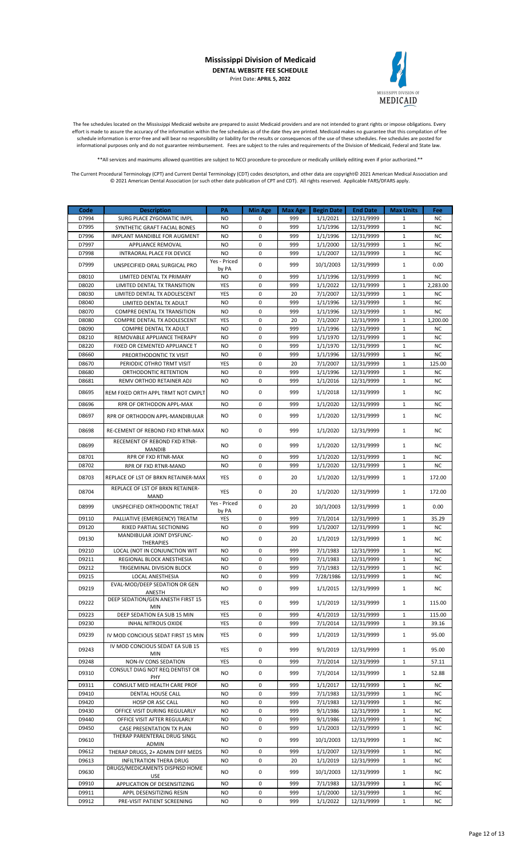

The fee schedules located on the Mississippi Medicaid website are prepared to assist Medicaid providers and are not intended to grant rights or impose obligations. Every effort is made to assure the accuracy of the information within the fee schedules as of the date they are printed. Medicaid makes no guarantee that this compilation of fee schedule information is error-free and will bear no responsibility or liability for the results or consequences of the use of these schedules. Fee schedules are posted for informational purposes only and do not guarantee reimbursement. Fees are subject to the rules and requirements of the Division of Medicaid, Federal and State law.

\*\*All services and maximums allowed quantities are subject to NCCI procedure-to-procedure or medically unlikely editing even if prior authorized.\*\*

| Code           | <b>Description</b>                                       | PA                  | <b>Min Age</b>   | <b>Max Age</b> | <b>Begin Date</b>    | <b>End Date</b>          | <b>Max Units</b>            | Fee                    |
|----------------|----------------------------------------------------------|---------------------|------------------|----------------|----------------------|--------------------------|-----------------------------|------------------------|
| D7994          | SURG PLACE ZYGOMATIC IMPL                                | <b>NO</b>           | 0                | 999            | 1/1/2021             | 12/31/9999               | 1                           | <b>NC</b>              |
| D7995          | SYNTHETIC GRAFT FACIAL BONES                             | NO.                 | $\mathbf 0$      | 999            | 1/1/1996             | 12/31/9999               | $\mathbf{1}$                | <b>NC</b>              |
| D7996          | IMPLANT MANDIBLE FOR AUGMENT                             | <b>NO</b>           | 0                | 999            | 1/1/1996             | 12/31/9999               | 1                           | <b>NC</b>              |
| D7997          | APPLIANCE REMOVAL                                        | NO.                 | $\mathbf 0$      | 999            | 1/1/2000             | 12/31/9999               | $\mathbf{1}$                | <b>NC</b>              |
| D7998          | INTRAORAL PLACE FIX DEVICE                               | NO.<br>Yes - Priced | 0                | 999            | 1/1/2007             | 12/31/9999               | $\mathbf{1}$                | <b>NC</b>              |
| D7999          | UNSPECIFIED ORAL SURGICAL PRO                            | by PA               | $\mathbf 0$      | 999            | 10/1/2003            | 12/31/9999               | $\mathbf{1}$                | 0.00                   |
| D8010          | LIMITED DENTAL TX PRIMARY                                | NO.                 | 0                | 999            | 1/1/1996             | 12/31/9999               | 1                           | <b>NC</b>              |
| D8020          | LIMITED DENTAL TX TRANSITION                             | YES                 | $\mathbf 0$      | 999            | 1/1/2022             | 12/31/9999               | $\mathbf{1}$                | 2,283.00               |
| D8030          | LIMITED DENTAL TX ADOLESCENT                             | YES                 | 0                | 20             | 7/1/2007             | 12/31/9999               | $\mathbf{1}$                | <b>NC</b>              |
| D8040          | LIMITED DENTAL TX ADULT                                  | NO.                 | $\mathbf 0$      | 999            | 1/1/1996             | 12/31/9999               | $\mathbf{1}$                | <b>NC</b>              |
| D8070          | COMPRE DENTAL TX TRANSITION                              | NO.                 | 0                | 999            | 1/1/1996             | 12/31/9999               | $\mathbf{1}$                | <b>NC</b>              |
| D8080          | COMPRE DENTAL TX ADOLESCENT                              | YES                 | $\mathbf 0$      | 20             | 7/1/2007             | 12/31/9999               | $\mathbf{1}$                | 1,200.00               |
| D8090          | COMPRE DENTAL TX ADULT                                   | <b>NO</b>           | $\mathbf 0$      | 999            | 1/1/1996             | 12/31/9999               | $\mathbf{1}$                | <b>NC</b>              |
| D8210          | REMOVABLE APPLIANCE THERAPY                              | NO.                 | 0<br>$\mathbf 0$ | 999            | 1/1/1970             | 12/31/9999               | $\mathbf{1}$<br>$\mathbf 1$ | <b>NC</b>              |
| D8220<br>D8660 | FIXED OR CEMENTED APPLIANCE T<br>PREORTHODONTIC TX VISIT | NO.<br>NO.          | $\mathbf 0$      | 999<br>999     | 1/1/1970<br>1/1/1996 | 12/31/9999<br>12/31/9999 | $\mathbf{1}$                | <b>NC</b><br><b>NC</b> |
| D8670          | PERIODIC OTHRO TRMT VISIT                                | YES                 | 0                | 20             | 7/1/2007             | 12/31/9999               | $\mathbf{1}$                | 125.00                 |
| D8680          | ORTHODONTIC RETENTION                                    | NO.                 | 0                | 999            | 1/1/1996             | 12/31/9999               | $\mathbf{1}$                | <b>NC</b>              |
| D8681          | REMV ORTHOD RETAINER ADJ                                 | <b>NO</b>           | 0                | 999            | 1/1/2016             | 12/31/9999               | $\mathbf{1}$                | <b>NC</b>              |
|                |                                                          |                     | 0                |                |                      |                          | $\mathbf{1}$                |                        |
| D8695          | REM FIXED ORTH APPL TRMT NOT CMPLT                       | <b>NO</b>           |                  | 999            | 1/1/2018             | 12/31/9999               |                             | <b>NC</b>              |
| D8696          | RPR OF ORTHODON APPL-MAX                                 | NO.                 | 0                | 999            | 1/1/2020             | 12/31/9999               | $\mathbf{1}$                | <b>NC</b>              |
| D8697          | RPR OF ORTHODON APPL-MANDIBULAR                          | <b>NO</b>           | 0                | 999            | 1/1/2020             | 12/31/9999               | $\mathbf{1}$                | <b>NC</b>              |
|                |                                                          |                     |                  |                |                      |                          |                             |                        |
| D8698          | RE-CEMENT OF REBOND FXD RTNR-MAX                         | <b>NO</b>           | 0                | 999            | 1/1/2020             | 12/31/9999               | $\mathbf{1}$                | <b>NC</b>              |
| D8699          | <b>RECEMENT OF REBOND FXD RTNR-</b>                      | NO.                 | 0                | 999            | 1/1/2020             | 12/31/9999               | $\mathbf{1}$                | NC.                    |
| D8701          | <b>MANDIB</b><br>RPR OF FXD RTNR-MAX                     | NO.                 | $\mathbf 0$      | 999            | 1/1/2020             | 12/31/9999               | $\mathbf{1}$                | <b>NC</b>              |
| D8702          | RPR OF FXD RTNR-MAND                                     | NO                  | 0                | 999            | 1/1/2020             | 12/31/9999               | 1                           | <b>NC</b>              |
|                |                                                          |                     |                  |                |                      |                          |                             |                        |
| D8703          | REPLACE OF LST OF BRKN RETAINER-MAX                      | YES                 | 0                | 20             | 1/1/2020             | 12/31/9999               | $\mathbf{1}$                | 172.00                 |
| D8704          | REPLACE OF LST OF BRKN RETAINER-                         | YES                 | 0                | 20             | 1/1/2020             | 12/31/9999               | $\mathbf{1}$                | 172.00                 |
|                | MAND                                                     | Yes - Priced        |                  |                |                      |                          |                             |                        |
| D8999          | UNSPECIFIED ORTHODONTIC TREAT                            | by PA               | $\mathbf 0$      | 20             | 10/1/2003            | 12/31/9999               | $\mathbf{1}$                | 0.00                   |
| D9110          | PALLIATIVE (EMERGENCY) TREATM                            | YES                 | $\mathbf 0$      | 999            | 7/1/2014             | 12/31/9999               | $\mathbf{1}$                | 35.29                  |
| D9120          | RIXED PARTIAL SECTIONING                                 | NO.                 | 0                | 999            | 1/1/2007             | 12/31/9999               | $\mathbf{1}$                | <b>NC</b>              |
| D9130          | MANDIBULAR JOINT DYSFUNC-                                | <b>NO</b>           | 0                | 20             | 1/1/2019             | 12/31/9999               | $\mathbf{1}$                | <b>NC</b>              |
| D9210          | <b>THERAPIES</b><br>LOCAL (NOT IN CONJUNCTION WIT        | NO.                 | 0                | 999            | 7/1/1983             | 12/31/9999               | $\mathbf{1}$                | <b>NC</b>              |
| D9211          | REGIONAL BLOCK ANESTHESIA                                | <b>NO</b>           | $\mathbf 0$      | 999            | 7/1/1983             | 12/31/9999               | $\mathbf{1}$                | <b>NC</b>              |
| D9212          | TRIGEMINAL DIVISION BLOCK                                | <b>NO</b>           | 0                | 999            | 7/1/1983             | 12/31/9999               | $\mathbf{1}$                | <b>NC</b>              |
| D9215          | <b>LOCAL ANESTHESIA</b>                                  | <b>NO</b>           | $\mathbf 0$      | 999            | 7/28/1986            | 12/31/9999               | $\mathbf{1}$                | <b>NC</b>              |
| D9219          | EVAL-MOD/DEEP SEDATION OR GEN                            | NO                  | 0                | 999            | 1/1/2015             | 12/31/9999               | $\mathbf{1}$                | ΝC                     |
|                | ANESTH<br>DEEP SEDATION/GEN ANESTH FIRST 15              |                     |                  |                |                      |                          |                             |                        |
| D9222          | MIN                                                      | YES                 | 0                | 999            | 1/1/2019             | 12/31/9999               | $\mathbf{1}$                | 115.00                 |
| D9223          | DEEP SEDATION EA SUB 15 MIN                              | YES                 | 0                | 999            | 4/1/2019             | 12/31/9999               | $\mathbf{1}$                | 115.00                 |
| D9230          | <b>INHAL NITROUS OXIDE</b>                               | YES                 | 0                | 999            | 7/1/2014             | 12/31/9999               | $\mathbf{1}$                | 39.16                  |
| D9239          | IV MOD CONCIOUS SEDAT FIRST 15 MIN                       | YES                 | 0                | 999            | 1/1/2019             | 12/31/9999               | $\mathbf{1}$                | 95.00                  |
|                | IV MOD CONCIOUS SEDAT EA SUB 15                          |                     |                  |                |                      |                          |                             |                        |
| D9243          | MIN                                                      | YES                 | 0                | 999            | 9/1/2019             | 12/31/9999               | 1                           | 95.00                  |
| D9248          | NON-IV CONS SEDATION                                     | YES                 | 0                | 999            | 7/1/2014             | 12/31/9999               | $\mathbf{1}$                | 57.11                  |
| D9310          | CONSULT DIAG NOT REQ DENTIST OR                          | NO.                 | 0                | 999            | 7/1/2014             | 12/31/9999               | $\mathbf{1}$                | 52.88                  |
|                | PHY                                                      |                     |                  |                |                      |                          |                             |                        |
| D9311          | CONSULT MED HEALTH CARE PROF                             | NO                  | 0                | 999            | 1/1/2017             | 12/31/9999               | $\mathbf{1}$                | ΝC                     |
| D9410<br>D9420 | DENTAL HOUSE CALL                                        | NO.<br><b>NO</b>    | 0<br>$\pmb{0}$   | 999<br>999     | 7/1/1983             | 12/31/9999               | $\mathbf{1}$<br>$\mathbf 1$ | <b>NC</b>              |
| D9430          | HOSP OR ASC CALL<br>OFFICE VISIT DURING REGULARLY        | NO.                 | 0                | 999            | 7/1/1983<br>9/1/1986 | 12/31/9999<br>12/31/9999 | 1                           | <b>NC</b><br><b>NC</b> |
| D9440          | OFFICE VISIT AFTER REGULARLY                             | NO.                 | 0                | 999            | 9/1/1986             | 12/31/9999               | 1                           | ΝC                     |
| D9450          | CASE PRESENTATION TX PLAN                                | NO.                 | 0                | 999            | 1/1/2003             | 12/31/9999               | 1                           | <b>NC</b>              |
|                | THERAP PARENTERAL DRUG SINGL                             |                     |                  |                |                      |                          |                             |                        |
| D9610          | ADMIN                                                    | NO.                 | 0                | 999            | 10/1/2003            | 12/31/9999               | $\mathbf{1}$                | <b>NC</b>              |
| D9612          | THERAP DRUGS, 2+ ADMIN DIFF MEDS                         | NO                  | 0                | 999            | 1/1/2007             | 12/31/9999               | $\mathbf{1}$                | <b>NC</b>              |
| D9613          | INFILTRATION THERA DRUG                                  | NO.                 | 0                | 20             | 1/1/2019             | 12/31/9999               | $\mathbf{1}$                | <b>NC</b>              |
| D9630          | DRUGS/MEDICAMENTS DISPNSD HOME<br>USE                    | NO.                 | 0                | 999            | 10/1/2003            | 12/31/9999               | 1                           | <b>NC</b>              |
| D9910          | APPLICATION OF DESENSITIZING                             | NO                  | 0                | 999            | 7/1/1983             | 12/31/9999               | $\mathbf{1}$                | <b>NC</b>              |
| D9911          | APPL DESENSITIZING RESIN                                 | NO.                 | 0                | 999            | 1/1/2000             | 12/31/9999               | $\mathbf{1}$                | <b>NC</b>              |
| D9912          | PRE-VISIT PATIENT SCREENING                              | NO.                 | 0                | 999            | 1/1/2022             | 12/31/9999               | $\mathbf{1}$                | <b>NC</b>              |